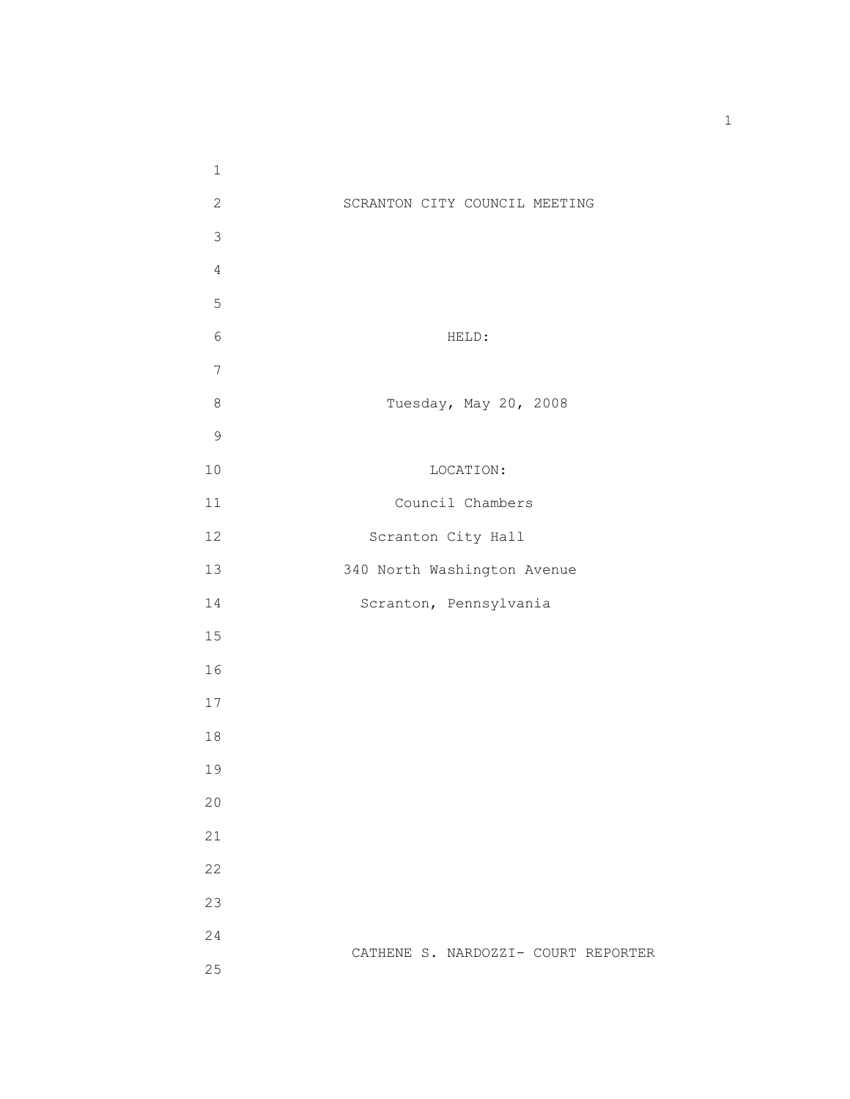| $\mathbf 1$    |                                     |
|----------------|-------------------------------------|
| $\mathbf{2}$   | SCRANTON CITY COUNCIL MEETING       |
| $\mathfrak{Z}$ |                                     |
| $\overline{4}$ |                                     |
| 5              |                                     |
| $\epsilon$     | HELD:                               |
| $\overline{7}$ |                                     |
| $\,8\,$        | Tuesday, May 20, 2008               |
| $\mathsf 9$    |                                     |
| $10$           | LOCATION:                           |
| 11             | Council Chambers                    |
| 12             | Scranton City Hall                  |
| 13             | 340 North Washington Avenue         |
| 14             | Scranton, Pennsylvania              |
| 15             |                                     |
| 16             |                                     |
| $17$           |                                     |
| $1\,8$         |                                     |
| 19             |                                     |
| 20             |                                     |
| 21             |                                     |
| 22             |                                     |
| 23             |                                     |
| 24             |                                     |
| 25             | CATHENE S. NARDOZZI- COURT REPORTER |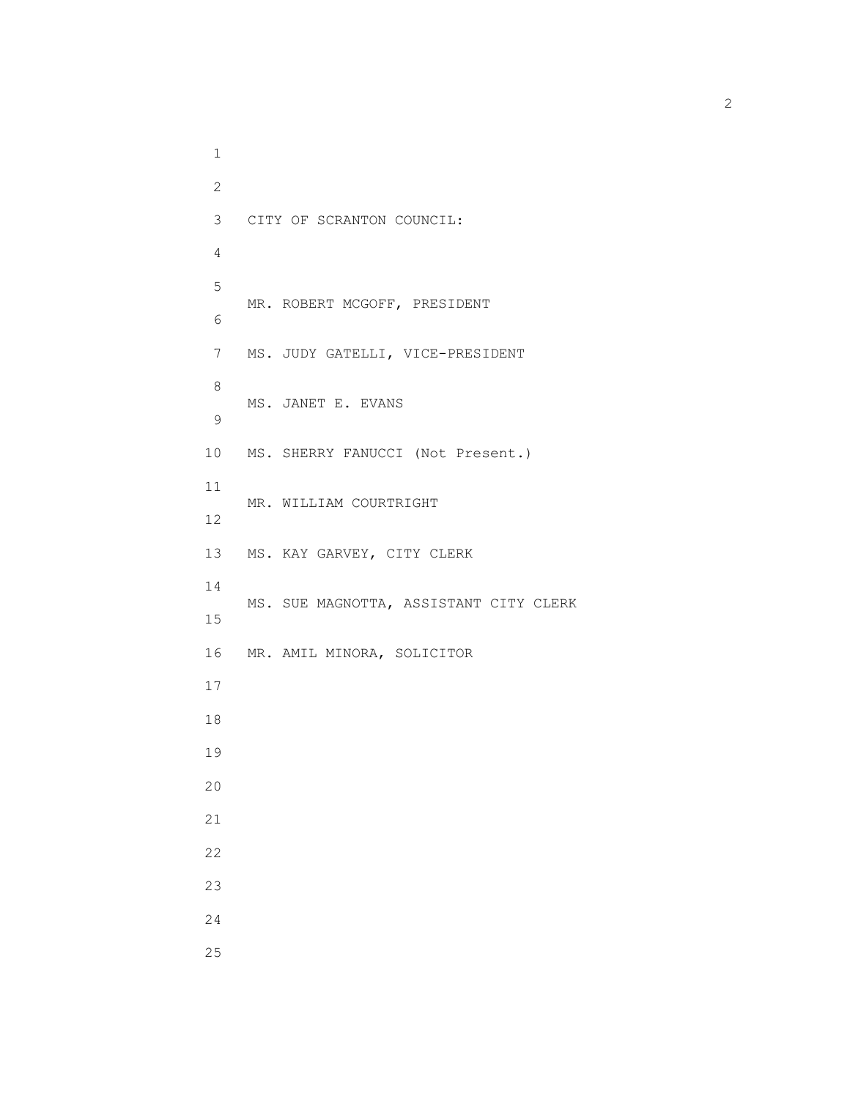1 2 3 CITY OF SCRANTON COUNCIL: 4 5 MR. ROBERT MCGOFF, PRESIDENT 6 6 7 MS. JUDY GATELLI, VICE-PRESIDENT 8 MS. JANET E. EVANS 9 10 MS. SHERRY FANUCCI (Not Present.) 11 MR. WILLIAM COURTRIGHT 12 13 MS. KAY GARVEY, CITY CLERK 14 MS. SUE MAGNOTTA, ASSISTANT CITY CLERK 15 16 MR. AMIL MINORA, SOLICITOR 17 18 19 20 21 22 23 24 25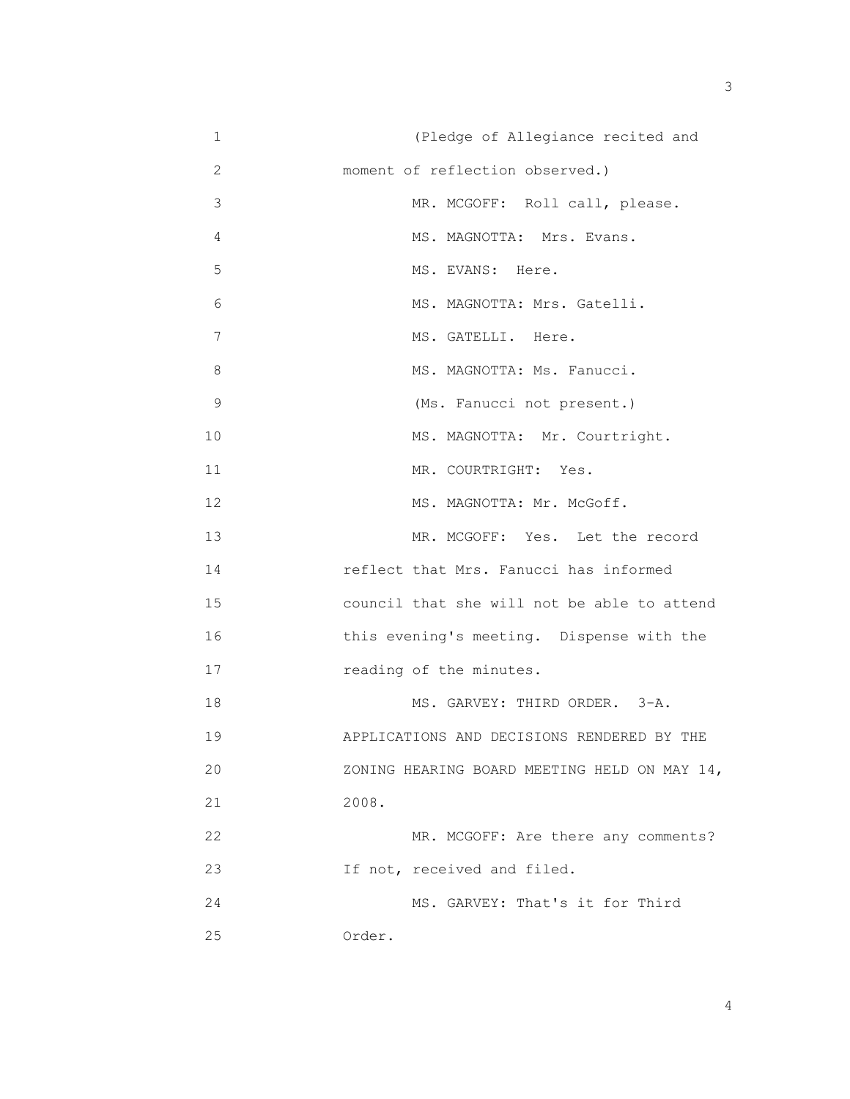| $1\,$       | (Pledge of Allegiance recited and            |
|-------------|----------------------------------------------|
| 2           | moment of reflection observed.)              |
| 3           | MR. MCGOFF: Roll call, please.               |
| 4           | MS. MAGNOTTA: Mrs. Evans.                    |
| 5           | MS. EVANS: Here.                             |
| 6           | MS. MAGNOTTA: Mrs. Gatelli.                  |
| 7           | MS. GATELLI. Here.                           |
| 8           | MS. MAGNOTTA: Ms. Fanucci.                   |
| $\mathsf 9$ | (Ms. Fanucci not present.)                   |
| 10          | MS. MAGNOTTA: Mr. Courtright.                |
| 11          | MR. COURTRIGHT: Yes.                         |
| 12          | MS. MAGNOTTA: Mr. McGoff.                    |
| 13          | MR. MCGOFF: Yes. Let the record              |
| 14          | reflect that Mrs. Fanucci has informed       |
| 15          | council that she will not be able to attend  |
| 16          | this evening's meeting. Dispense with the    |
| 17          | reading of the minutes.                      |
| 18          | MS. GARVEY: THIRD ORDER. 3-A.                |
| 19          | APPLICATIONS AND DECISIONS RENDERED BY THE   |
| 20          | ZONING HEARING BOARD MEETING HELD ON MAY 14, |
| 21          | 2008.                                        |
| 22          | MR. MCGOFF: Are there any comments?          |
| 23          | If not, received and filed.                  |
| 24          | MS. GARVEY: That's it for Third              |
| 25          | Order.                                       |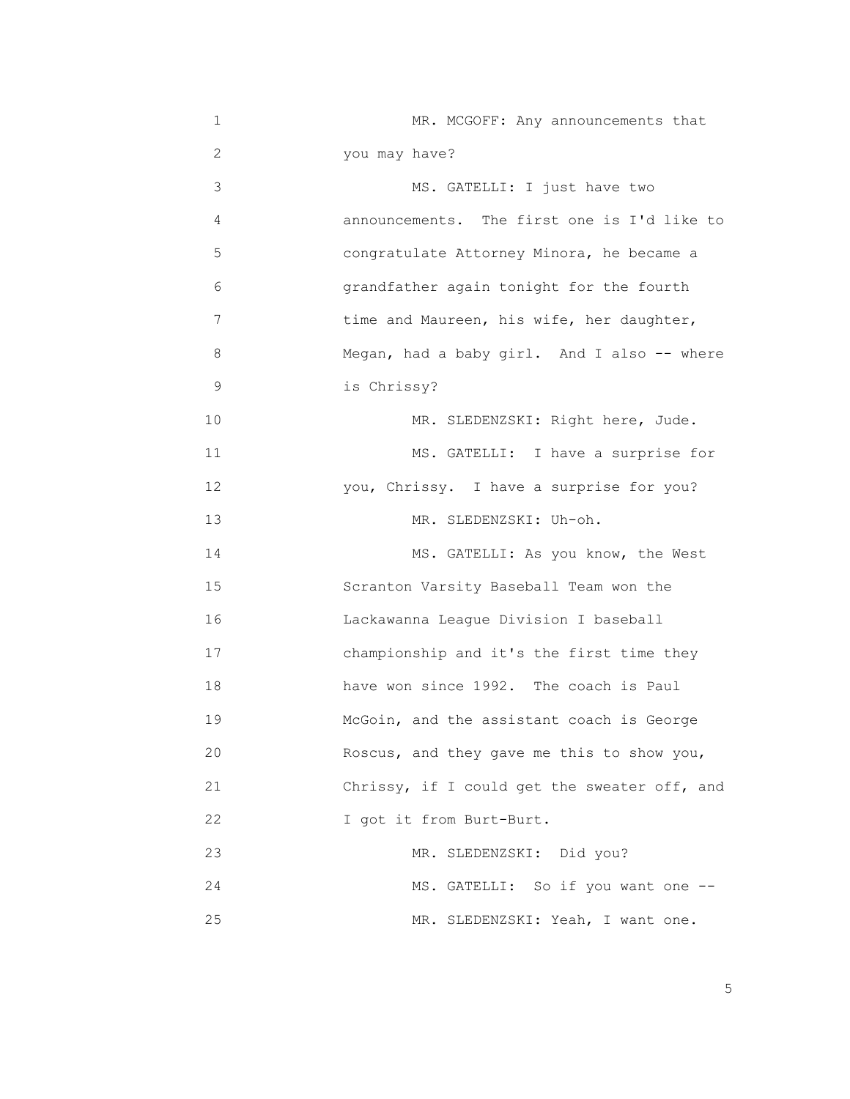| 1  | MR. MCGOFF: Any announcements that           |
|----|----------------------------------------------|
| 2  | you may have?                                |
| 3  | MS. GATELLI: I just have two                 |
| 4  | announcements. The first one is I'd like to  |
| 5  | congratulate Attorney Minora, he became a    |
| 6  | grandfather again tonight for the fourth     |
| 7  | time and Maureen, his wife, her daughter,    |
| 8  | Megan, had a baby girl. And I also -- where  |
| 9  | is Chrissy?                                  |
| 10 | MR. SLEDENZSKI: Right here, Jude.            |
| 11 | MS. GATELLI: I have a surprise for           |
| 12 | you, Chrissy. I have a surprise for you?     |
| 13 | MR. SLEDENZSKI: Uh-oh.                       |
| 14 | MS. GATELLI: As you know, the West           |
| 15 | Scranton Varsity Baseball Team won the       |
| 16 | Lackawanna League Division I baseball        |
| 17 | championship and it's the first time they    |
| 18 | have won since 1992. The coach is Paul       |
| 19 | McGoin, and the assistant coach is George    |
| 20 | Roscus, and they gave me this to show you,   |
| 21 | Chrissy, if I could get the sweater off, and |
| 22 | I got it from Burt-Burt.                     |
| 23 | MR. SLEDENZSKI: Did you?                     |
| 24 | MS. GATELLI: So if you want one --           |
| 25 | MR. SLEDENZSKI: Yeah, I want one.            |

the contract of the contract of the contract of the contract of the contract of the contract of the contract of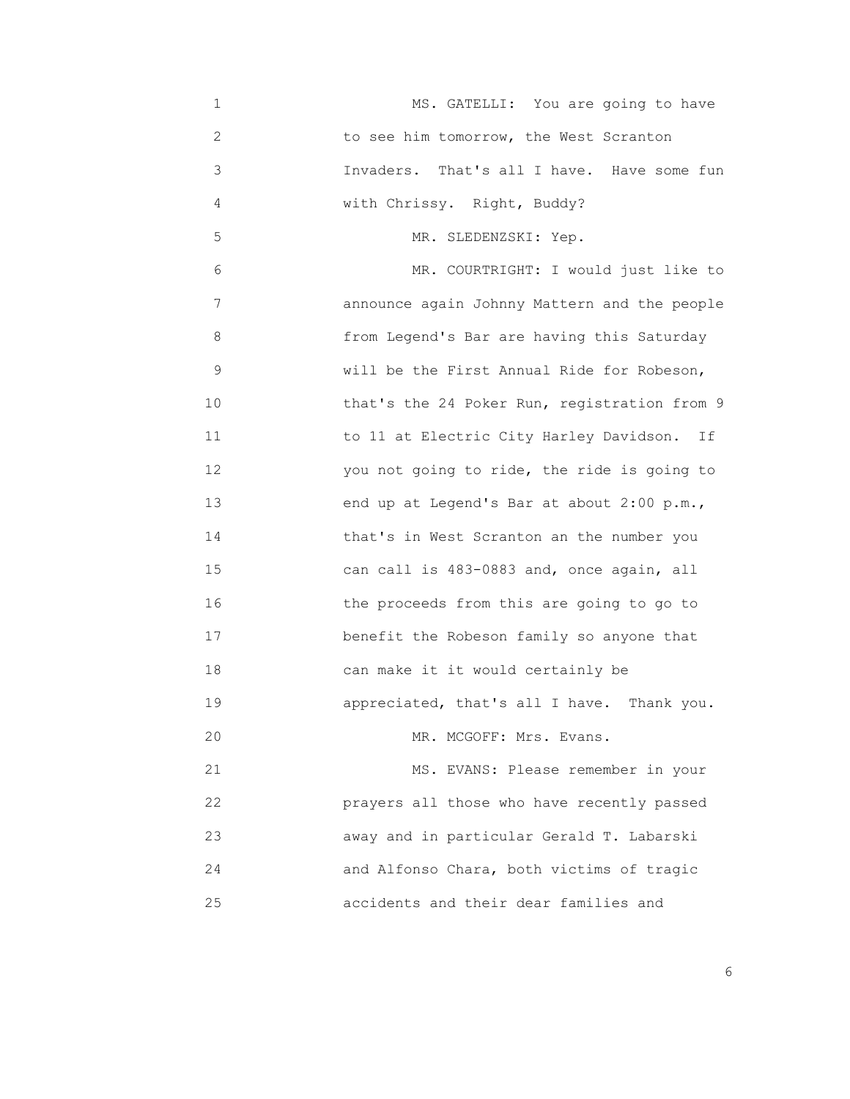| 1  | MS. GATELLI: You are going to have            |
|----|-----------------------------------------------|
| 2  | to see him tomorrow, the West Scranton        |
| 3  | Invaders.<br>That's all I have. Have some fun |
| 4  | with Chrissy. Right, Buddy?                   |
| 5  | MR. SLEDENZSKI: Yep.                          |
| 6  | MR. COURTRIGHT: I would just like to          |
| 7  | announce again Johnny Mattern and the people  |
| 8  | from Legend's Bar are having this Saturday    |
| 9  | will be the First Annual Ride for Robeson,    |
| 10 | that's the 24 Poker Run, registration from 9  |
| 11 | to 11 at Electric City Harley Davidson.<br>Ιf |
| 12 | you not going to ride, the ride is going to   |
| 13 | end up at Legend's Bar at about 2:00 p.m.,    |
| 14 | that's in West Scranton an the number you     |
| 15 | can call is 483-0883 and, once again, all     |
| 16 | the proceeds from this are going to go to     |
| 17 | benefit the Robeson family so anyone that     |
| 18 | can make it it would certainly be             |
| 19 | appreciated, that's all I have. Thank you.    |
| 20 | MR. MCGOFF: Mrs. Evans.                       |
| 21 | MS. EVANS: Please remember in your            |
| 22 | prayers all those who have recently passed    |
| 23 | away and in particular Gerald T. Labarski     |
| 24 | and Alfonso Chara, both victims of tragic     |
| 25 | accidents and their dear families and         |

<u>6. In the set of the set of the set of the set of the set of the set of the set of the set of the set of the set of the set of the set of the set of the set of the set of the set of the set of the set of the set of the se</u>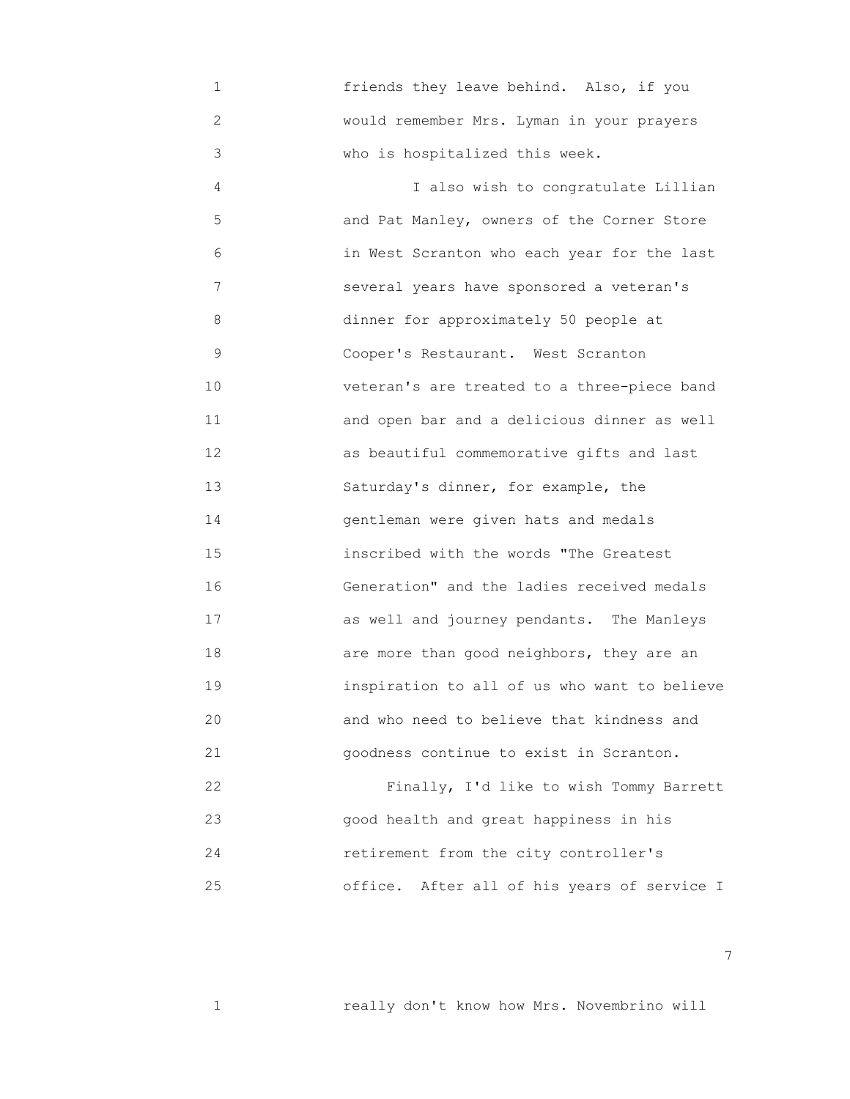1 friends they leave behind. Also, if you 2 would remember Mrs. Lyman in your prayers 3 who is hospitalized this week.

 4 I also wish to congratulate Lillian 5 and Pat Manley, owners of the Corner Store 6 in West Scranton who each year for the last 7 several years have sponsored a veteran's 8 dinner for approximately 50 people at 9 Cooper's Restaurant. West Scranton 10 veteran's are treated to a three-piece band 11 and open bar and a delicious dinner as well 12 as beautiful commemorative gifts and last 13 Saturday's dinner, for example, the 14 gentleman were given hats and medals 15 inscribed with the words "The Greatest 16 Generation" and the ladies received medals 17 as well and journey pendants. The Manleys 18 are more than good neighbors, they are an 19 inspiration to all of us who want to believe 20 and who need to believe that kindness and 21 goodness continue to exist in Scranton.

 22 Finally, I'd like to wish Tommy Barrett 23 good health and great happiness in his 24 retirement from the city controller's 25 office. After all of his years of service I

7

1 really don't know how Mrs. Novembrino will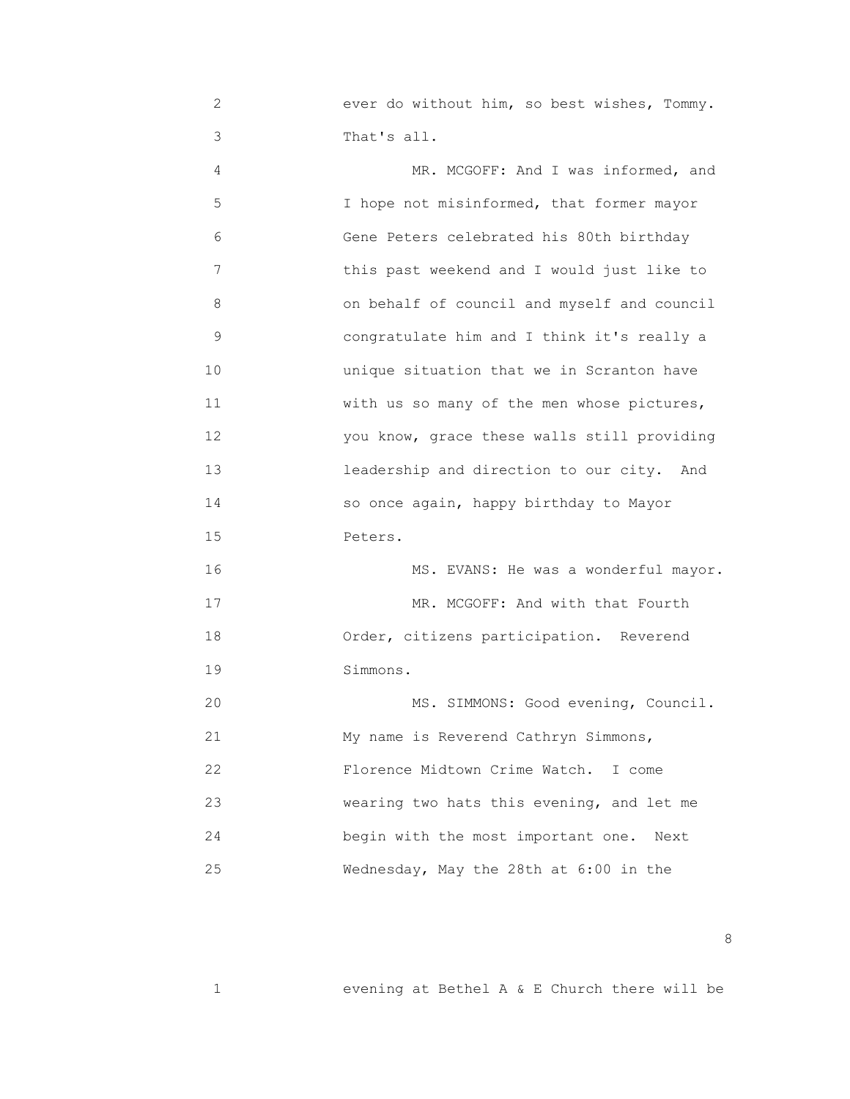2 ever do without him, so best wishes, Tommy. 3 That's all.

 4 MR. MCGOFF: And I was informed, and 5 **I** hope not misinformed, that former mayor 6 Gene Peters celebrated his 80th birthday 7 this past weekend and I would just like to 8 on behalf of council and myself and council 9 congratulate him and I think it's really a 10 unique situation that we in Scranton have 11 with us so many of the men whose pictures, 12 you know, grace these walls still providing 13 leadership and direction to our city. And 14 so once again, happy birthday to Mayor 15 Peters. 16 MS. EVANS: He was a wonderful mayor. 17 MR. MCGOFF: And with that Fourth 18 Order, citizens participation. Reverend 19 Simmons. 20 MS. SIMMONS: Good evening, Council. 21 My name is Reverend Cathryn Simmons, 22 Florence Midtown Crime Watch. I come 23 wearing two hats this evening, and let me 24 begin with the most important one. Next 25 Wednesday, May the 28th at 6:00 in the

<u>and the state of the state of the state of the state of the state of the state of the state of the state of the state of the state of the state of the state of the state of the state of the state of the state of the state</u>

1 evening at Bethel A & E Church there will be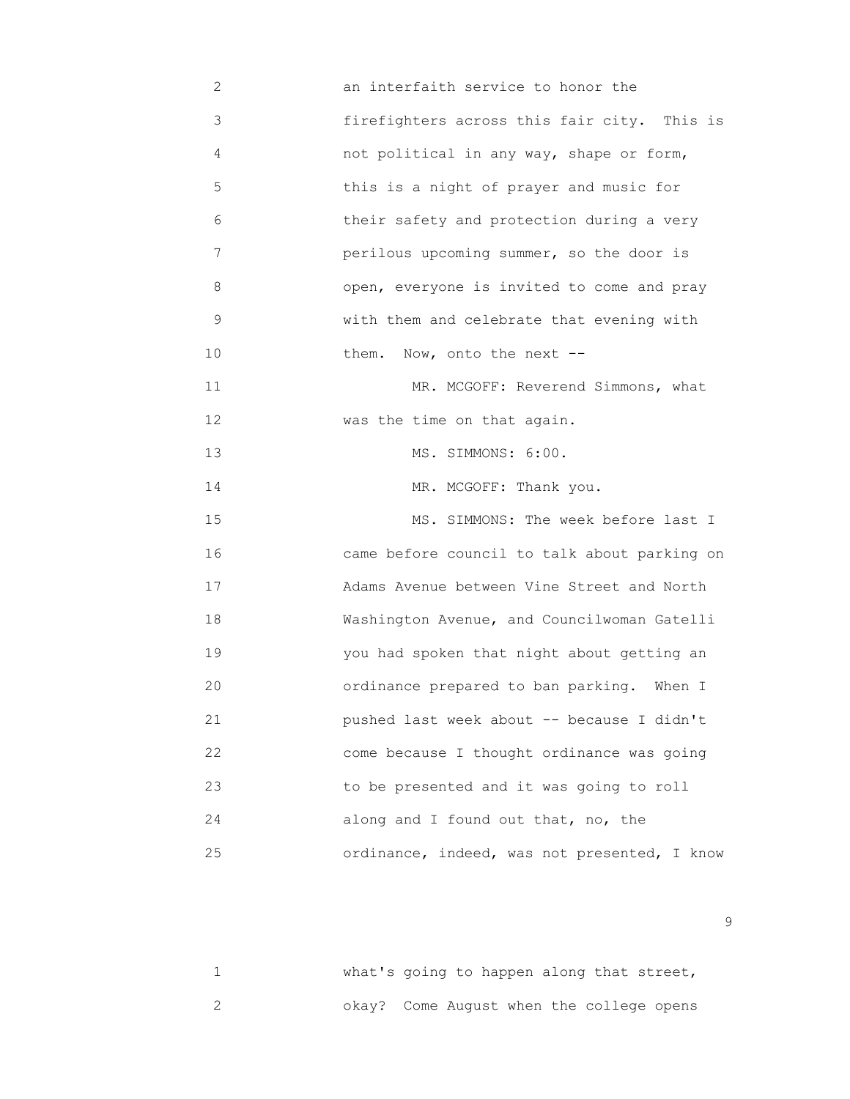2 an interfaith service to honor the 3 firefighters across this fair city. This is 4 not political in any way, shape or form, 5 this is a night of prayer and music for 6 their safety and protection during a very 7 perilous upcoming summer, so the door is 8 open, everyone is invited to come and pray 9 with them and celebrate that evening with 10 **them.** Now, onto the next --11 MR. MCGOFF: Reverend Simmons, what 12 **was the time on that again.**  13 MS. SIMMONS: 6:00. 14 MR. MCGOFF: Thank you. 15 MS. SIMMONS: The week before last I 16 came before council to talk about parking on 17 Adams Avenue between Vine Street and North 18 Washington Avenue, and Councilwoman Gatelli 19 you had spoken that night about getting an 20 ordinance prepared to ban parking. When I 21 pushed last week about -- because I didn't 22 come because I thought ordinance was going 23 to be presented and it was going to roll 24 along and I found out that, no, the 25 ordinance, indeed, was not presented, I know

1 **What's going to happen along that street,** 2 okay? Come August when the college opens

en de la construction de la construction de la construction de la construction de la construction de la constr<br>1990 : la construction de la construction de la construction de la construction de la construction de la const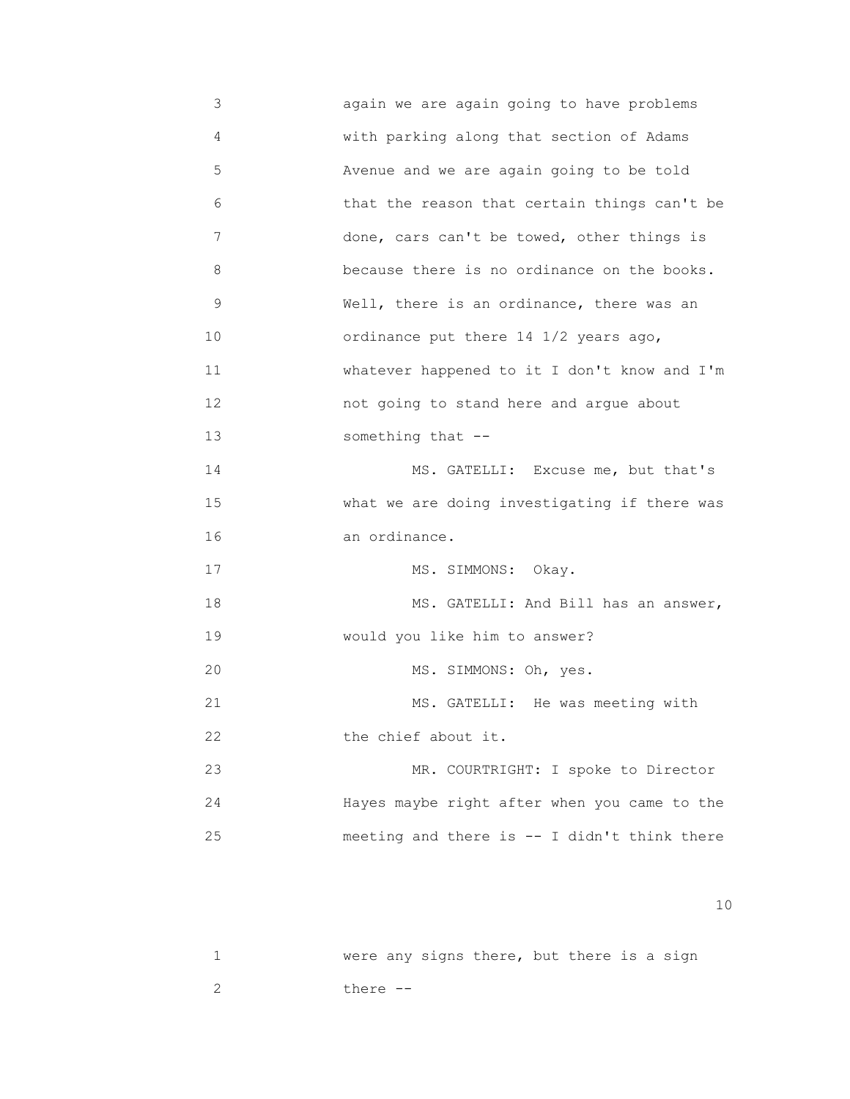3 again we are again going to have problems 4 with parking along that section of Adams 5 Avenue and we are again going to be told 6 that the reason that certain things can't be 7 done, cars can't be towed, other things is 8 because there is no ordinance on the books. 9 Well, there is an ordinance, there was an 10 ordinance put there 14 1/2 years ago, 11 whatever happened to it I don't know and I'm 12 not going to stand here and argue about 13 something that -- 14 MS. GATELLI: Excuse me, but that's 15 what we are doing investigating if there was 16 an ordinance. 17 MS. SIMMONS: Okay. 18 MS. GATELLI: And Bill has an answer, 19 would you like him to answer? 20 MS. SIMMONS: Oh, yes. 21 MS. GATELLI: He was meeting with 22 **the chief about it.** 23 MR. COURTRIGHT: I spoke to Director 24 Hayes maybe right after when you came to the 25 meeting and there is -- I didn't think there

|          |  | were any signs there, but there is a sign |  |  |  |
|----------|--|-------------------------------------------|--|--|--|
| there -- |  |                                           |  |  |  |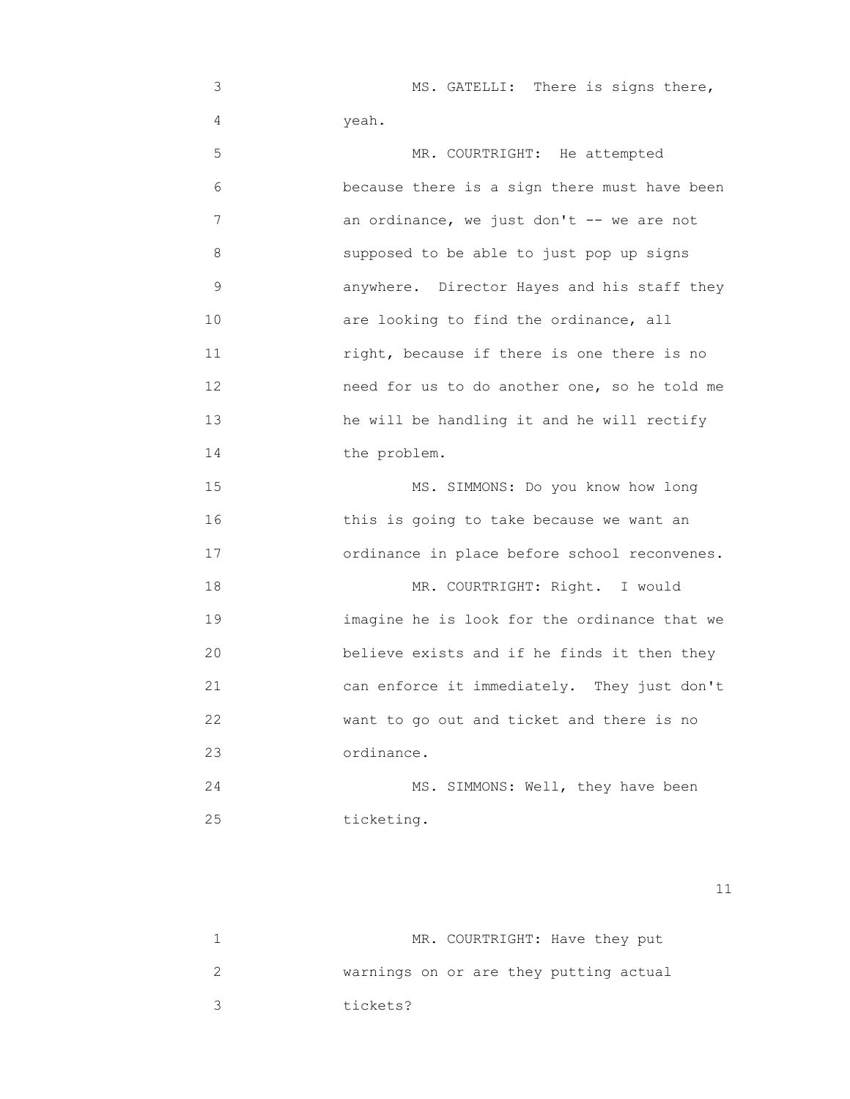3 MS. GATELLI: There is signs there, 4 yeah.

 5 MR. COURTRIGHT: He attempted 6 because there is a sign there must have been 7 an ordinance, we just don't -- we are not 8 supposed to be able to just pop up signs 9 anywhere. Director Hayes and his staff they 10 are looking to find the ordinance, all 11 right, because if there is one there is no 12 need for us to do another one, so he told me 13 he will be handling it and he will rectify 14 the problem. 15 MS. SIMMONS: Do you know how long 16 this is going to take because we want an 17 ordinance in place before school reconvenes.

18 MR. COURTRIGHT: Right. I would 19 imagine he is look for the ordinance that we 20 believe exists and if he finds it then they 21 can enforce it immediately. They just don't 22 want to go out and ticket and there is no 23 ordinance.

 24 MS. SIMMONS: Well, they have been 25 ticketing.

|          | MR. COURTRIGHT: Have they put          |
|----------|----------------------------------------|
|          | warnings on or are they putting actual |
| tickets? |                                        |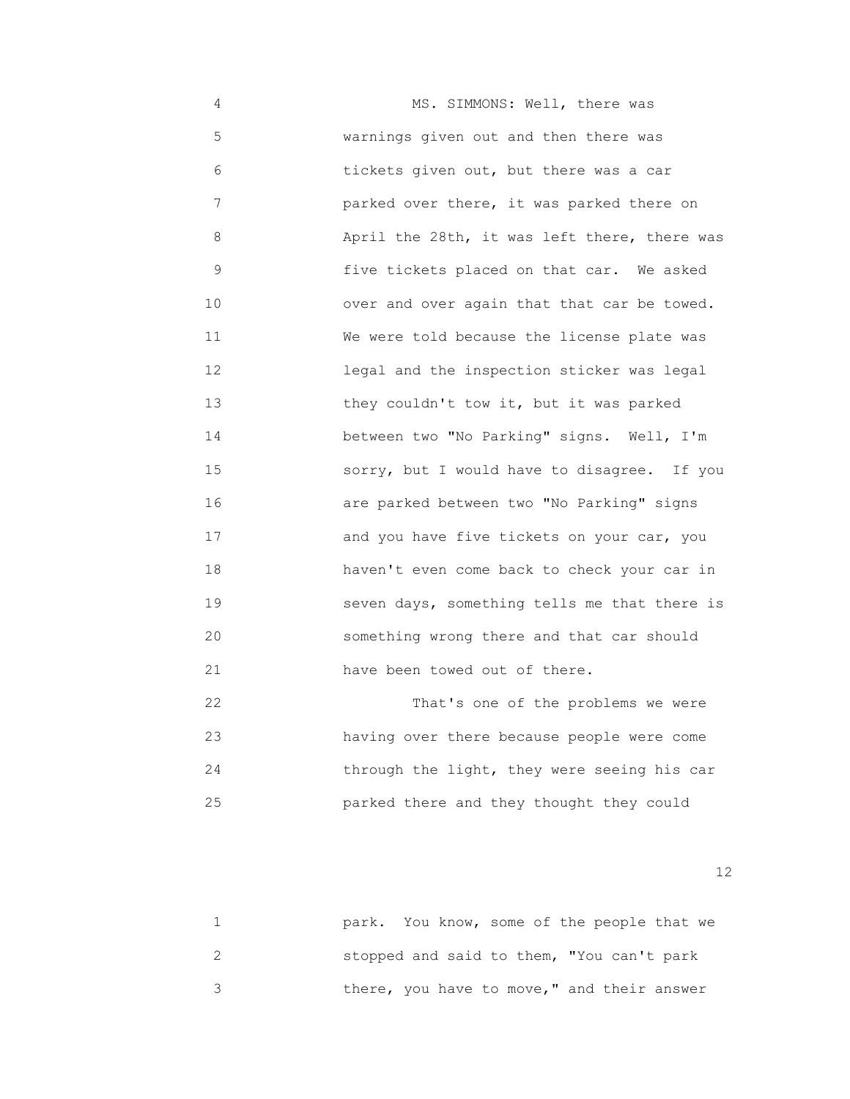4 MS. SIMMONS: Well, there was 5 warnings given out and then there was 6 tickets given out, but there was a car 7 parked over there, it was parked there on 8 April the 28th, it was left there, there was 9 five tickets placed on that car. We asked 10 over and over again that that car be towed. 11 We were told because the license plate was 12 legal and the inspection sticker was legal 13 they couldn't tow it, but it was parked 14 between two "No Parking" signs. Well, I'm 15 sorry, but I would have to disagree. If you 16 are parked between two "No Parking" signs 17 and you have five tickets on your car, you 18 haven't even come back to check your car in 19 seven days, something tells me that there is 20 something wrong there and that car should 21 have been towed out of there.

 22 That's one of the problems we were 23 having over there because people were come 24 through the light, they were seeing his car 25 parked there and they thought they could

| park. You know, some of the people that we |
|--------------------------------------------|
| stopped and said to them, "You can't park  |
| there, you have to move," and their answer |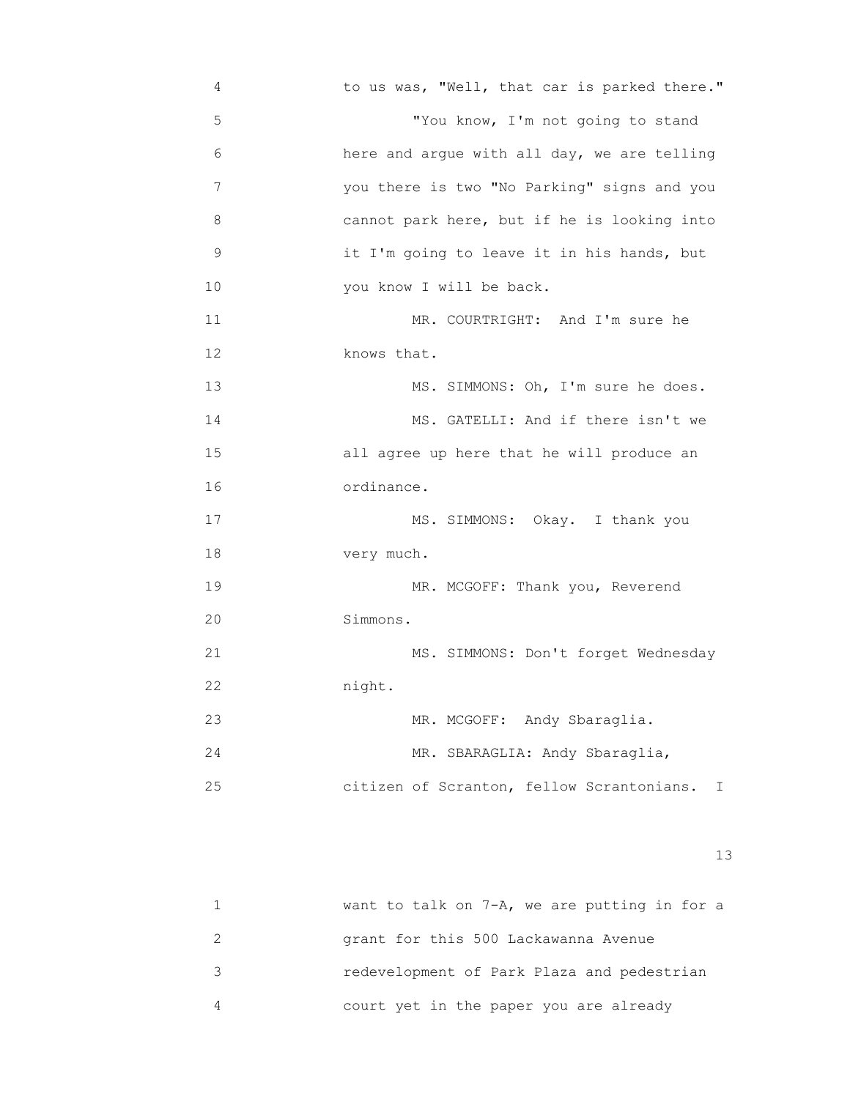4 to us was, "Well, that car is parked there." 5 "You know, I'm not going to stand 6 here and argue with all day, we are telling 7 you there is two "No Parking" signs and you 8 cannot park here, but if he is looking into 9 it I'm going to leave it in his hands, but 10 you know I will be back. 11 MR. COURTRIGHT: And I'm sure he 12 knows that. 13 MS. SIMMONS: Oh, I'm sure he does. 14 MS. GATELLI: And if there isn't we 15 all agree up here that he will produce an 16 ordinance. 17 MS. SIMMONS: Okay. I thank you 18 very much. 19 MR. MCGOFF: Thank you, Reverend 20 Simmons. 21 MS. SIMMONS: Don't forget Wednesday 22 night. 23 MR. MCGOFF: Andy Sbaraglia. 24 MR. SBARAGLIA: Andy Sbaraglia, 25 citizen of Scranton, fellow Scrantonians. I

13<sup>3</sup>

| want to talk on $7-A$ , we are putting in for a |
|-------------------------------------------------|
| grant for this 500 Lackawanna Avenue            |
| redevelopment of Park Plaza and pedestrian      |
| court yet in the paper you are already          |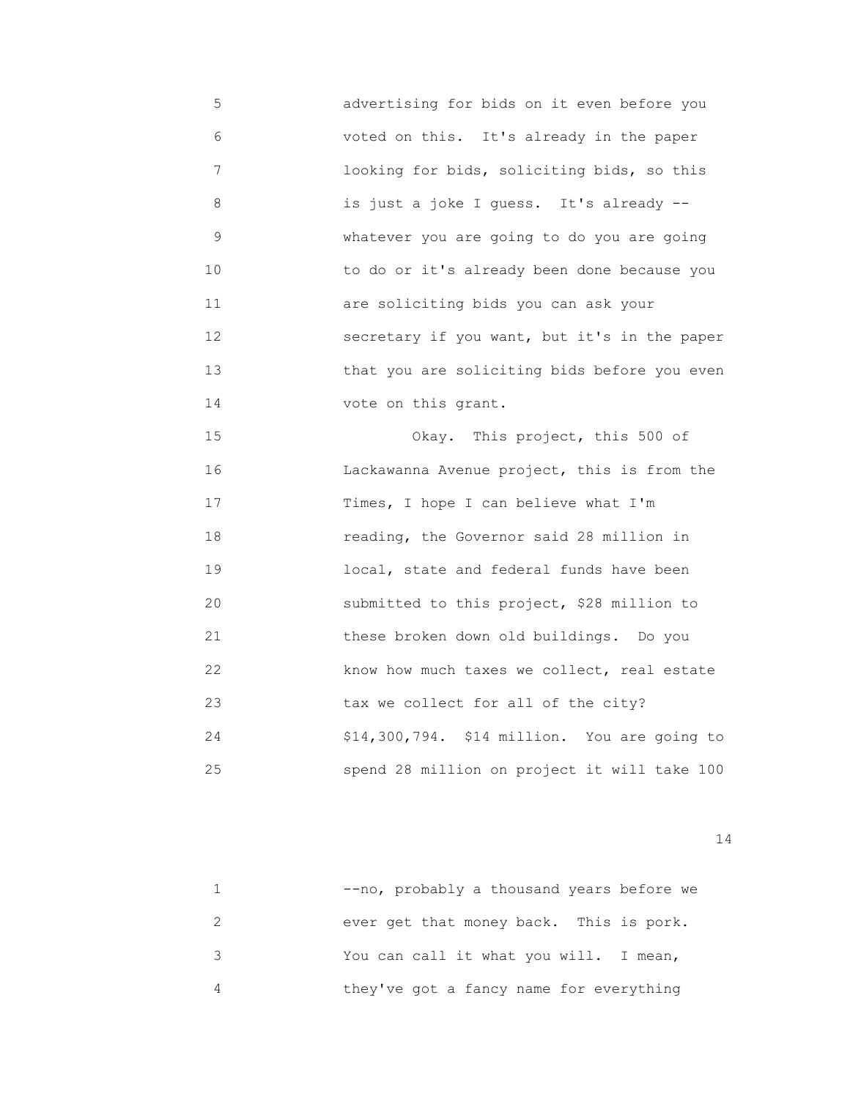5 advertising for bids on it even before you 6 voted on this. It's already in the paper 7 looking for bids, soliciting bids, so this 8 is just a joke I guess. It's already -- 9 whatever you are going to do you are going 10 to do or it's already been done because you 11 are soliciting bids you can ask your 12 secretary if you want, but it's in the paper 13 that you are soliciting bids before you even 14 vote on this grant.

 15 Okay. This project, this 500 of 16 **India Lackawanna Avenue project, this is from the** 17 Times, I hope I can believe what I'm 18 reading, the Governor said 28 million in 19 local, state and federal funds have been 20 submitted to this project, \$28 million to 21 these broken down old buildings. Do you 22 **how how much taxes we collect, real estate**  23 tax we collect for all of the city? 24 \$14,300,794. \$14 million. You are going to 25 spend 28 million on project it will take 100

| --no, probably a thousand years before we |
|-------------------------------------------|
| ever get that money back. This is pork.   |
| You can call it what you will. I mean,    |
| they've got a fancy name for everything   |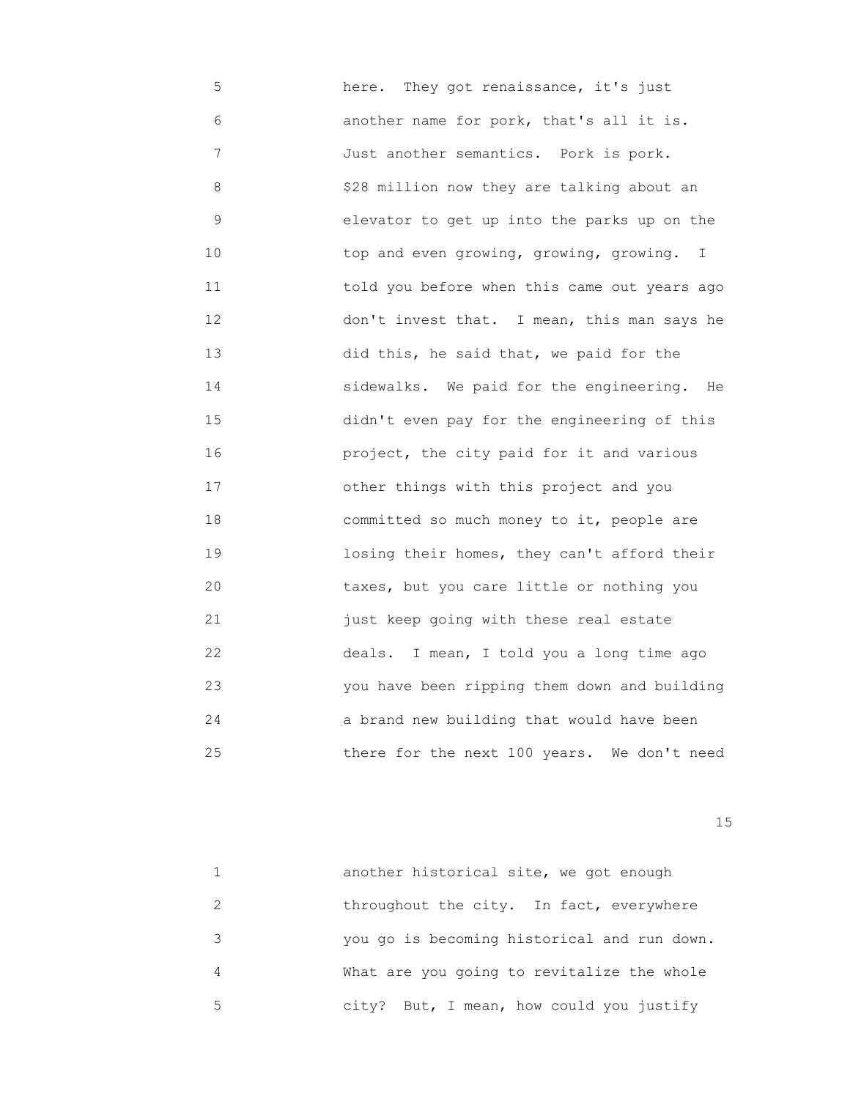5 here. They got renaissance, it's just 6 another name for pork, that's all it is. 7 Just another semantics. Pork is pork. 8 \$28 million now they are talking about an 9 elevator to get up into the parks up on the 10 top and even growing, growing, growing. I 11 told you before when this came out years ago 12 don't invest that. I mean, this man says he 13 did this, he said that, we paid for the 14 sidewalks. We paid for the engineering. He 15 didn't even pay for the engineering of this 16 project, the city paid for it and various 17 other things with this project and you 18 committed so much money to it, people are 19 losing their homes, they can't afford their 20 taxes, but you care little or nothing you 21 just keep going with these real estate 22 deals. I mean, I told you a long time ago 23 you have been ripping them down and building 24 a brand new building that would have been 25 there for the next 100 years. We don't need

15 and 15 and 15 and 15 and 15 and 15 and 15 and 15 and 15 and 15 and 15 and 15 and 15 and 15 and 15

|               | another historical site, we got enough      |
|---------------|---------------------------------------------|
| $\mathcal{P}$ | throughout the city. In fact, everywhere    |
| २             | you go is becoming historical and run down. |
| 4             | What are you going to revitalize the whole  |
| 5             | city? But, I mean, how could you justify    |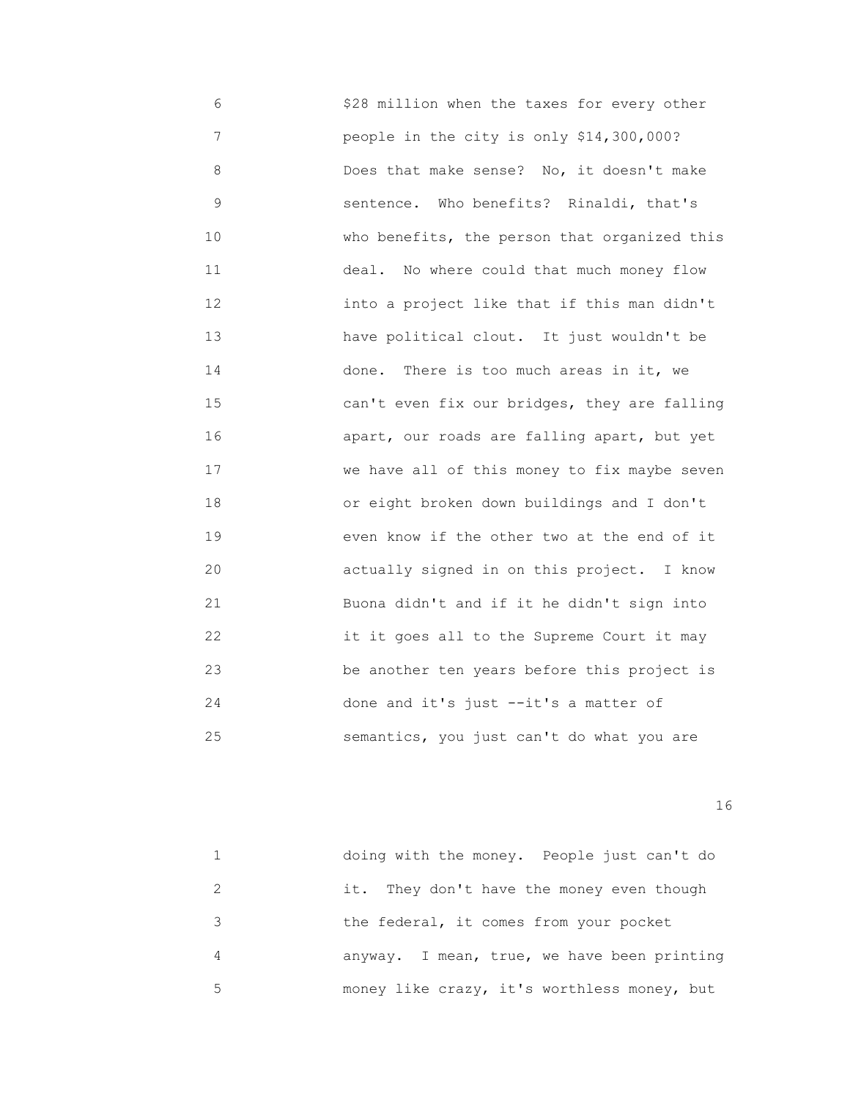6 \$28 million when the taxes for every other 7 people in the city is only \$14,300,000? 8 Does that make sense? No, it doesn't make 9 sentence. Who benefits? Rinaldi, that's 10 **who benefits, the person that organized this**  11 deal. No where could that much money flow 12 into a project like that if this man didn't 13 have political clout. It just wouldn't be 14 done. There is too much areas in it, we 15 can't even fix our bridges, they are falling 16 apart, our roads are falling apart, but yet 17 **WE WARE ALL OF this money to fix maybe seven**  18 or eight broken down buildings and I don't 19 even know if the other two at the end of it 20 actually signed in on this project. I know 21 Buona didn't and if it he didn't sign into 22 it it goes all to the Supreme Court it may 23 be another ten years before this project is 24 done and it's just --it's a matter of 25 semantics, you just can't do what you are

|    | doing with the money. People just can't do  |
|----|---------------------------------------------|
|    | it. They don't have the money even though   |
| २  | the federal, it comes from your pocket      |
| 4  | anyway. I mean, true, we have been printing |
| 5. | money like crazy, it's worthless money, but |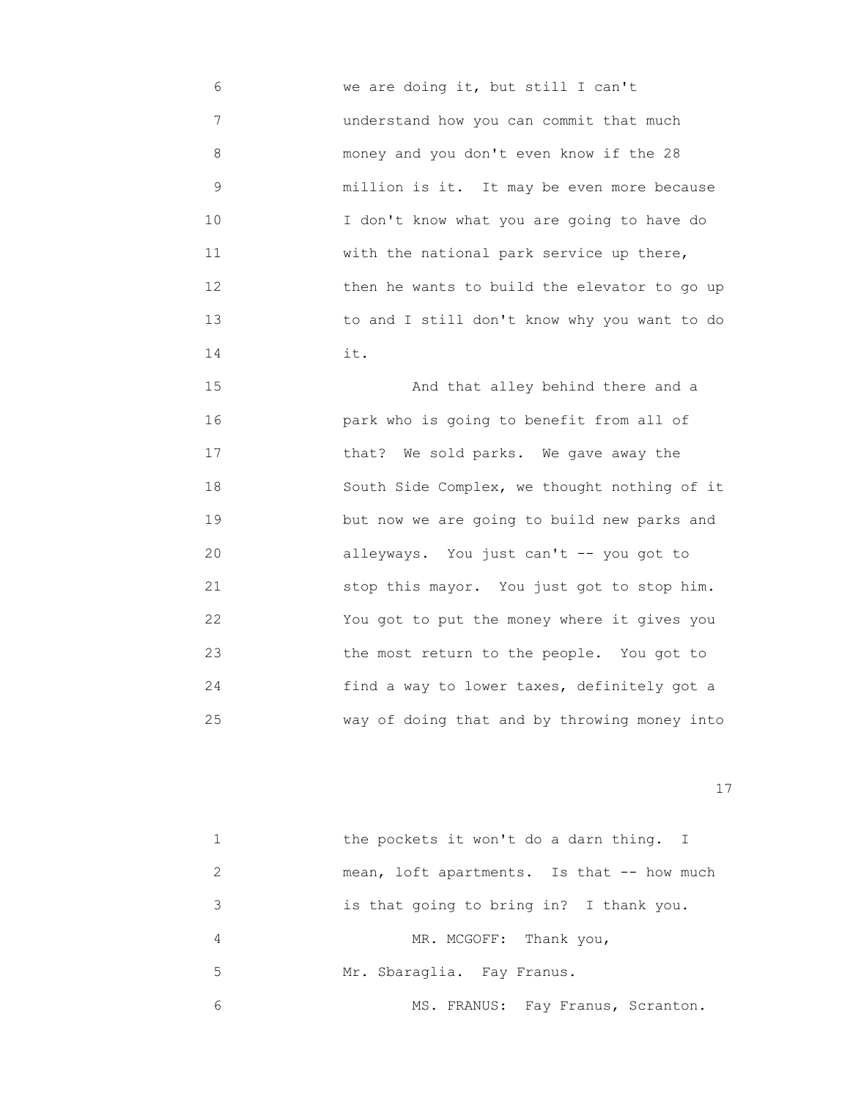6 we are doing it, but still I can't 7 understand how you can commit that much 8 money and you don't even know if the 28 9 million is it. It may be even more because 10 I don't know what you are going to have do 11 With the national park service up there, 12 then he wants to build the elevator to go up 13 to and I still don't know why you want to do 14 it.

> 15 And that alley behind there and a 16 park who is going to benefit from all of 17 that? We sold parks. We gave away the 18 South Side Complex, we thought nothing of it 19 but now we are going to build new parks and 20 alleyways. You just can't -- you got to 21 stop this mayor. You just got to stop him. 22 You got to put the money where it gives you 23 the most return to the people. You got to 24 find a way to lower taxes, definitely got a 25 way of doing that and by throwing money into

|   | the pockets it won't do a darn thing. I    |
|---|--------------------------------------------|
| 2 | mean, loft apartments. Is that -- how much |
| 3 | is that going to bring in? I thank you.    |
| 4 | MR. MCGOFF:<br>Thank you,                  |
| 5 | Mr. Sbaraglia. Fay Franus.                 |
| 6 | MS. FRANUS: Fay Franus, Scranton.          |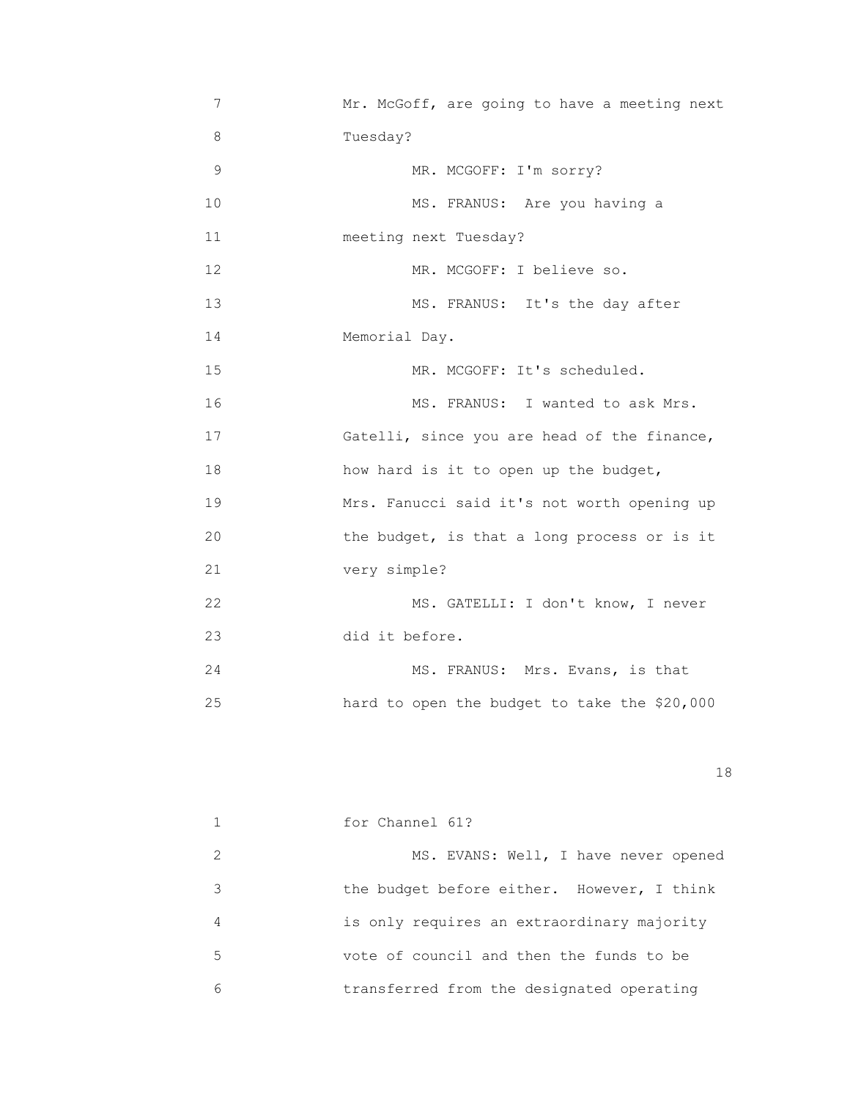| 7             | Mr. McGoff, are going to have a meeting next |
|---------------|----------------------------------------------|
| 8             | Tuesday?                                     |
| $\mathcal{G}$ | MR. MCGOFF: I'm sorry?                       |
| 10            | MS. FRANUS: Are you having a                 |
| 11            | meeting next Tuesday?                        |
| 12            | MR. MCGOFF: I believe so.                    |
| 13            | MS. FRANUS: It's the day after               |
| 14            | Memorial Day.                                |
| 15            | MR. MCGOFF: It's scheduled.                  |
| 16            | MS. FRANUS: I wanted to ask Mrs.             |
| 17            | Gatelli, since you are head of the finance,  |
| 18            | how hard is it to open up the budget,        |
| 19            | Mrs. Fanucci said it's not worth opening up  |
| 20            | the budget, is that a long process or is it  |
| 21            | very simple?                                 |
| 22            | MS. GATELLI: I don't know, I never           |
| 23            | did it before.                               |
| 24            | MS. FRANUS: Mrs. Evans, is that              |
| 25            | hard to open the budget to take the \$20,000 |
|               |                                              |

|                             | for Channel 61?                            |
|-----------------------------|--------------------------------------------|
| $\mathcal{D}_{\mathcal{A}}$ | MS. EVANS: Well, I have never opened       |
| 3                           | the budget before either. However, I think |
| 4                           | is only requires an extraordinary majority |
| 5                           | vote of council and then the funds to be   |
| 6                           | transferred from the designated operating  |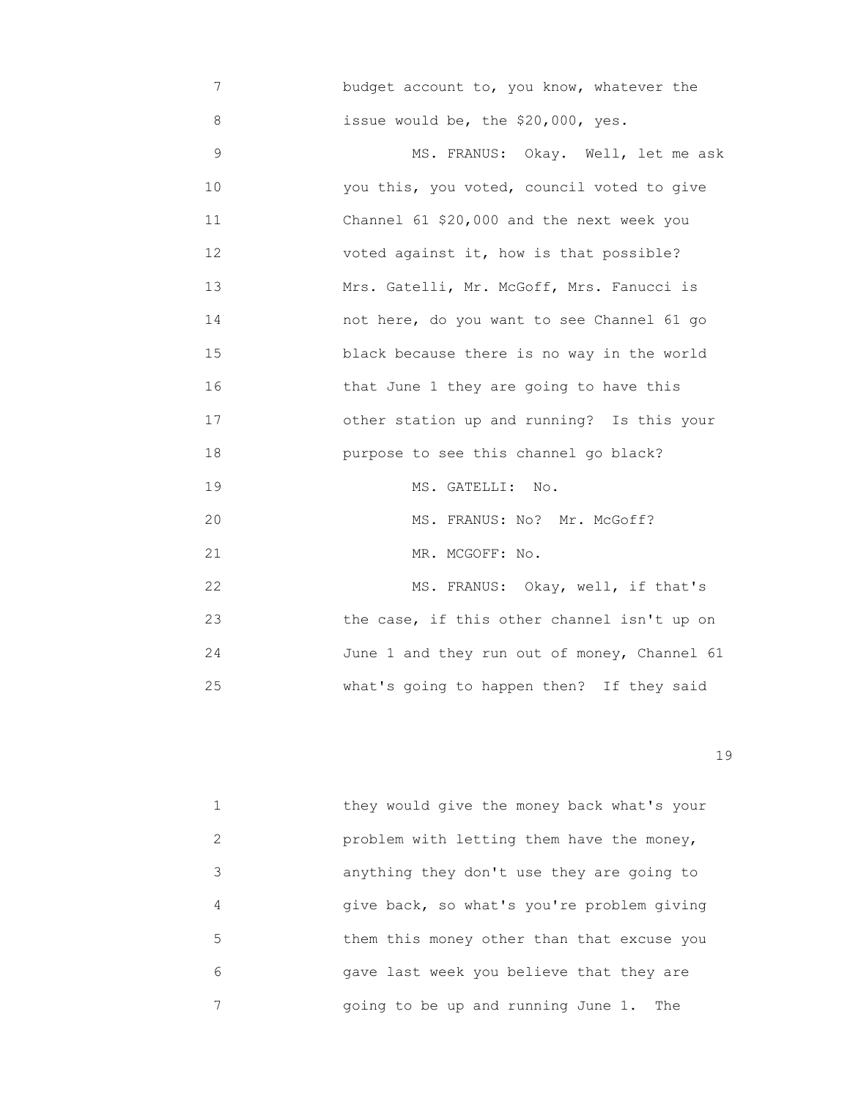7 budget account to, you know, whatever the 8 issue would be, the \$20,000, yes.

9 MS. FRANUS: Okay. Well, let me ask 10 you this, you voted, council voted to give 11 Channel 61 \$20,000 and the next week you 12 voted against it, how is that possible? 13 Mrs. Gatelli, Mr. McGoff, Mrs. Fanucci is 14 not here, do you want to see Channel 61 go 15 black because there is no way in the world 16 that June 1 they are going to have this 17 other station up and running? Is this your 18 purpose to see this channel go black? 19 MS. GATELLI: No. 20 MS. FRANUS: No? Mr. McGoff? 21 MR. MCGOFF: No. 22 MS. FRANUS: Okay, well, if that's 23 the case, if this other channel isn't up on 24 June 1 and they run out of money, Channel 61 25 what's going to happen then? If they said

19

 1 they would give the money back what's your 2 problem with letting them have the money, 3 anything they don't use they are going to 4 give back, so what's you're problem giving 5 them this money other than that excuse you 6 gave last week you believe that they are 7 going to be up and running June 1. The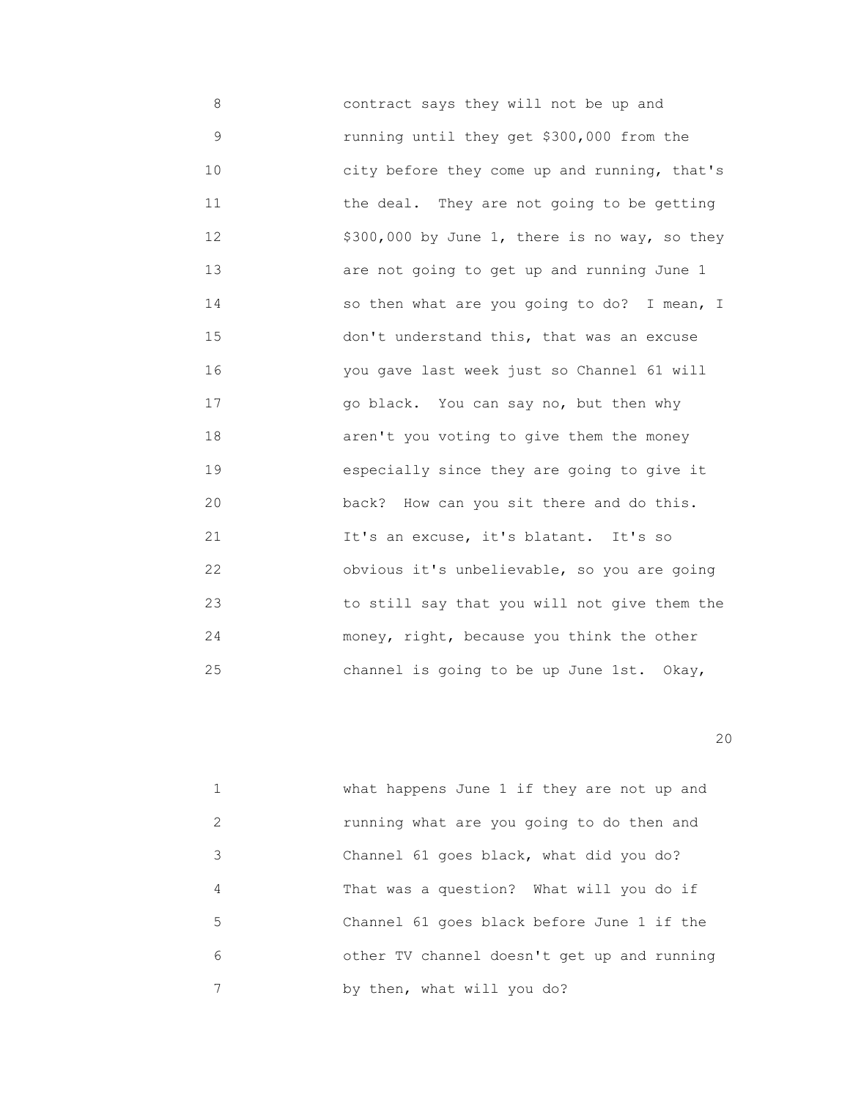8 contract says they will not be up and 9 running until they get \$300,000 from the 10 **10 city before they come up and running, that's**  11 the deal. They are not going to be getting 12 \$300,000 by June 1, there is no way, so they 13 are not going to get up and running June 1 14 so then what are you going to do? I mean, I 15 don't understand this, that was an excuse 16 you gave last week just so Channel 61 will 17 go black. You can say no, but then why 18 aren't you voting to give them the money 19 especially since they are going to give it 20 back? How can you sit there and do this. 21 It's an excuse, it's blatant. It's so 22 obvious it's unbelievable, so you are going 23 to still say that you will not give them the 24 money, right, because you think the other 25 channel is going to be up June 1st. Okay,

|   | what happens June 1 if they are not up and  |
|---|---------------------------------------------|
| 2 | running what are you going to do then and   |
| 3 | Channel 61 goes black, what did you do?     |
| 4 | That was a question? What will you do if    |
| 5 | Channel 61 goes black before June 1 if the  |
| 6 | other TV channel doesn't get up and running |
|   | by then, what will you do?                  |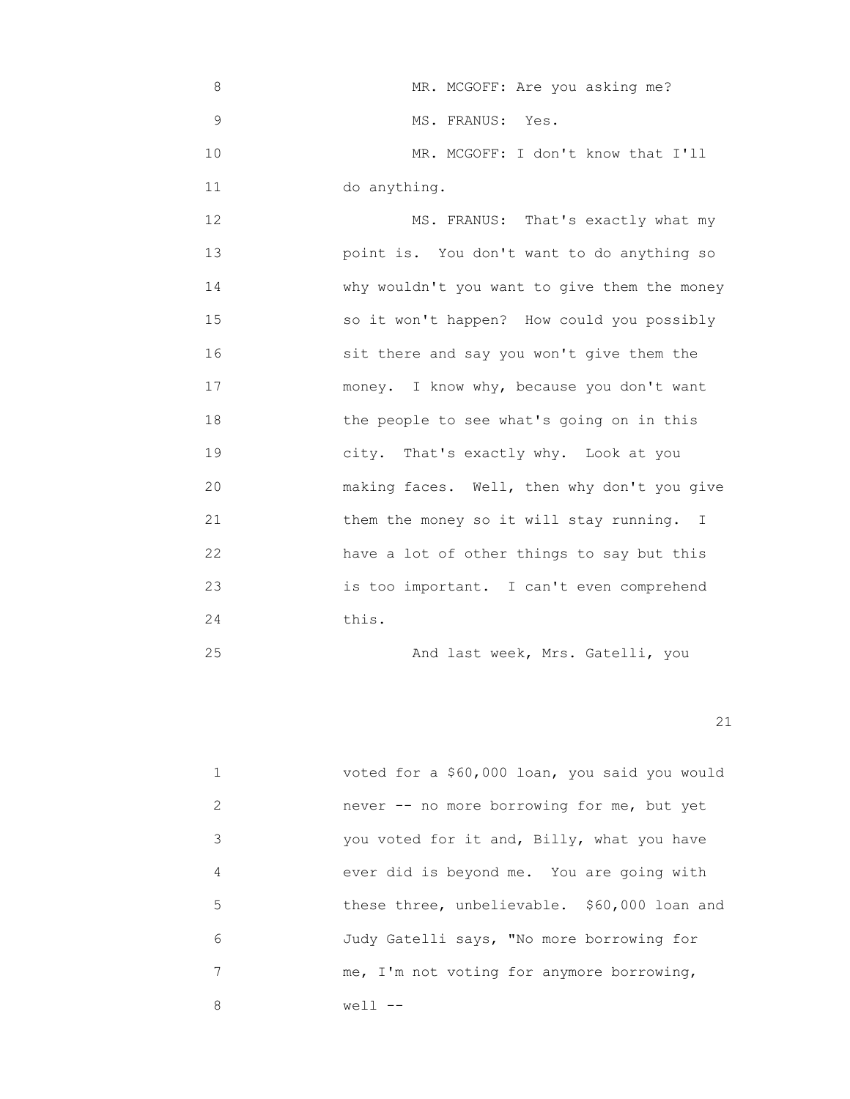8 MR. MCGOFF: Are you asking me? 9 MS. FRANUS: Yes. 10 MR. MCGOFF: I don't know that I'll 11 do anything. 12 MS. FRANUS: That's exactly what my

 13 point is. You don't want to do anything so 14 **Why wouldn't you want to give them the money**  15 so it won't happen? How could you possibly 16 sit there and say you won't give them the 17 money. I know why, because you don't want 18 the people to see what's going on in this 19 city. That's exactly why. Look at you 20 making faces. Well, then why don't you give 21 them the money so it will stay running. I 22 have a lot of other things to say but this 23 is too important. I can't even comprehend 24 this.

25 And last week, Mrs. Gatelli, you

|               | voted for a \$60,000 loan, you said you would |
|---------------|-----------------------------------------------|
| $\mathcal{L}$ | never -- no more borrowing for me, but yet    |
| 3             | you voted for it and, Billy, what you have    |
| 4             | ever did is beyond me. You are going with     |
| 5             | these three, unbelievable. \$60,000 loan and  |
| 6             | Judy Gatelli says, "No more borrowing for     |
|               | me, I'm not voting for anymore borrowing,     |
| 8             | well                                          |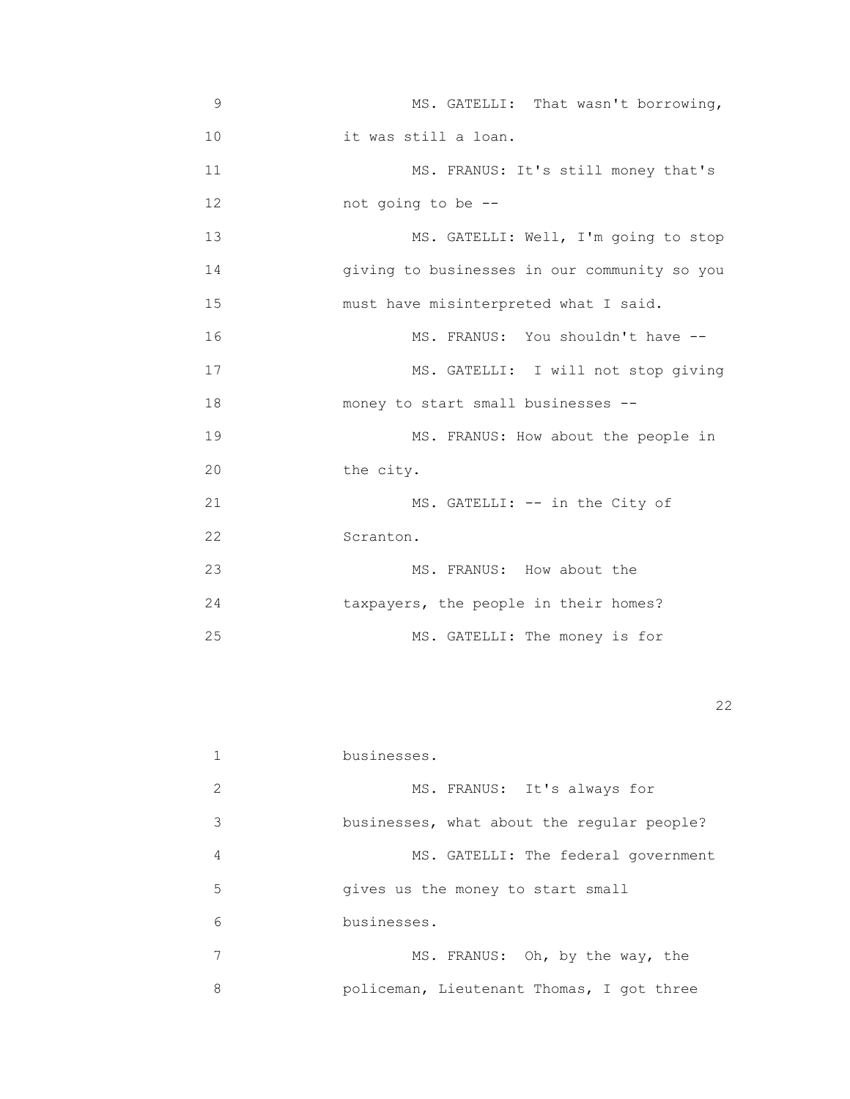| 9  | MS. GATELLI: That wasn't borrowing,          |
|----|----------------------------------------------|
| 10 | it was still a loan.                         |
| 11 | MS. FRANUS: It's still money that's          |
| 12 | not going to be --                           |
| 13 | MS. GATELLI: Well, I'm going to stop         |
| 14 | giving to businesses in our community so you |
| 15 | must have misinterpreted what I said.        |
| 16 | MS. FRANUS: You shouldn't have --            |
| 17 | MS. GATELLI: I will not stop giving          |
| 18 | money to start small businesses --           |
| 19 | MS. FRANUS: How about the people in          |
| 20 | the city.                                    |
| 21 | MS. GATELLI: -- in the City of               |
| 22 | Scranton.                                    |
| 23 | MS. FRANUS: How about the                    |
| 24 | taxpayers, the people in their homes?        |
| 25 | MS. GATELLI: The money is for                |

22 and 22 and 23 and 23 and 23 and 23 and 23 and 23 and 23 and 23 and 23 and 23 and 23 and 23 and 23 and 23 an

|               | businesses.                                |
|---------------|--------------------------------------------|
| $\mathcal{L}$ | MS. FRANUS: It's always for                |
| 3             | businesses, what about the reqular people? |
| 4             | MS. GATELLI: The federal government        |
| 5             | gives us the money to start small          |
| 6             | businesses.                                |
| 7             | MS. FRANUS: Oh, by the way, the            |
| 8             | policeman, Lieutenant Thomas, I got three  |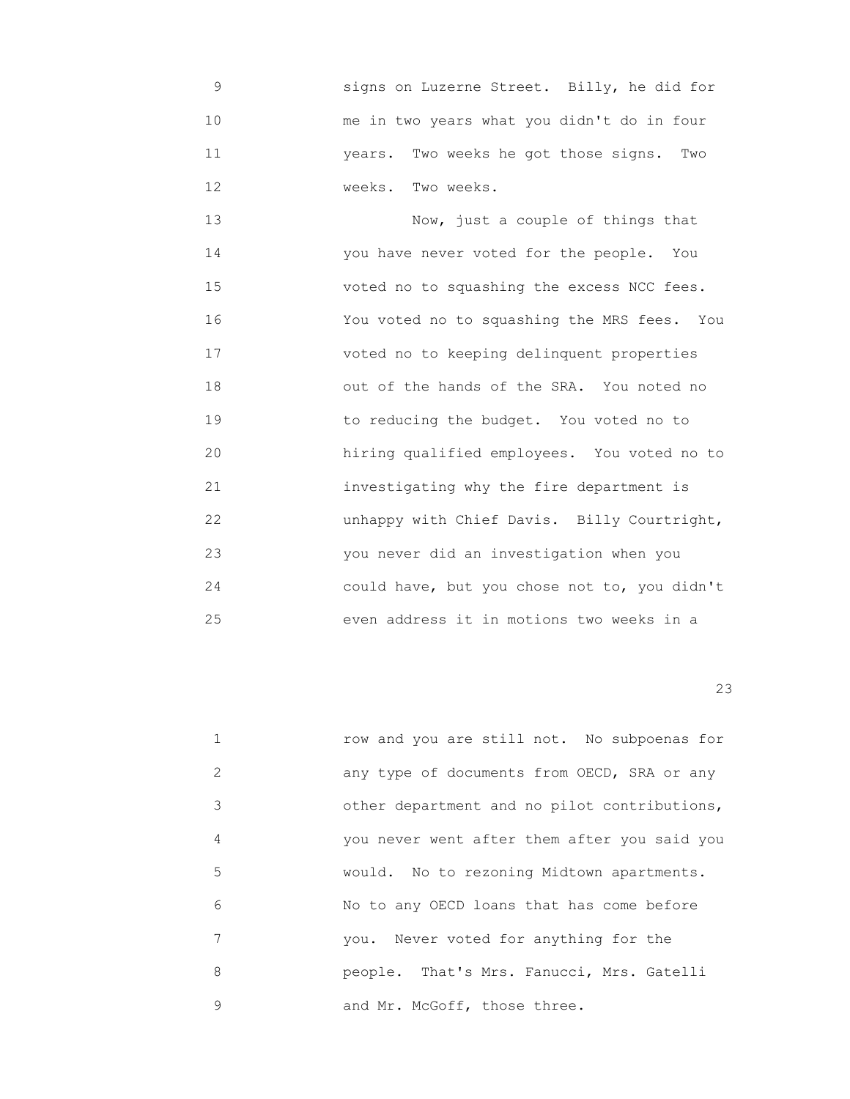9 signs on Luzerne Street. Billy, he did for 10 me in two years what you didn't do in four 11 years. Two weeks he got those signs. Two 12 Weeks. Two weeks.

 13 Now, just a couple of things that 14 you have never voted for the people. You 15 voted no to squashing the excess NCC fees. 16 You voted no to squashing the MRS fees. You 17 voted no to keeping delinquent properties 18 out of the hands of the SRA. You noted no 19 to reducing the budget. You voted no to 20 hiring qualified employees. You voted no to 21 investigating why the fire department is 22 unhappy with Chief Davis. Billy Courtright, 23 you never did an investigation when you 24 could have, but you chose not to, you didn't 25 even address it in motions two weeks in a

|   | row and you are still not. No subpoenas for  |
|---|----------------------------------------------|
| 2 | any type of documents from OECD, SRA or any  |
| 3 | other department and no pilot contributions, |
| 4 | you never went after them after you said you |
| 5 | would. No to rezoning Midtown apartments.    |
| 6 | No to any OECD loans that has come before    |
| 7 | you. Never voted for anything for the        |
| 8 | people. That's Mrs. Fanucci, Mrs. Gatelli    |
| 9 | and Mr. McGoff, those three.                 |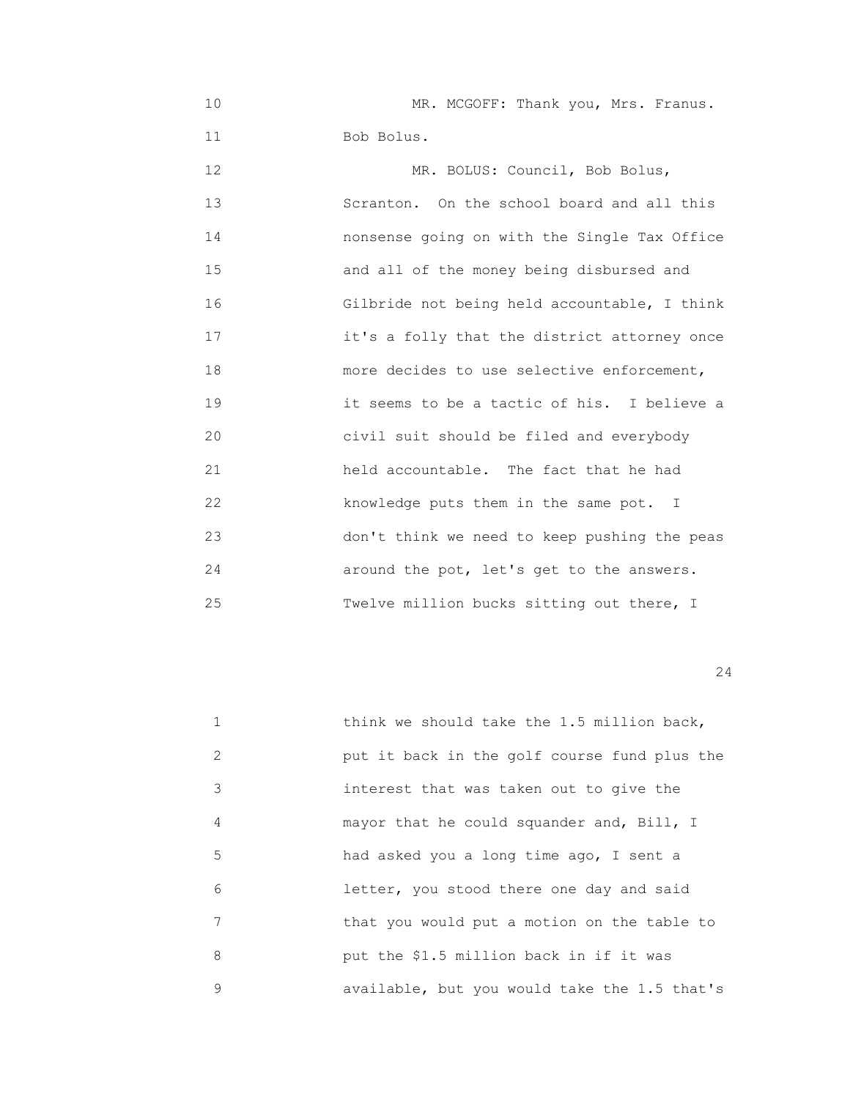10 MR. MCGOFF: Thank you, Mrs. Franus. 11 Bob Bolus.

12 MR. BOLUS: Council, Bob Bolus, 13 Scranton. On the school board and all this 14 nonsense going on with the Single Tax Office 15 and all of the money being disbursed and 16 Gilbride not being held accountable, I think 17 it's a folly that the district attorney once 18 more decides to use selective enforcement, 19 it seems to be a tactic of his. I believe a 20 civil suit should be filed and everybody 21 held accountable. The fact that he had 22 knowledge puts them in the same pot. I 23 don't think we need to keep pushing the peas 24 around the pot, let's get to the answers. 25 Twelve million bucks sitting out there, I

|   | think we should take the 1.5 million back,   |
|---|----------------------------------------------|
| 2 | put it back in the golf course fund plus the |
| 3 | interest that was taken out to give the      |
| 4 | mayor that he could squander and, Bill, I    |
| 5 | had asked you a long time ago, I sent a      |
| 6 | letter, you stood there one day and said     |
| 7 | that you would put a motion on the table to  |
| 8 | put the \$1.5 million back in if it was      |
| 9 | available, but you would take the 1.5 that's |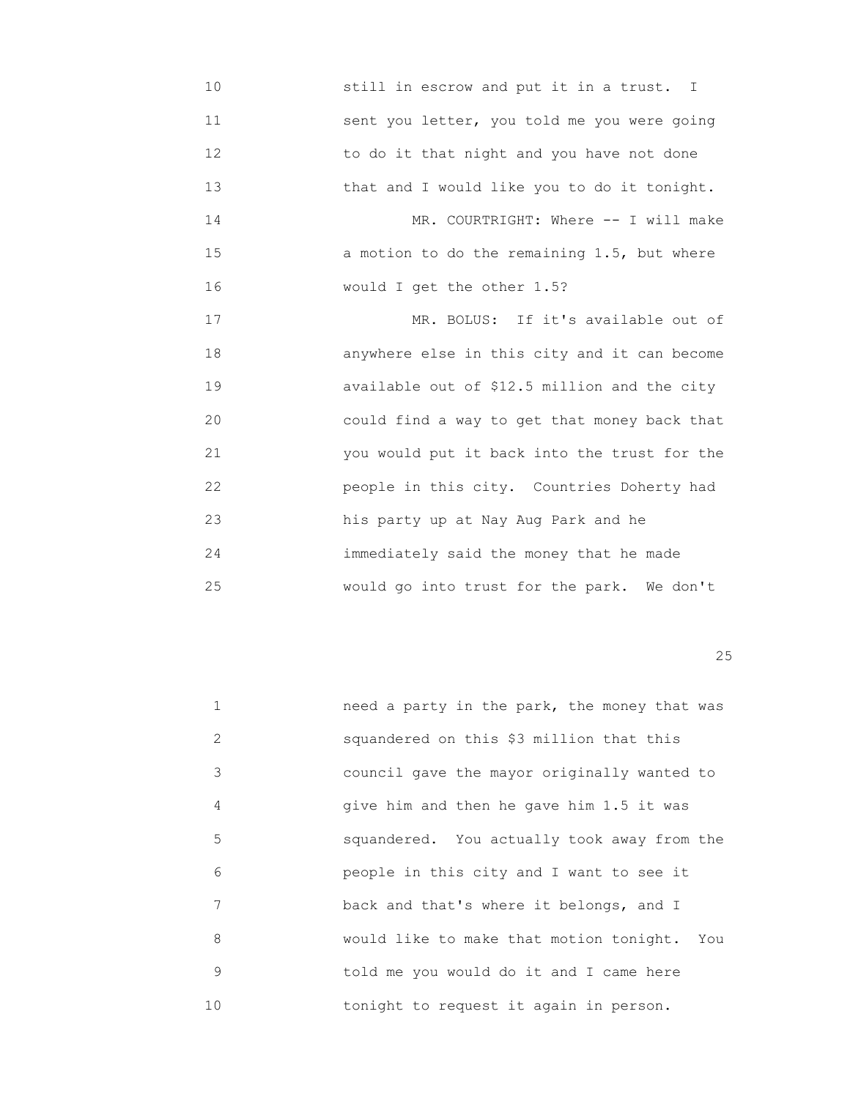10 still in escrow and put it in a trust. I 11 sent you letter, you told me you were going 12 to do it that night and you have not done 13 that and I would like you to do it tonight. 14 MR. COURTRIGHT: Where -- I will make 15 a motion to do the remaining 1.5, but where 16 would I get the other 1.5? 17 MR. BOLUS: If it's available out of

 18 anywhere else in this city and it can become 19 available out of \$12.5 million and the city 20 could find a way to get that money back that 21 you would put it back into the trust for the 22 people in this city. Countries Doherty had 23 his party up at Nay Aug Park and he 24 immediately said the money that he made 25 would go into trust for the park. We don't

<u>25</u>

| $\mathbf{1}$  | need a party in the park, the money that was |
|---------------|----------------------------------------------|
| $\mathcal{L}$ | squandered on this \$3 million that this     |
| 3             | council gave the mayor originally wanted to  |
| 4             | give him and then he gave him 1.5 it was     |
| 5             | squandered. You actually took away from the  |
| 6             | people in this city and I want to see it     |
| 7             | back and that's where it belongs, and I      |
| 8             | would like to make that motion tonight. You  |
| 9             | told me you would do it and I came here      |
| 10            | tonight to request it again in person.       |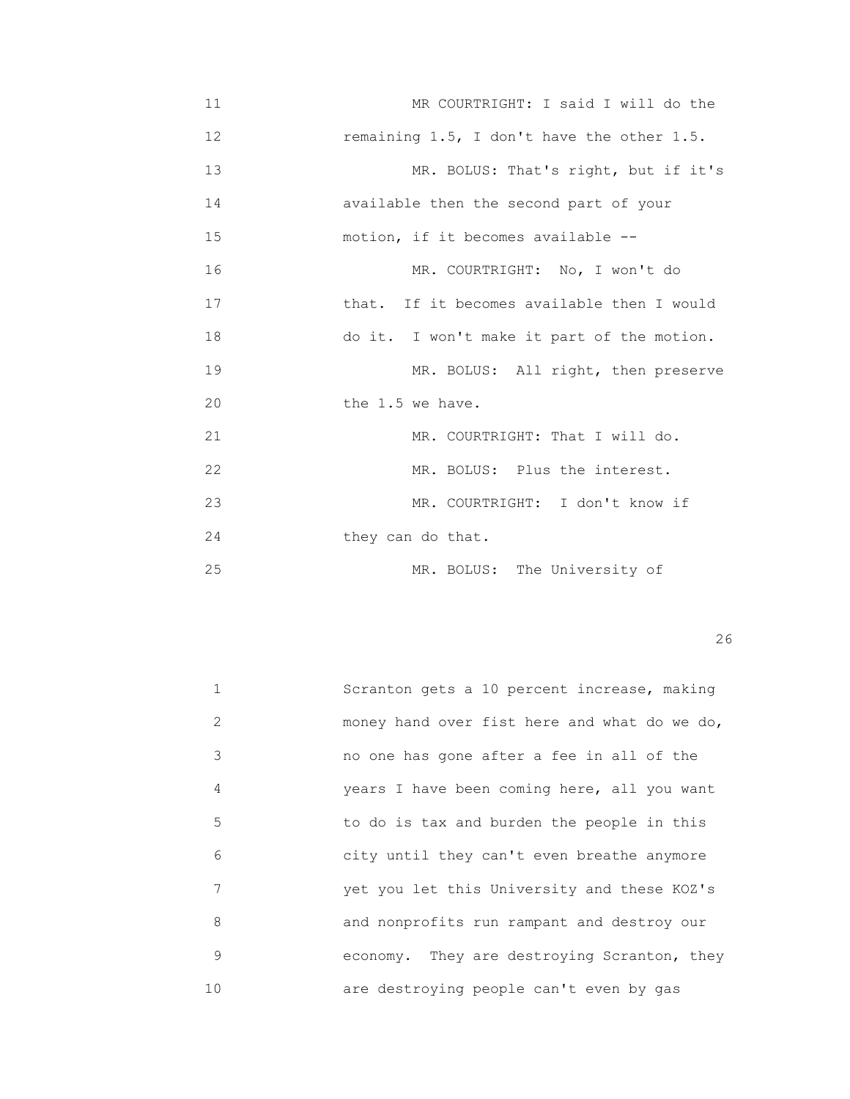11 MR COURTRIGHT: I said I will do the 12 remaining 1.5, I don't have the other 1.5. 13 MR. BOLUS: That's right, but if it's 14 available then the second part of your 15 motion, if it becomes available -- 16 MR. COURTRIGHT: No, I won't do 17 that. If it becomes available then I would 18 do it. I won't make it part of the motion. 19 MR. BOLUS: All right, then preserve 20 **the 1.5 we have.** 21 MR. COURTRIGHT: That I will do. 22 MR. BOLUS: Plus the interest. 23 MR. COURTRIGHT: I don't know if 24 they can do that. 25 MR. BOLUS: The University of

|    | Scranton gets a 10 percent increase, making  |
|----|----------------------------------------------|
| 2  | money hand over fist here and what do we do, |
| 3  | no one has gone after a fee in all of the    |
| 4  | years I have been coming here, all you want  |
| 5  | to do is tax and burden the people in this   |
| 6  | city until they can't even breathe anymore   |
| 7  | yet you let this University and these KOZ's  |
| 8  | and nonprofits run rampant and destroy our   |
| 9  | economy. They are destroying Scranton, they  |
| 10 | are destroying people can't even by gas      |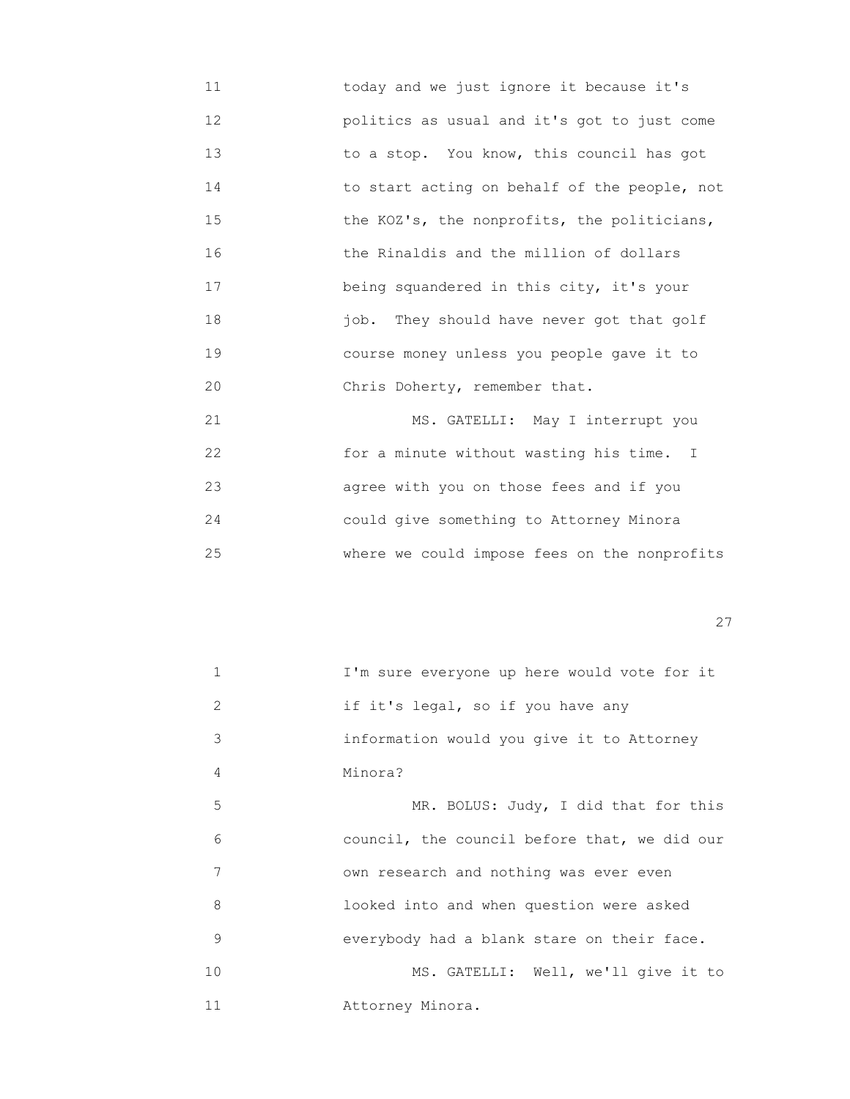11 today and we just ignore it because it's 12 politics as usual and it's got to just come 13 to a stop. You know, this council has got 14 to start acting on behalf of the people, not 15 **the KOZ's, the nonprofits, the politicians,**  16 the Rinaldis and the million of dollars 17 being squandered in this city, it's your 18 job. They should have never got that golf 19 course money unless you people gave it to 20 Chris Doherty, remember that.

21 MS. GATELLI: May I interrupt you 22 for a minute without wasting his time. I 23 agree with you on those fees and if you 24 could give something to Attorney Minora 25 where we could impose fees on the nonprofits

<u>27</u>

| $\mathbf{1}$ | I'm sure everyone up here would vote for it  |
|--------------|----------------------------------------------|
| 2            | if it's legal, so if you have any            |
| 3            | information would you give it to Attorney    |
| 4            | Minora?                                      |
| 5            | MR. BOLUS: Judy, I did that for this         |
| 6            | council, the council before that, we did our |
| 7            | own research and nothing was ever even       |
| 8            | looked into and when question were asked     |
| 9            | everybody had a blank stare on their face.   |
| 10           | MS. GATELLI: Well, we'll give it to          |
| 11           | Attorney Minora.                             |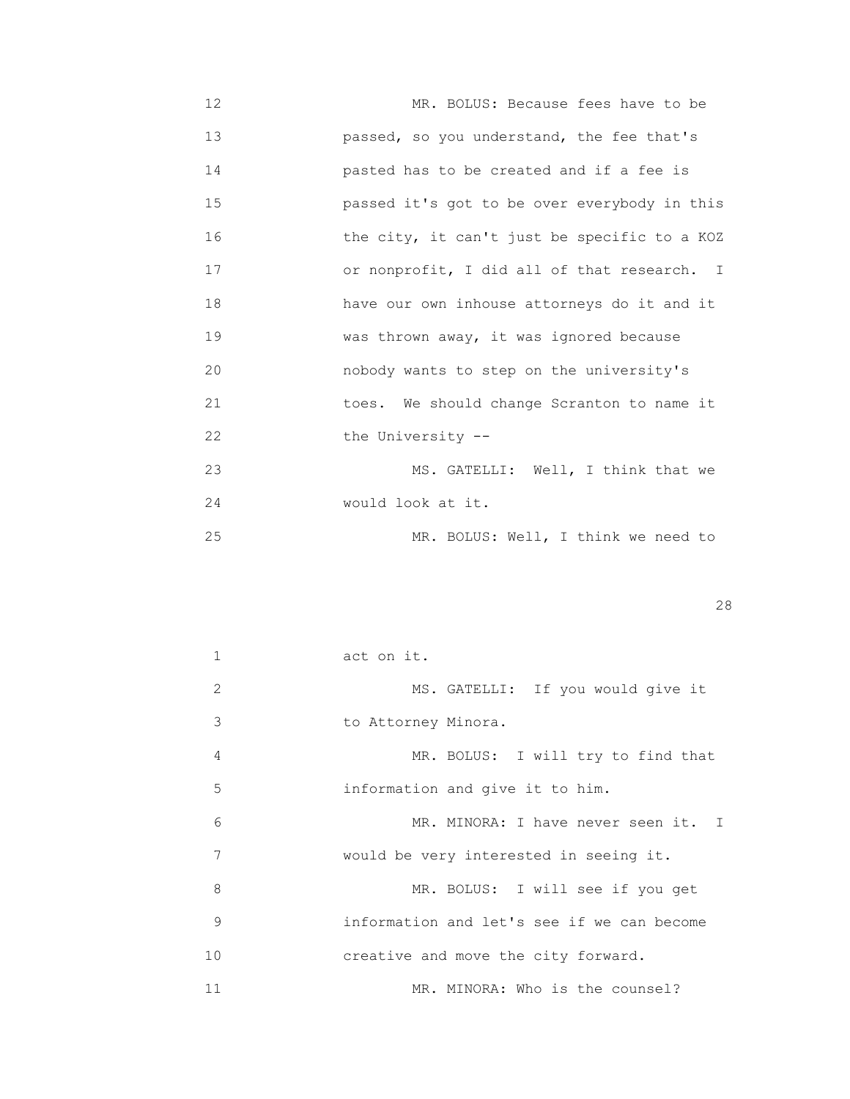- 12 MR. BOLUS: Because fees have to be 13 passed, so you understand, the fee that's 14 pasted has to be created and if a fee is 15 passed it's got to be over everybody in this 16 the city, it can't just be specific to a KOZ 17 or nonprofit, I did all of that research. I 18 have our own inhouse attorneys do it and it 19 **WARENE WAS THROW WAS THROW WAS 1918** WAS ignored because 20 nobody wants to step on the university's 21 toes. We should change Scranton to name it 22 the University --23 MS. GATELLI: Well, I think that we
- 24 would look at it.

25 MR. BOLUS: Well, I think we need to

|  | _ |
|--|---|
|--|---|

|    | act on it.                                 |
|----|--------------------------------------------|
| 2  | MS. GATELLI: If you would give it          |
| 3  | to Attorney Minora.                        |
| 4  | MR. BOLUS: I will try to find that         |
| 5  | information and give it to him.            |
| 6  | MR. MINORA: I have never seen it. I        |
| 7  | would be very interested in seeing it.     |
| 8  | MR. BOLUS: I will see if you get           |
| 9  | information and let's see if we can become |
| 10 | creative and move the city forward.        |
| 11 | MR. MINORA: Who is the counsel?            |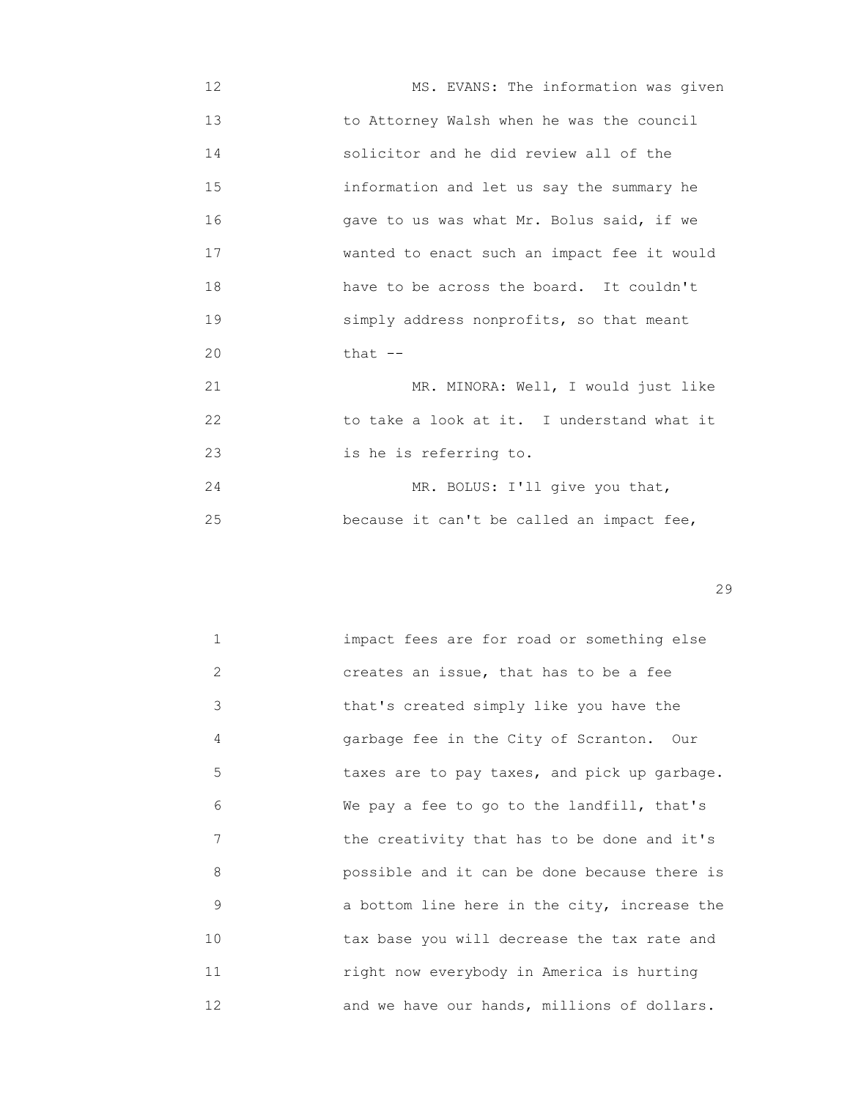12 MS. EVANS: The information was given 13 to Attorney Walsh when he was the council 14 solicitor and he did review all of the 15 information and let us say the summary he 16 gave to us was what Mr. Bolus said, if we 17 wanted to enact such an impact fee it would 18 have to be across the board. It couldn't 19 simply address nonprofits, so that meant 20 **that --**

21 MR. MINORA: Well, I would just like 22 to take a look at it. I understand what it 23 is he is referring to.

24 MR. BOLUS: I'll give you that, 25 because it can't be called an impact fee,

| $\mathbf 1$ | impact fees are for road or something else   |
|-------------|----------------------------------------------|
| 2           | creates an issue, that has to be a fee       |
| 3           | that's created simply like you have the      |
| 4           | garbage fee in the City of Scranton. Our     |
| 5           | taxes are to pay taxes, and pick up garbage. |
| 6           | We pay a fee to go to the landfill, that's   |
| 7           | the creativity that has to be done and it's  |
| 8           | possible and it can be done because there is |
| 9           | a bottom line here in the city, increase the |
| 10          | tax base you will decrease the tax rate and  |
| 11          | right now everybody in America is hurting    |
| 12          | and we have our hands, millions of dollars.  |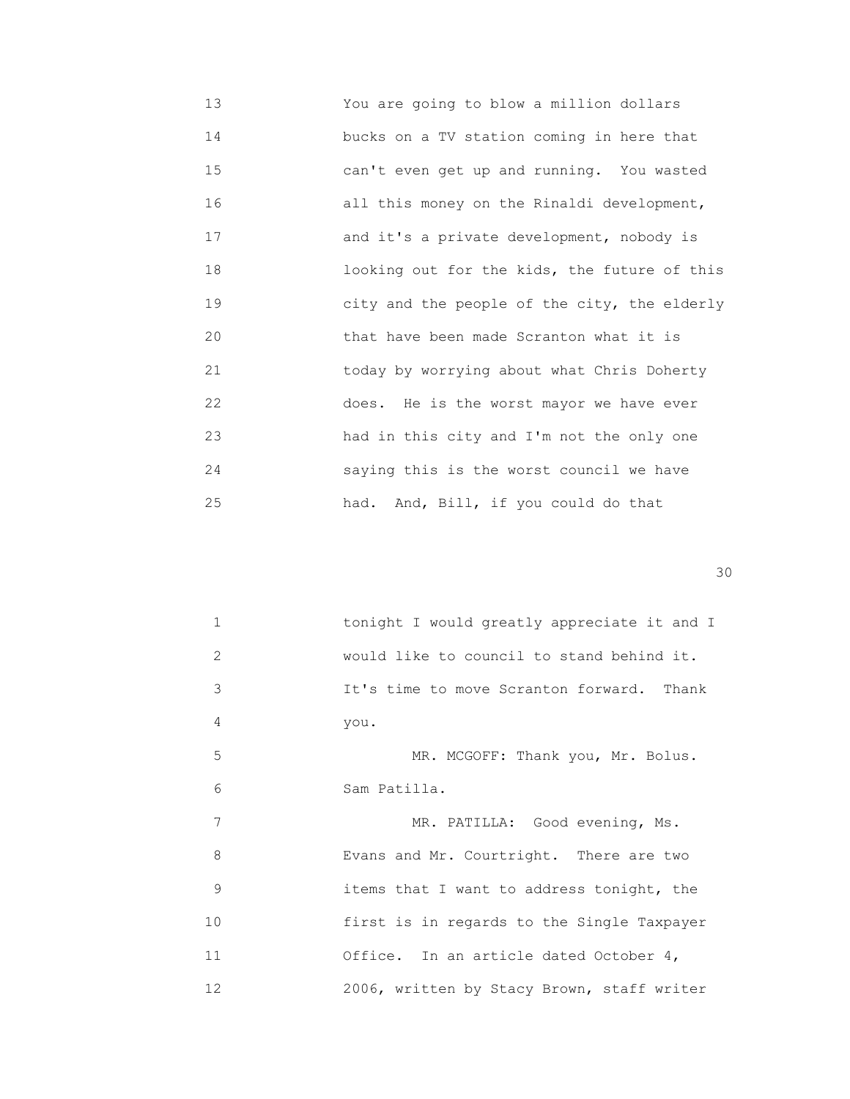| 13 | You are going to blow a million dollars      |
|----|----------------------------------------------|
| 14 | bucks on a TV station coming in here that    |
| 15 | can't even get up and running. You wasted    |
| 16 | all this money on the Rinaldi development,   |
| 17 | and it's a private development, nobody is    |
| 18 | looking out for the kids, the future of this |
| 19 | city and the people of the city, the elderly |
| 20 | that have been made Scranton what it is      |
| 21 | today by worrying about what Chris Doherty   |
| 22 | does. He is the worst mayor we have ever     |
| 23 | had in this city and I'm not the only one    |
| 24 | saying this is the worst council we have     |
| 25 | had. And, Bill, if you could do that         |

| $\mathbf{1}$  | tonight I would greatly appreciate it and I |
|---------------|---------------------------------------------|
| $\mathcal{L}$ | would like to council to stand behind it.   |
| 3             | It's time to move Scranton forward. Thank   |
| 4             | you.                                        |
| 5             | MR. MCGOFF: Thank you, Mr. Bolus.           |
| 6             | Sam Patilla.                                |
| 7             | MR. PATILLA: Good evening, Ms.              |
| 8             | Evans and Mr. Courtright. There are two     |
| 9             | items that I want to address tonight, the   |
| 10            | first is in regards to the Single Taxpayer  |
| 11            | Office. In an article dated October 4,      |
| 12            | 2006, written by Stacy Brown, staff writer  |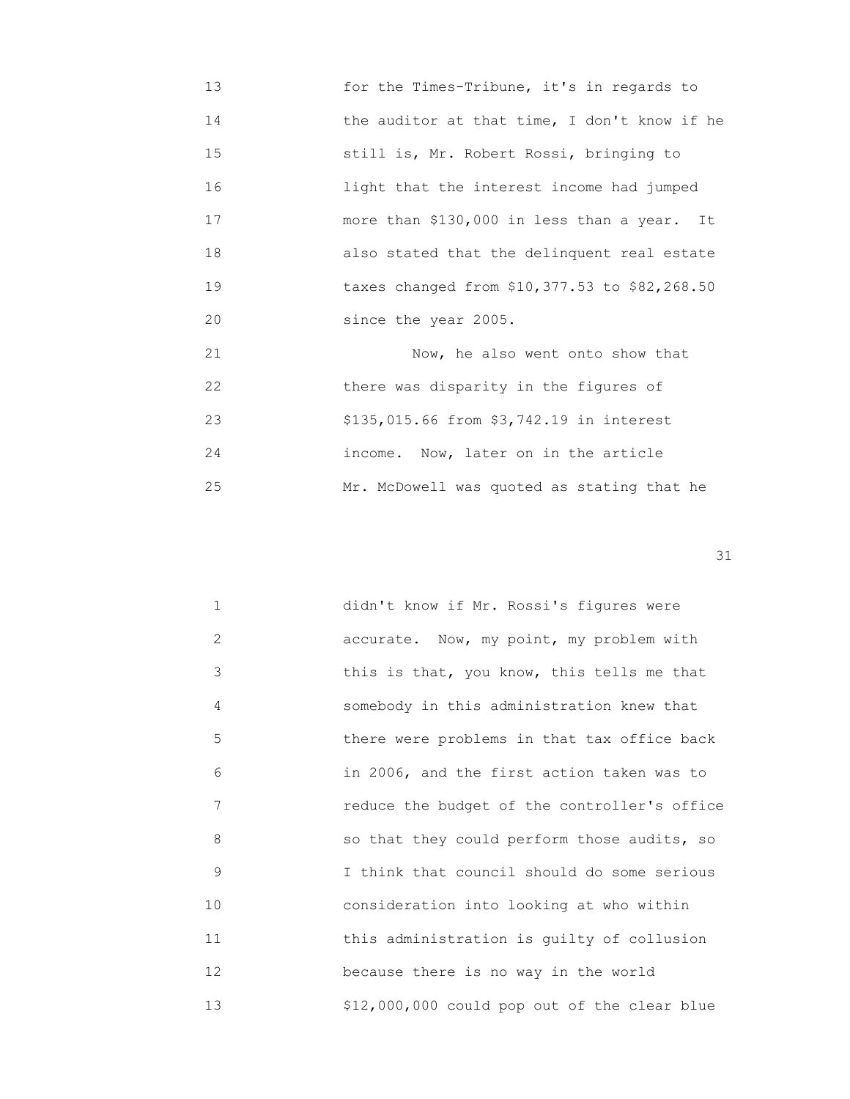- 13 for the Times-Tribune, it's in regards to 14 **14 the auditor at that time, I don't know if he**  15 still is, Mr. Robert Rossi, bringing to 16 light that the interest income had jumped 17 more than \$130,000 in less than a year. It 18 also stated that the delinquent real estate 19 taxes changed from \$10,377.53 to \$82,268.50 20 since the year 2005. 21 Now, he also went onto show that
- 22 there was disparity in the figures of 23 \$135,015.66 from \$3,742.19 in interest 24 income. Now, later on in the article 25 Mr. McDowell was quoted as stating that he

| $\mathbf{1}$ | didn't know if Mr. Rossi's figures were      |
|--------------|----------------------------------------------|
| 2            | accurate. Now, my point, my problem with     |
| 3            | this is that, you know, this tells me that   |
| 4            | somebody in this administration knew that    |
| 5            | there were problems in that tax office back  |
| 6            | in 2006, and the first action taken was to   |
| 7            | reduce the budget of the controller's office |
| 8            | so that they could perform those audits, so  |
| 9            | I think that council should do some serious  |
| 10           | consideration into looking at who within     |
| 11           | this administration is guilty of collusion   |
| 12           | because there is no way in the world         |
| 13           | \$12,000,000 could pop out of the clear blue |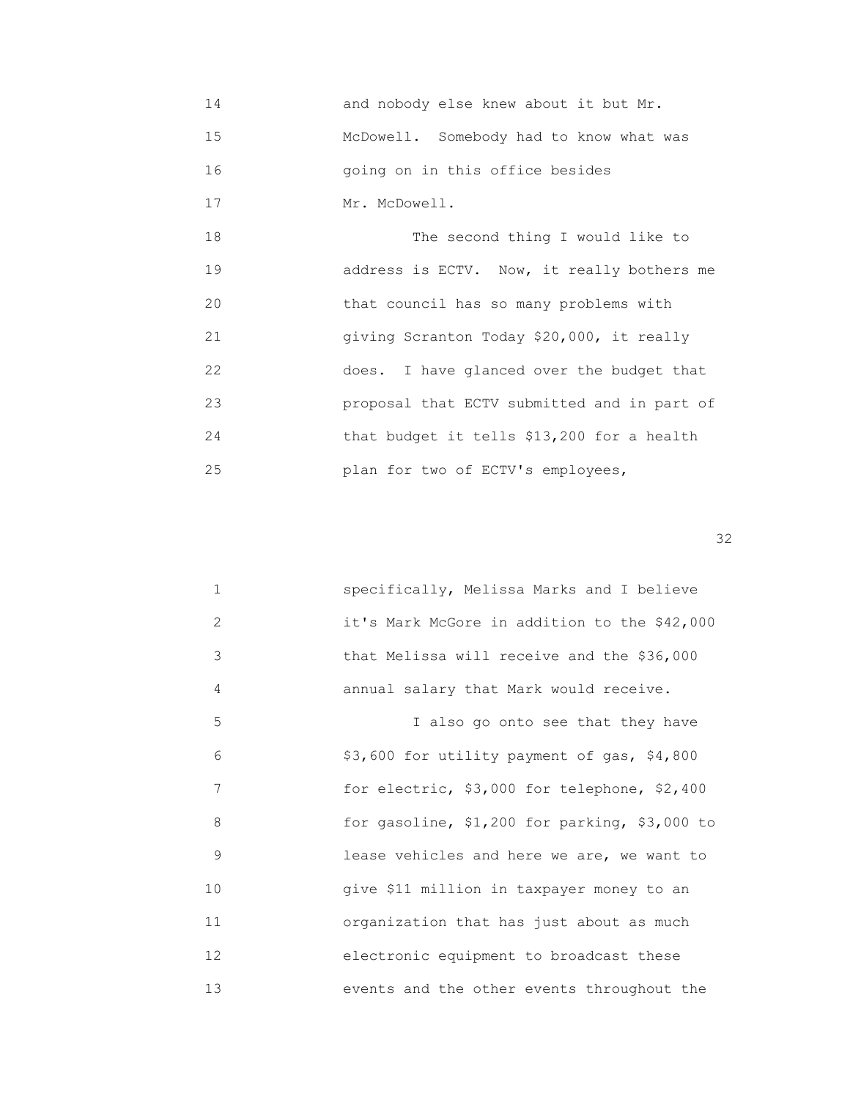- 14 and nobody else knew about it but Mr. 15 McDowell. Somebody had to know what was 16 going on in this office besides
- 17 Mr. McDowell.

 18 The second thing I would like to 19 address is ECTV. Now, it really bothers me 20 that council has so many problems with 21 giving Scranton Today \$20,000, it really 22 does. I have glanced over the budget that 23 proposal that ECTV submitted and in part of 24 that budget it tells \$13,200 for a health 25 plan for two of ECTV's employees,

| $\mathbf 1$     | specifically, Melissa Marks and I believe     |
|-----------------|-----------------------------------------------|
| 2               | it's Mark McGore in addition to the \$42,000  |
| 3               | that Melissa will receive and the \$36,000    |
| 4               | annual salary that Mark would receive.        |
| 5               | I also go onto see that they have             |
| 6               | \$3,600 for utility payment of gas, \$4,800   |
| 7               | for electric, \$3,000 for telephone, \$2,400  |
| 8               | for gasoline, \$1,200 for parking, \$3,000 to |
| 9               | lease vehicles and here we are, we want to    |
| 10              | give \$11 million in taxpayer money to an     |
| 11              | organization that has just about as much      |
| 12 <sup>°</sup> | electronic equipment to broadcast these       |
| 13              | events and the other events throughout the    |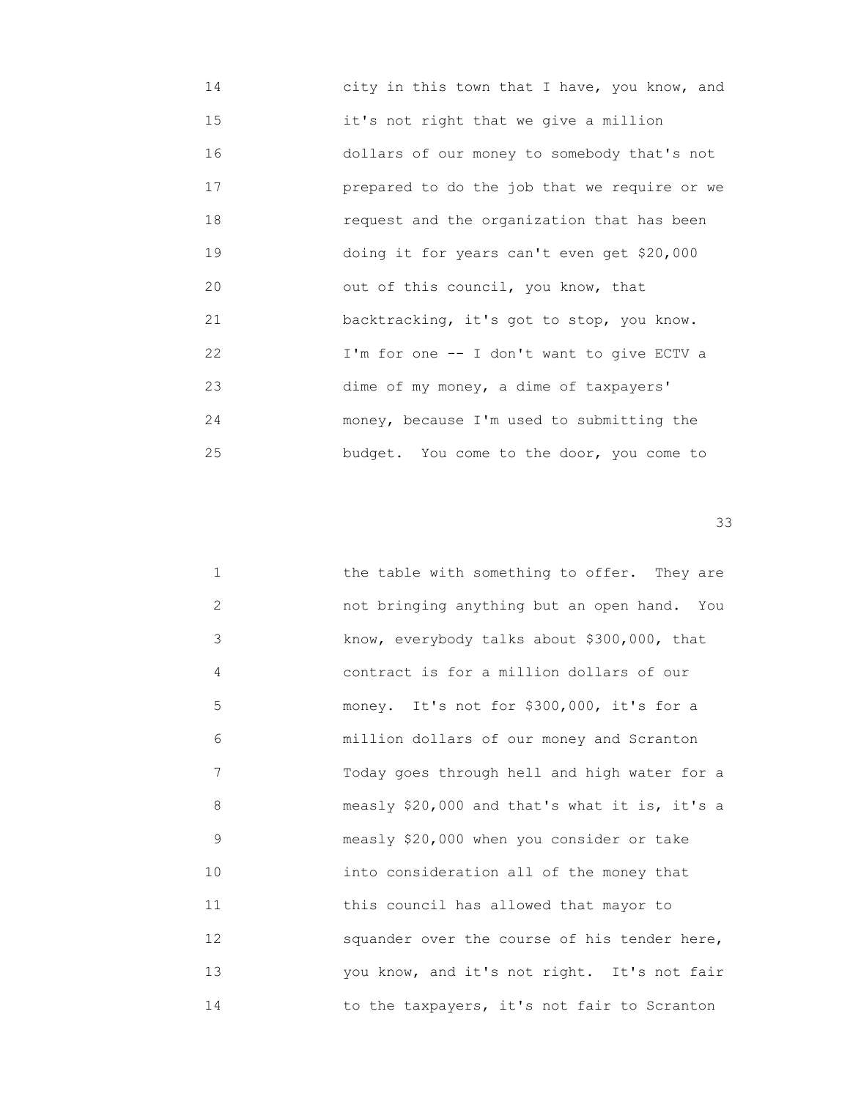| 14 | city in this town that I have, you know, and |
|----|----------------------------------------------|
| 15 | it's not right that we give a million        |
| 16 | dollars of our money to somebody that's not  |
| 17 | prepared to do the job that we require or we |
| 18 | request and the organization that has been   |
| 19 | doing it for years can't even get \$20,000   |
| 20 | out of this council, you know, that          |
| 21 | backtracking, it's got to stop, you know.    |
| 22 | I'm for one -- I don't want to give ECTV a   |
| 23 | dime of my money, a dime of taxpayers'       |
| 24 | money, because I'm used to submitting the    |
| 25 | budget. You come to the door, you come to    |

| $\mathbf 1$ | the table with something to offer. They are   |
|-------------|-----------------------------------------------|
| 2           | not bringing anything but an open hand. You   |
| 3           | know, everybody talks about \$300,000, that   |
| 4           | contract is for a million dollars of our      |
| 5           | money. It's not for \$300,000, it's for a     |
| 6           | million dollars of our money and Scranton     |
| 7           | Today goes through hell and high water for a  |
| 8           | measly \$20,000 and that's what it is, it's a |
| 9           | measly \$20,000 when you consider or take     |
| 10          | into consideration all of the money that      |
| 11          | this council has allowed that mayor to        |
| 12          | squander over the course of his tender here,  |
| 13          | you know, and it's not right. It's not fair   |
| 14          | to the taxpayers, it's not fair to Scranton   |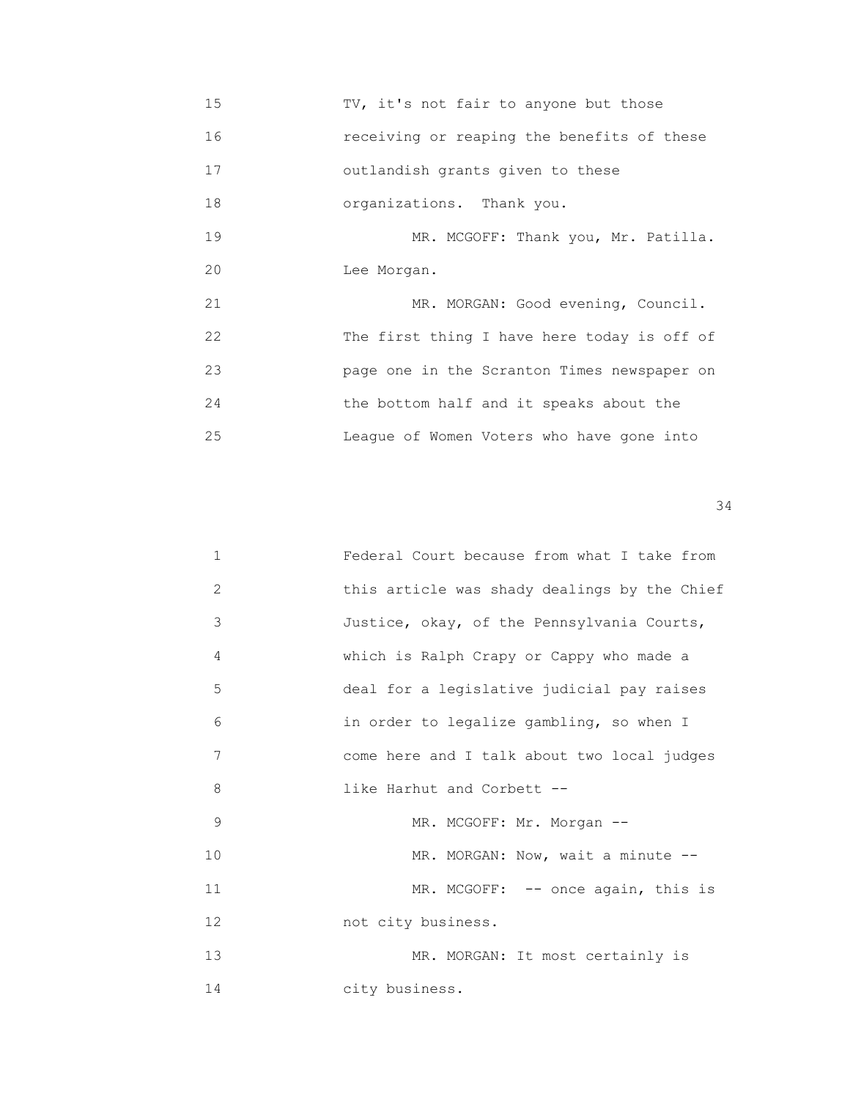15 TV, it's not fair to anyone but those 16 receiving or reaping the benefits of these 17 outlandish grants given to these 18 organizations. Thank you. 19 MR. MCGOFF: Thank you, Mr. Patilla. 20 Lee Morgan. 21 MR. MORGAN: Good evening, Council. 22 The first thing I have here today is off of 23 page one in the Scranton Times newspaper on 24 the bottom half and it speaks about the 25 League of Women Voters who have gone into

| 1  | Federal Court because from what I take from  |
|----|----------------------------------------------|
| 2  | this article was shady dealings by the Chief |
| 3  | Justice, okay, of the Pennsylvania Courts,   |
| 4  | which is Ralph Crapy or Cappy who made a     |
| 5  | deal for a legislative judicial pay raises   |
| 6  | in order to legalize gambling, so when I     |
| 7  | come here and I talk about two local judges  |
| 8  | like Harhut and Corbett --                   |
| 9  | MR. MCGOFF: Mr. Morgan --                    |
| 10 | MR. MORGAN: Now, wait a minute --            |
| 11 | MR. MCGOFF: -- once again, this is           |
| 12 | not city business.                           |
| 13 | MR. MORGAN: It most certainly is             |
| 14 | city business.                               |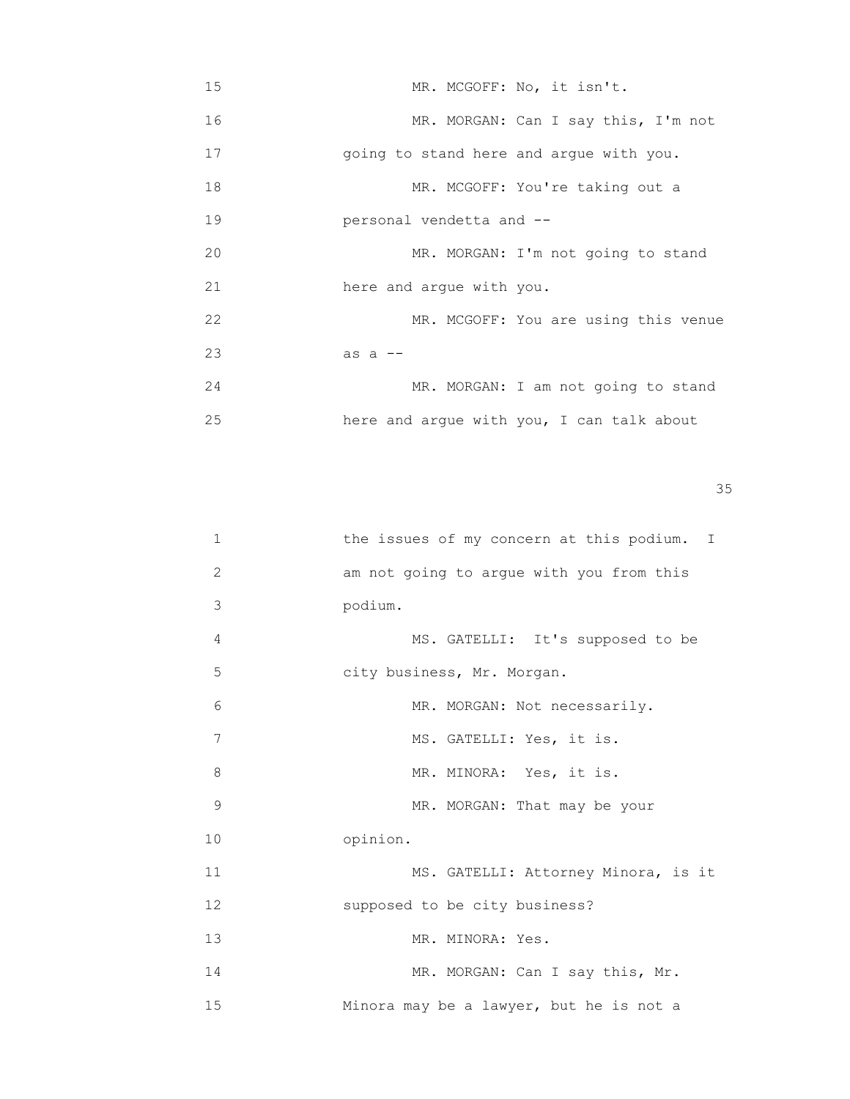| 15 |                                         | MR. MCGOFF: No, it isn't.                 |
|----|-----------------------------------------|-------------------------------------------|
| 16 |                                         | MR. MORGAN: Can I say this, I'm not       |
| 17 | going to stand here and argue with you. |                                           |
| 18 |                                         | MR. MCGOFF: You're taking out a           |
| 19 | personal vendetta and --                |                                           |
| 20 |                                         | MR. MORGAN: I'm not going to stand        |
| 21 | here and argue with you.                |                                           |
| 22 |                                         | MR. MCGOFF: You are using this venue      |
| 23 | as $a$ $-$                              |                                           |
| 24 |                                         | MR. MORGAN: I am not going to stand       |
| 25 |                                         | here and argue with you, I can talk about |

| 1            | the issues of my concern at this podium. I |
|--------------|--------------------------------------------|
| $\mathbf{2}$ | am not going to argue with you from this   |
| 3            | podium.                                    |
| 4            | MS. GATELLI: It's supposed to be           |
| 5            | city business, Mr. Morgan.                 |
| 6            | MR. MORGAN: Not necessarily.               |
| 7            | MS. GATELLI: Yes, it is.                   |
| 8            | MR. MINORA: Yes, it is.                    |
| 9            | MR. MORGAN: That may be your               |
| 10           | opinion.                                   |
| 11           | MS. GATELLI: Attorney Minora, is it        |
| 12           | supposed to be city business?              |
| 13           | MR. MINORA: Yes.                           |
| 14           | MR. MORGAN: Can I say this, Mr.            |
| 15           | Minora may be a lawyer, but he is not a    |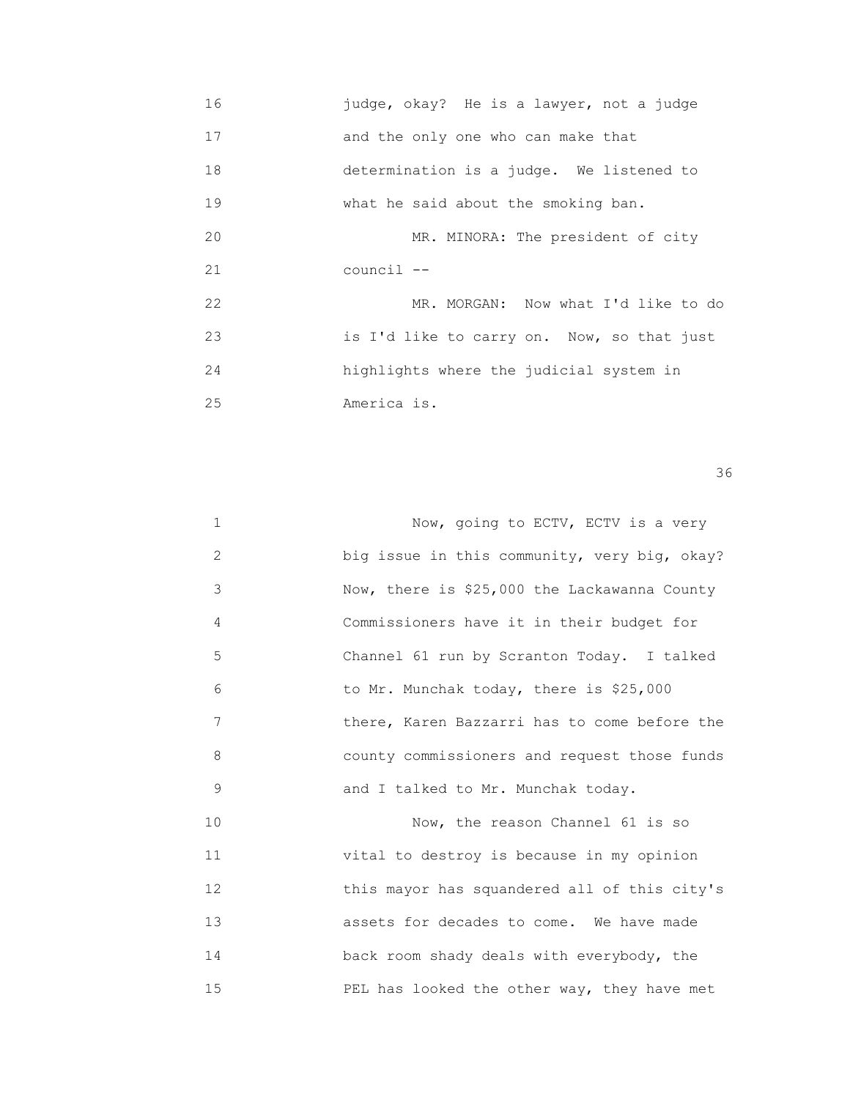16 judge, okay? He is a lawyer, not a judge 17 and the only one who can make that 18 determination is a judge. We listened to 19 **What he said about the smoking ban.** 20 MR. MINORA: The president of city 21 council -- 22 MR. MORGAN: Now what I'd like to do 23 is I'd like to carry on. Now, so that just 24 highlights where the judicial system in 25 America is.

| $\mathbf 1$    | Now, going to ECTV, ECTV is a very           |
|----------------|----------------------------------------------|
| $\overline{2}$ | big issue in this community, very big, okay? |
| 3              | Now, there is \$25,000 the Lackawanna County |
| 4              | Commissioners have it in their budget for    |
| 5              | Channel 61 run by Scranton Today. I talked   |
| 6              | to Mr. Munchak today, there is \$25,000      |
| 7              | there, Karen Bazzarri has to come before the |
| 8              | county commissioners and request those funds |
| 9              | and I talked to Mr. Munchak today.           |
| 10             | Now, the reason Channel 61 is so             |
| 11             | vital to destroy is because in my opinion    |
| 12             | this mayor has squandered all of this city's |
| 13             | assets for decades to come. We have made     |
| 14             | back room shady deals with everybody, the    |
| 15             | PEL has looked the other way, they have met  |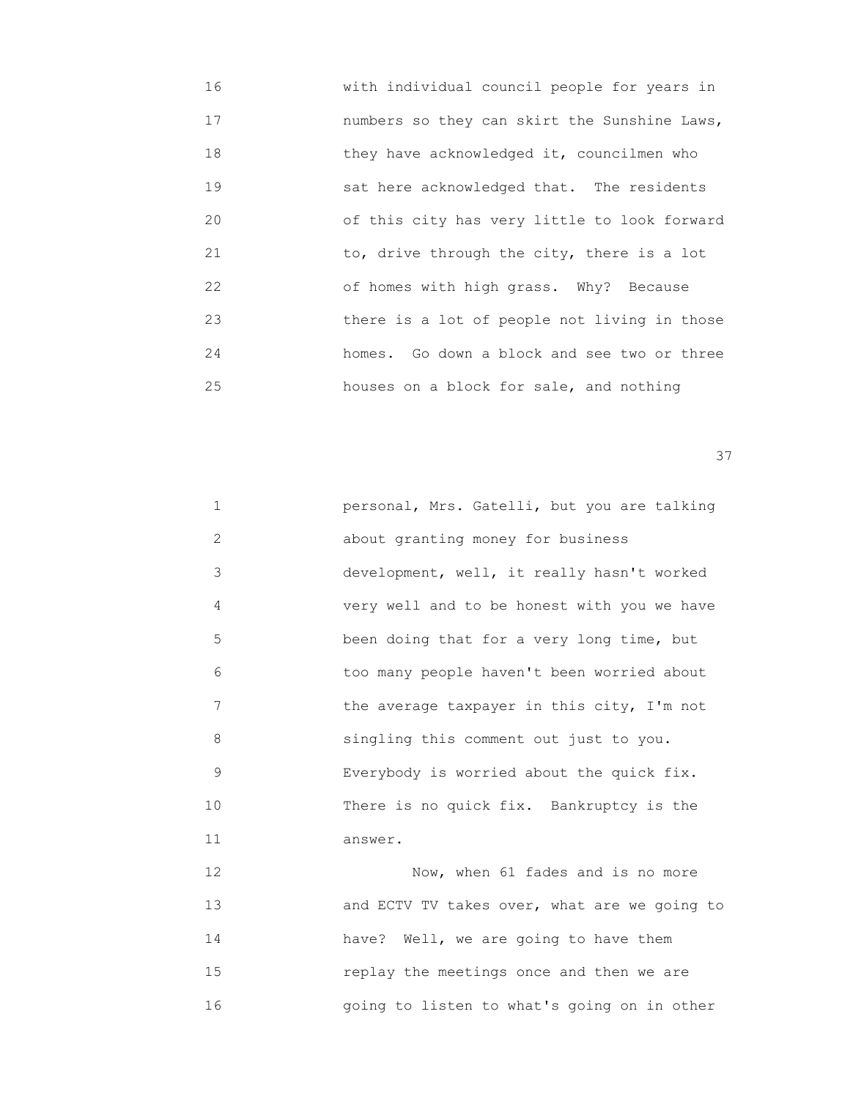16 with individual council people for years in 17 numbers so they can skirt the Sunshine Laws, 18 they have acknowledged it, councilmen who 19 sat here acknowledged that. The residents 20 of this city has very little to look forward 21 to, drive through the city, there is a lot 22 of homes with high grass. Why? Because 23 there is a lot of people not living in those 24 homes. Go down a block and see two or three 25 houses on a block for sale, and nothing

<u>37</u>

| 1  | personal, Mrs. Gatelli, but you are talking  |
|----|----------------------------------------------|
| 2  | about granting money for business            |
| 3  | development, well, it really hasn't worked   |
| 4  | very well and to be honest with you we have  |
| 5  | been doing that for a very long time, but    |
| 6  | too many people haven't been worried about   |
| 7  | the average taxpayer in this city, I'm not   |
| 8  | singling this comment out just to you.       |
| 9  | Everybody is worried about the quick fix.    |
| 10 | There is no quick fix. Bankruptcy is the     |
| 11 | answer.                                      |
| 12 | Now, when 61 fades and is no more            |
| 13 | and ECTV TV takes over, what are we going to |
| 14 | have? Well, we are going to have them        |

16 going to listen to what's going on in other

15 replay the meetings once and then we are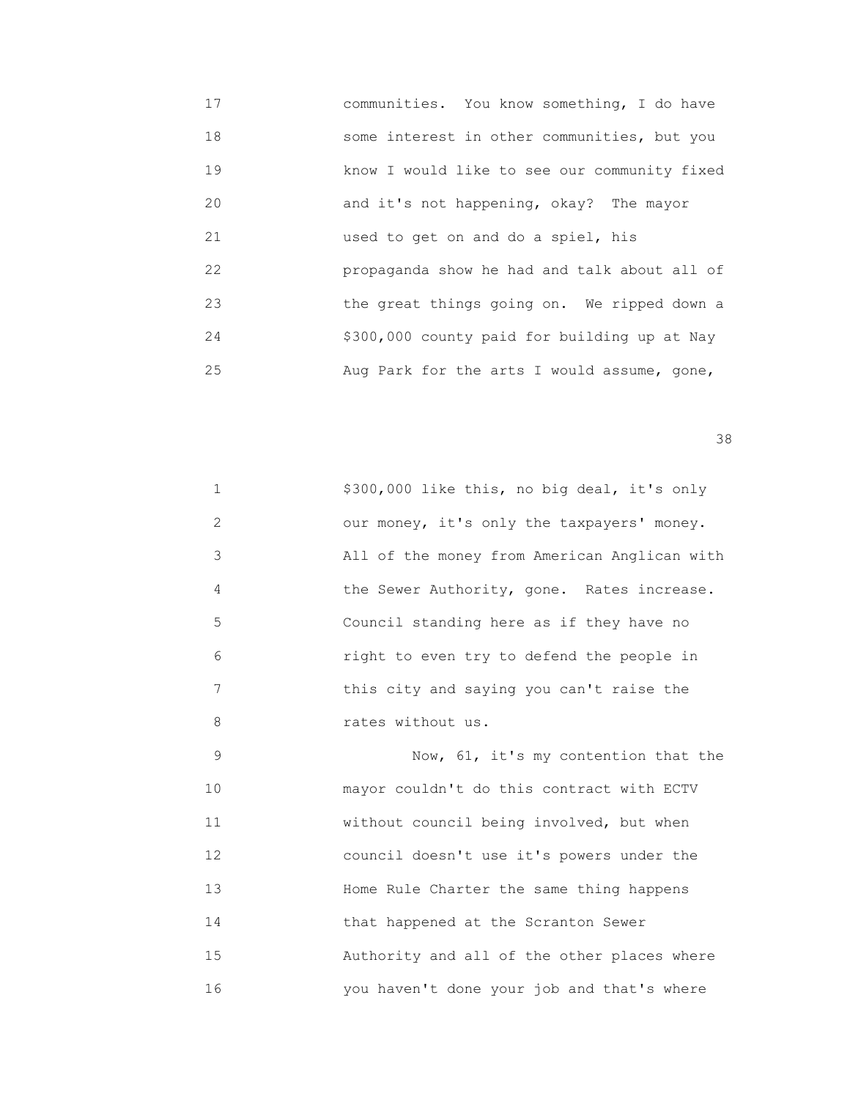17 communities. You know something, I do have 18 some interest in other communities, but you 19 know I would like to see our community fixed 20 and it's not happening, okay? The mayor 21 used to get on and do a spiel, his 22 propaganda show he had and talk about all of 23 the great things going on. We ripped down a 24 \$300,000 county paid for building up at Nay 25 Aug Park for the arts I would assume, gone,

<u>38 and 2001 and 2002 and 2003 and 2003 and 2003 and 2003 and 2003 and 2003 and 2003</u>

 1 \$300,000 like this, no big deal, it's only 2 our money, it's only the taxpayers' money. 3 All of the money from American Anglican with 4 the Sewer Authority, gone. Rates increase. 5 Council standing here as if they have no 6 right to even try to defend the people in 7 this city and saying you can't raise the 8 rates without us.

 9 Now, 61, it's my contention that the 10 mayor couldn't do this contract with ECTV 11 without council being involved, but when 12 council doesn't use it's powers under the 13 Home Rule Charter the same thing happens 14 **that happened at the Scranton Sewer**  15 Authority and all of the other places where 16 you haven't done your job and that's where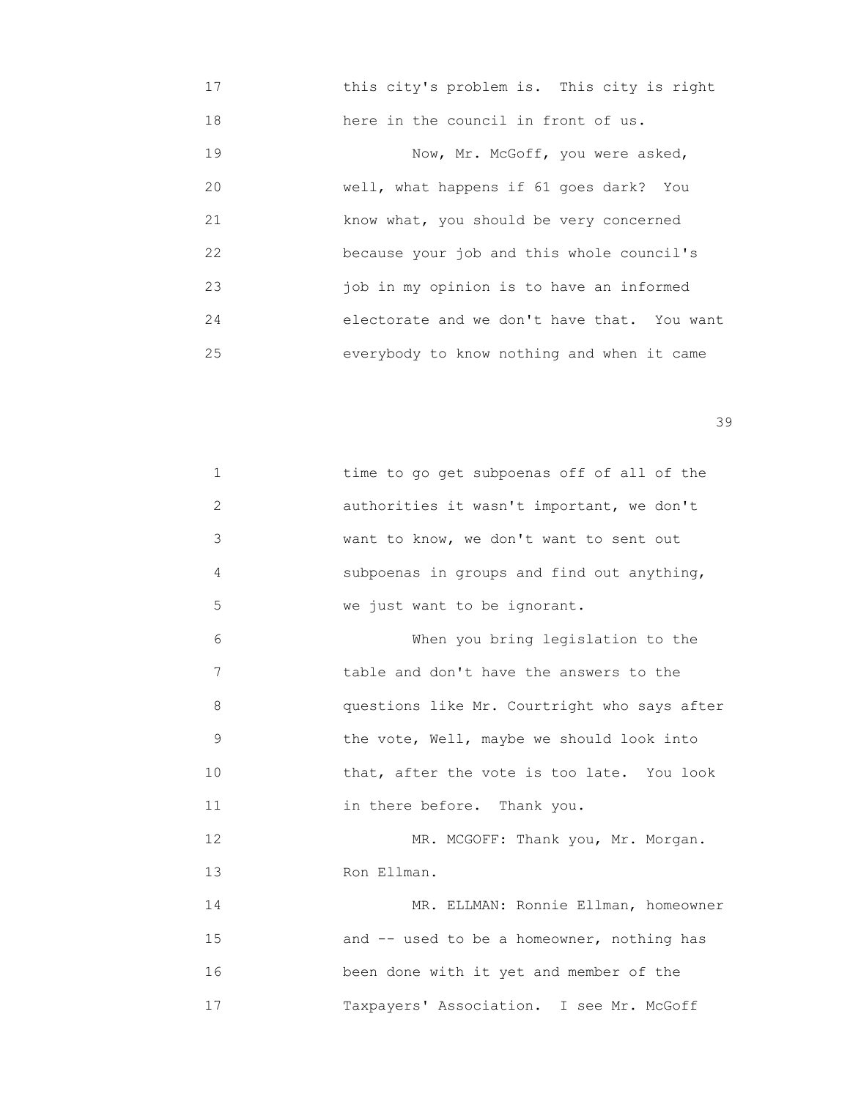17 this city's problem is. This city is right 18 here in the council in front of us. 19 Now, Mr. McGoff, you were asked, 20 well, what happens if 61 goes dark? You 21 know what, you should be very concerned 22 because your job and this whole council's 23 job in my opinion is to have an informed 24 electorate and we don't have that. You want 25 everybody to know nothing and when it came

| $\mathbf{1}$ | time to go get subpoenas off of all of the   |
|--------------|----------------------------------------------|
| 2            | authorities it wasn't important, we don't    |
| 3            | want to know, we don't want to sent out      |
| 4            | subpoenas in groups and find out anything,   |
| 5            | we just want to be ignorant.                 |
| 6            | When you bring legislation to the            |
| 7            | table and don't have the answers to the      |
| 8            | questions like Mr. Courtright who says after |
| 9            | the vote, Well, maybe we should look into    |
| 10           | that, after the vote is too late. You look   |
| 11           | in there before. Thank you.                  |
| 12           | MR. MCGOFF: Thank you, Mr. Morgan.           |
| 13           | Ron Ellman.                                  |
| 14           | MR. ELLMAN: Ronnie Ellman, homeowner         |
| 15           | and -- used to be a homeowner, nothing has   |
| 16           | been done with it yet and member of the      |
| 17           | Taxpayers' Association. I see Mr. McGoff     |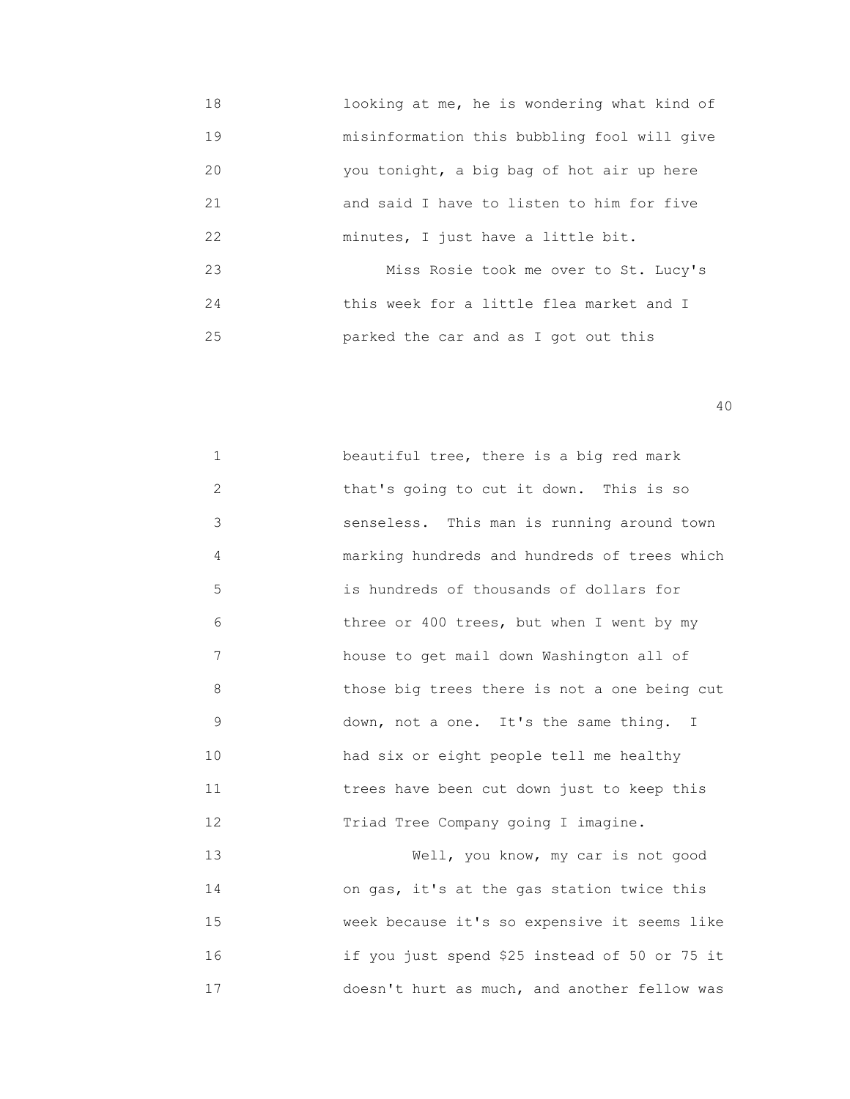18 looking at me, he is wondering what kind of 19 misinformation this bubbling fool will give 20 you tonight, a big bag of hot air up here 21 and said I have to listen to him for five 22 minutes, I just have a little bit. 23 Miss Rosie took me over to St. Lucy's 24 this week for a little flea market and I 25 parked the car and as I got out this

| $\mathbf{1}$          | beautiful tree, there is a big red mark       |
|-----------------------|-----------------------------------------------|
| $\mathbf{2}^{\prime}$ | that's going to cut it down. This is so       |
| 3                     | senseless. This man is running around town    |
| 4                     | marking hundreds and hundreds of trees which  |
| 5                     | is hundreds of thousands of dollars for       |
| 6                     | three or 400 trees, but when I went by my     |
| 7                     | house to get mail down Washington all of      |
| 8                     | those big trees there is not a one being cut  |
| $\mathsf 9$           | down, not a one. It's the same thing. I       |
| 10                    | had six or eight people tell me healthy       |
| 11                    | trees have been cut down just to keep this    |
| 12                    | Triad Tree Company going I imagine.           |
| 13                    | Well, you know, my car is not good            |
| 14                    | on gas, it's at the gas station twice this    |
| 15                    | week because it's so expensive it seems like  |
| 16                    | if you just spend \$25 instead of 50 or 75 it |
| 17                    | doesn't hurt as much, and another fellow was  |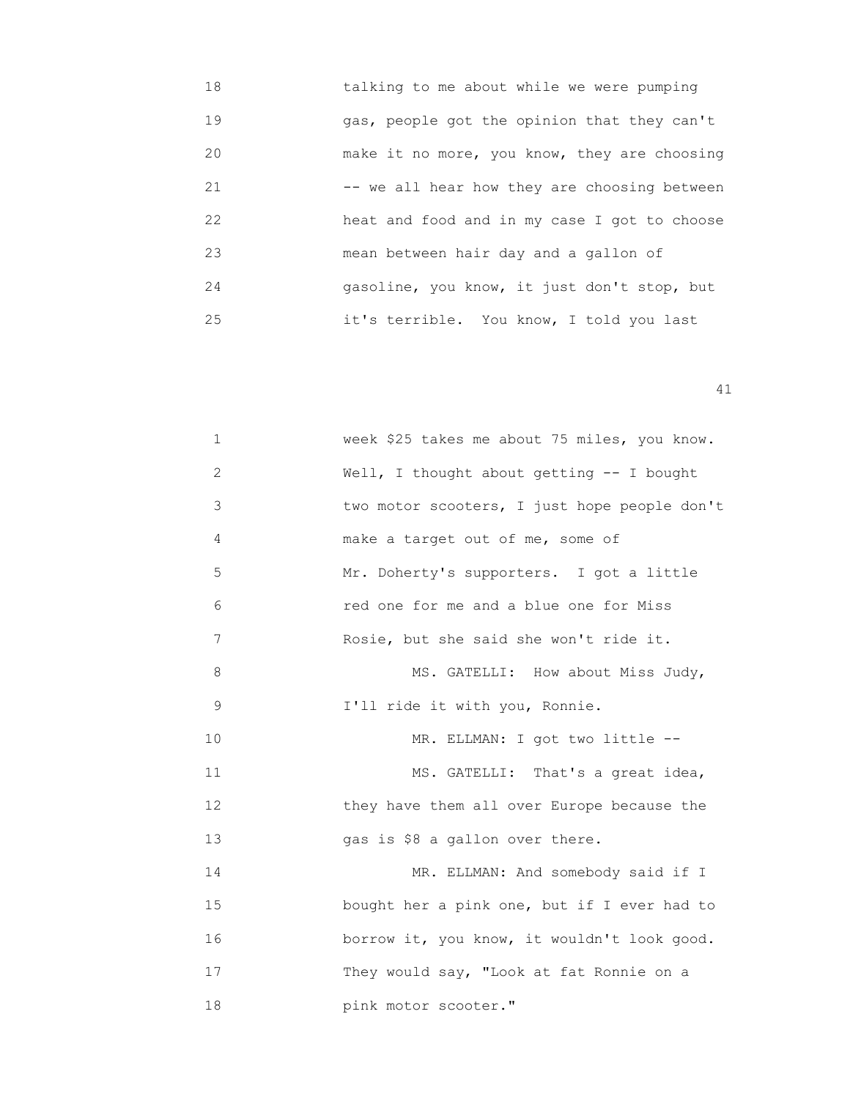| 18 | talking to me about while we were pumping    |
|----|----------------------------------------------|
| 19 | gas, people got the opinion that they can't  |
| 20 | make it no more, you know, they are choosing |
| 21 | -- we all hear how they are choosing between |
| 22 | heat and food and in my case I got to choose |
| 23 | mean between hair day and a gallon of        |
| 24 | gasoline, you know, it just don't stop, but  |
| 25 | it's terrible. You know, I told you last     |

| 1              | week \$25 takes me about 75 miles, you know. |
|----------------|----------------------------------------------|
| 2              | Well, I thought about getting -- I bought    |
| 3              | two motor scooters, I just hope people don't |
| 4              | make a target out of me, some of             |
| 5              | Mr. Doherty's supporters. I got a little     |
| 6              | red one for me and a blue one for Miss       |
| $\overline{7}$ | Rosie, but she said she won't ride it.       |
| 8              | MS. GATELLI: How about Miss Judy,            |
| 9              | I'll ride it with you, Ronnie.               |
| 10             | MR. ELLMAN: I got two little --              |
| 11             | MS. GATELLI: That's a great idea,            |
| 12             | they have them all over Europe because the   |
| 13             | gas is \$8 a gallon over there.              |
| 14             | MR. ELLMAN: And somebody said if I           |
| 15             | bought her a pink one, but if I ever had to  |
| 16             | borrow it, you know, it wouldn't look good.  |
| 17             | They would say, "Look at fat Ronnie on a     |
| 18             | pink motor scooter."                         |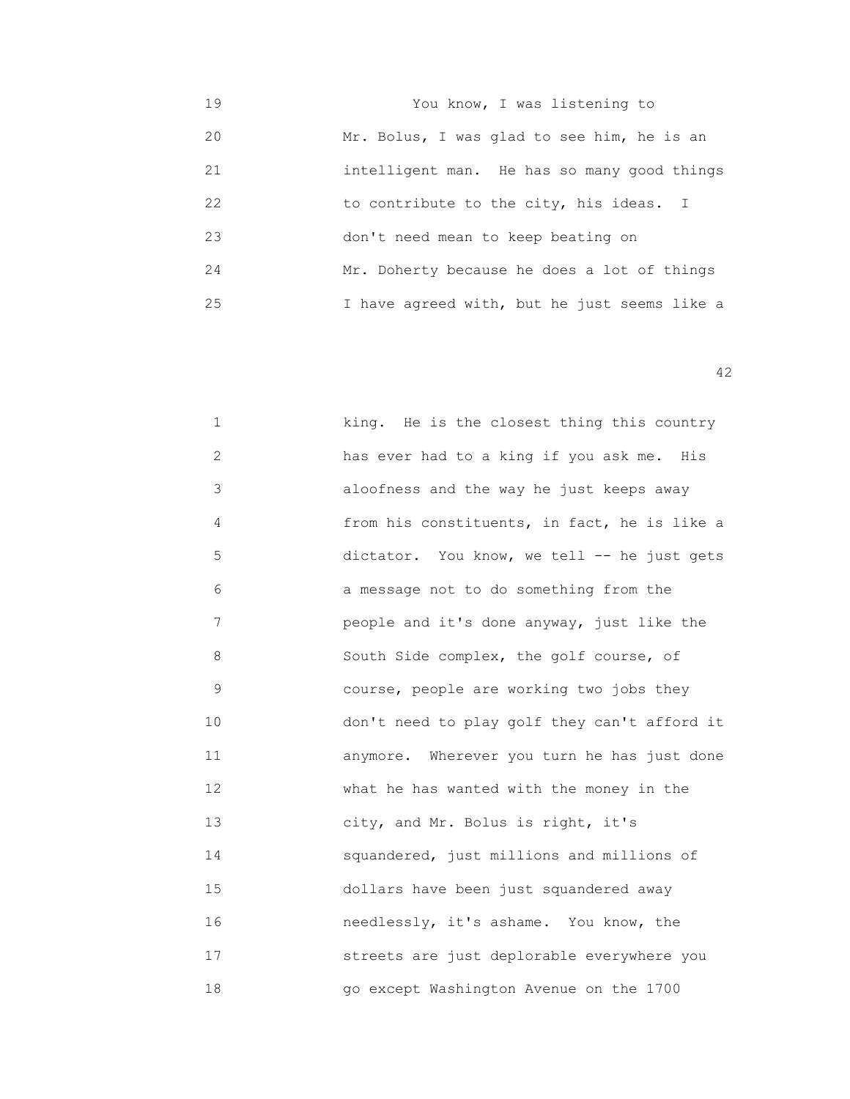19 You know, I was listening to 20 Mr. Bolus, I was glad to see him, he is an 21 intelligent man. He has so many good things 22 to contribute to the city, his ideas. I 23 don't need mean to keep beating on 24 Mr. Doherty because he does a lot of things 25 I have agreed with, but he just seems like a

| $\mathbf 1$    | king. He is the closest thing this country   |
|----------------|----------------------------------------------|
| 2              | has ever had to a king if you ask me. His    |
| 3              | aloofness and the way he just keeps away     |
| 4              | from his constituents, in fact, he is like a |
| 5              | dictator. You know, we tell -- he just gets  |
| 6              | a message not to do something from the       |
| $\overline{7}$ | people and it's done anyway, just like the   |
| 8              | South Side complex, the golf course, of      |
| 9              | course, people are working two jobs they     |
| 10             | don't need to play golf they can't afford it |
| 11             | anymore. Wherever you turn he has just done  |
| 12             | what he has wanted with the money in the     |
| 13             | city, and Mr. Bolus is right, it's           |
| 14             | squandered, just millions and millions of    |
| 15             | dollars have been just squandered away       |
| 16             | needlessly, it's ashame. You know, the       |
| 17             | streets are just deplorable everywhere you   |
| 18             | go except Washington Avenue on the 1700      |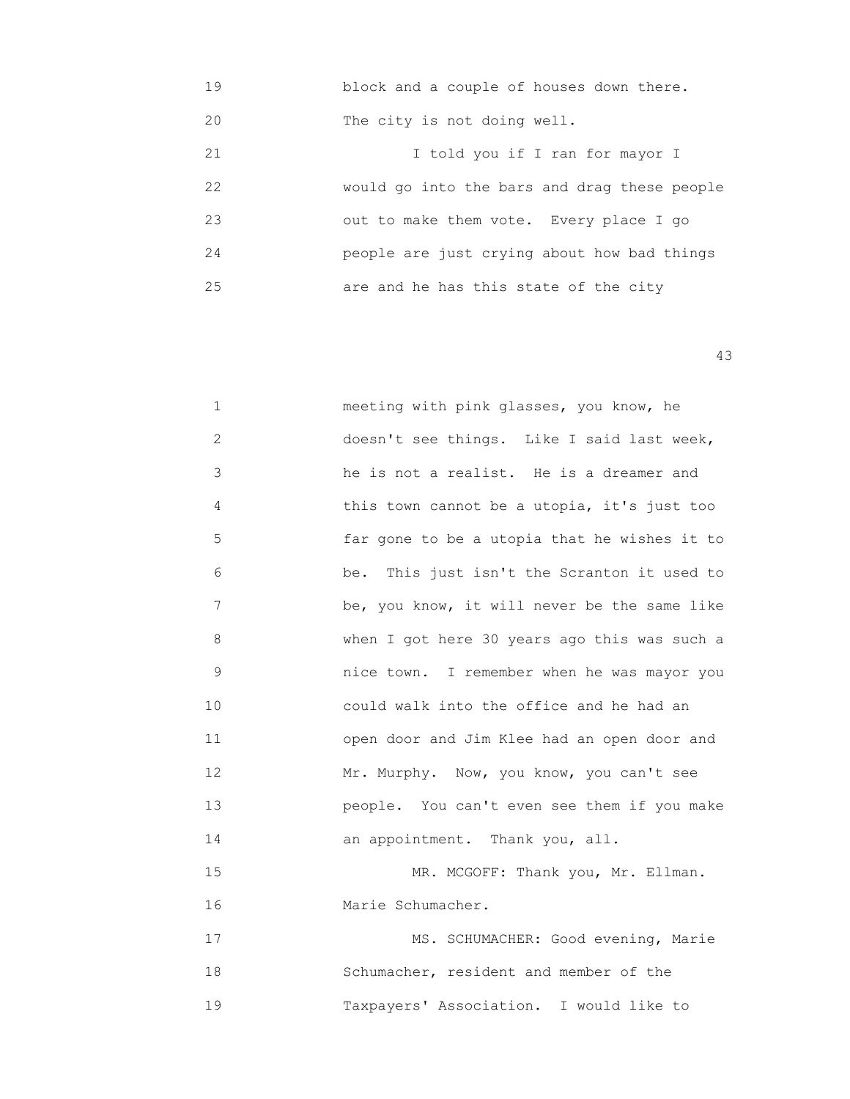| 19 | block and a couple of houses down there.     |
|----|----------------------------------------------|
| 20 | The city is not doing well.                  |
| 21 | I told you if I ran for mayor I              |
| 22 | would go into the bars and drag these people |
| 23 | out to make them vote. Every place I go      |
| 24 | people are just crying about how bad things  |
| 25 | are and he has this state of the city        |

43

| 1  | meeting with pink glasses, you know, he      |
|----|----------------------------------------------|
| 2  | doesn't see things. Like I said last week,   |
| 3  | he is not a realist. He is a dreamer and     |
| 4  | this town cannot be a utopia, it's just too  |
| 5  | far gone to be a utopia that he wishes it to |
| 6  | be. This just isn't the Scranton it used to  |
| 7  | be, you know, it will never be the same like |
| 8  | when I got here 30 years ago this was such a |
| 9  | nice town. I remember when he was mayor you  |
| 10 | could walk into the office and he had an     |
| 11 | open door and Jim Klee had an open door and  |
| 12 | Mr. Murphy. Now, you know, you can't see     |
| 13 | people. You can't even see them if you make  |
| 14 | an appointment. Thank you, all.              |
| 15 | MR. MCGOFF: Thank you, Mr. Ellman.           |
| 16 | Marie Schumacher.                            |
| 17 | MS. SCHUMACHER: Good evening, Marie          |
| 18 | Schumacher, resident and member of the       |

19 Taxpayers' Association. I would like to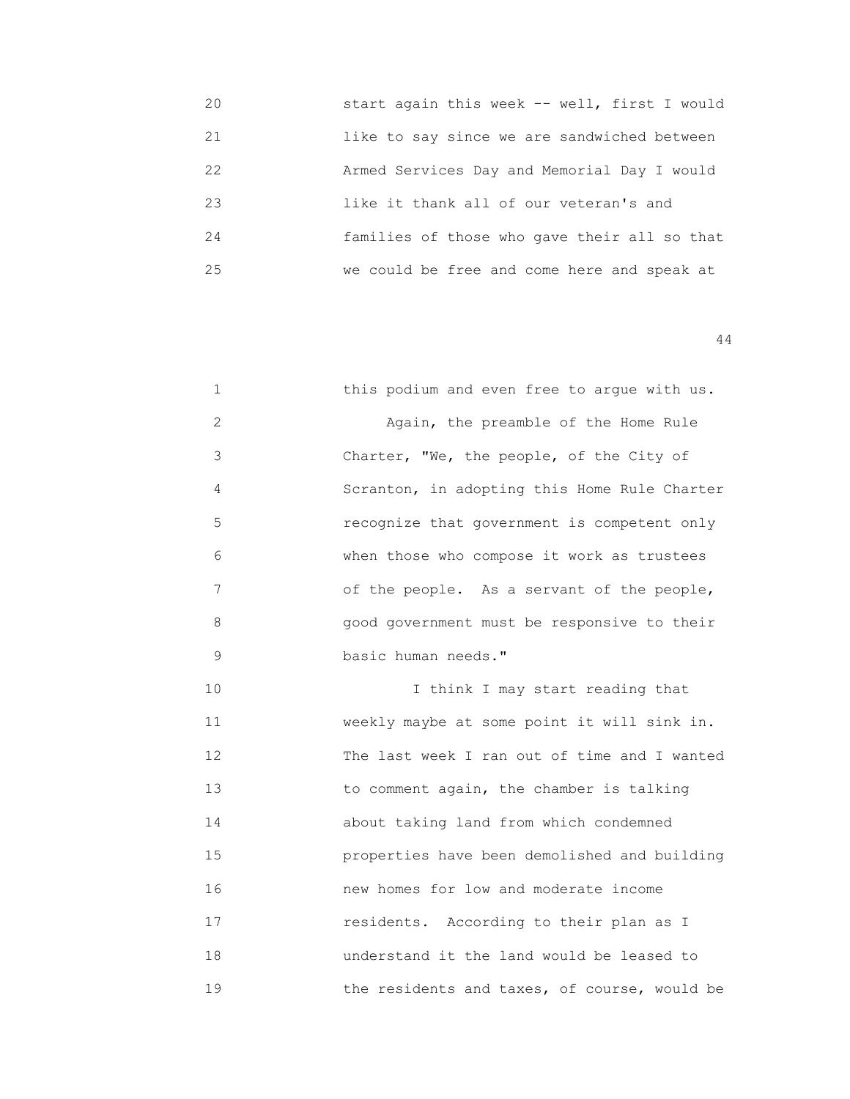20 start again this week -- well, first I would 21 like to say since we are sandwiched between 22 Armed Services Day and Memorial Day I would 23 like it thank all of our veteran's and 24 families of those who gave their all so that 25 we could be free and come here and speak at

| 1  | this podium and even free to argue with us.  |
|----|----------------------------------------------|
| 2  | Again, the preamble of the Home Rule         |
| 3  | Charter, "We, the people, of the City of     |
| 4  | Scranton, in adopting this Home Rule Charter |
| 5  | recognize that government is competent only  |
| 6  | when those who compose it work as trustees   |
| 7  | of the people. As a servant of the people,   |
| 8  | good government must be responsive to their  |
| 9  | basic human needs."                          |
| 10 | I think I may start reading that             |
| 11 | weekly maybe at some point it will sink in.  |
| 12 | The last week I ran out of time and I wanted |
| 13 | to comment again, the chamber is talking     |
| 14 | about taking land from which condemned       |
| 15 | properties have been demolished and building |
| 16 | new homes for low and moderate income        |
| 17 | residents. According to their plan as I      |
| 18 | understand it the land would be leased to    |
| 19 | the residents and taxes, of course, would be |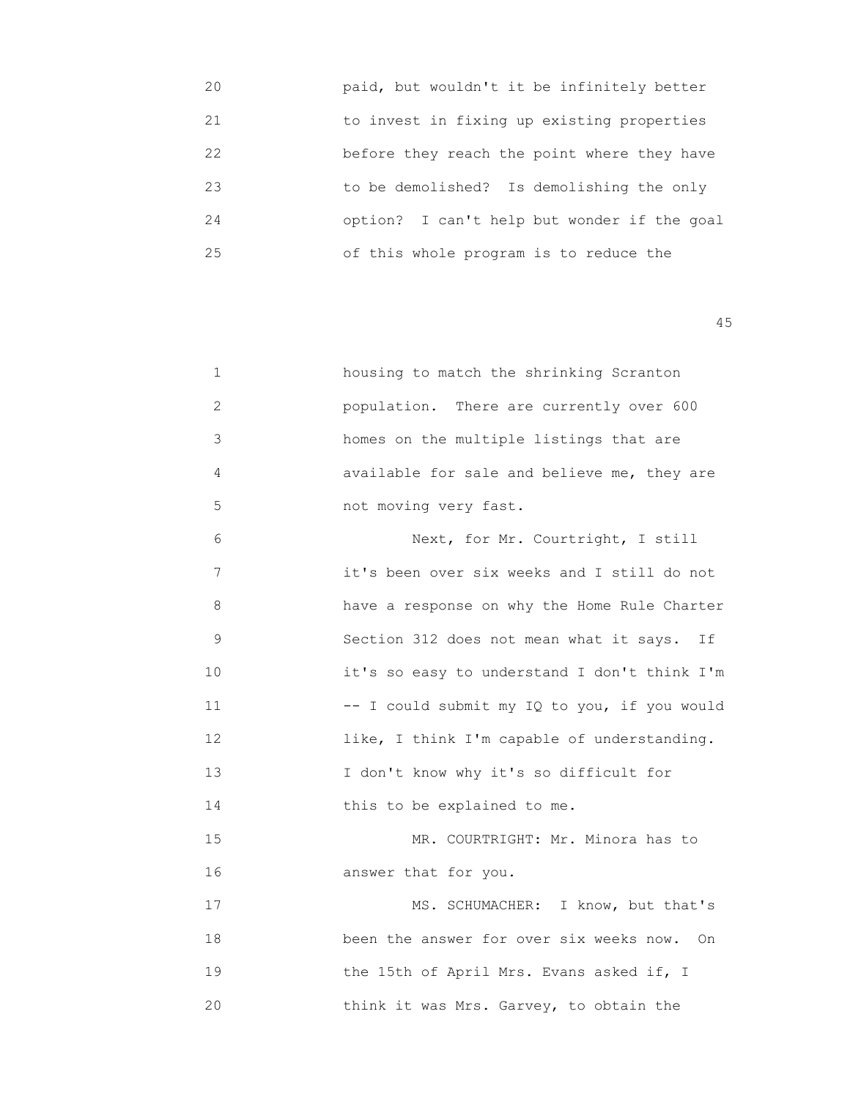| 20 | paid, but wouldn't it be infinitely better  |
|----|---------------------------------------------|
| 21 | to invest in fixing up existing properties  |
| 22 | before they reach the point where they have |
| 23 | to be demolished? Is demolishing the only   |
| 24 | option? I can't help but wonder if the goal |
| 25 | of this whole program is to reduce the      |

| 1              | housing to match the shrinking Scranton       |
|----------------|-----------------------------------------------|
| $\overline{2}$ | population. There are currently over 600      |
| $\mathfrak{Z}$ | homes on the multiple listings that are       |
| 4              | available for sale and believe me, they are   |
| 5              | not moving very fast.                         |
| 6              | Next, for Mr. Courtright, I still             |
| 7              | it's been over six weeks and I still do not   |
| 8              | have a response on why the Home Rule Charter  |
| 9              | Section 312 does not mean what it says.<br>If |
| 10             | it's so easy to understand I don't think I'm  |
| 11             | -- I could submit my IQ to you, if you would  |
| 12             | like, I think I'm capable of understanding.   |
| 13             | I don't know why it's so difficult for        |
| 14             | this to be explained to me.                   |
| 15             | MR. COURTRIGHT: Mr. Minora has to             |
| 16             | answer that for you.                          |
| 17             | MS. SCHUMACHER: I know, but that's            |
| 18             | been the answer for over six weeks now. On    |
| 19             | the 15th of April Mrs. Evans asked if, I      |
| 20             | think it was Mrs. Garvey, to obtain the       |
|                |                                               |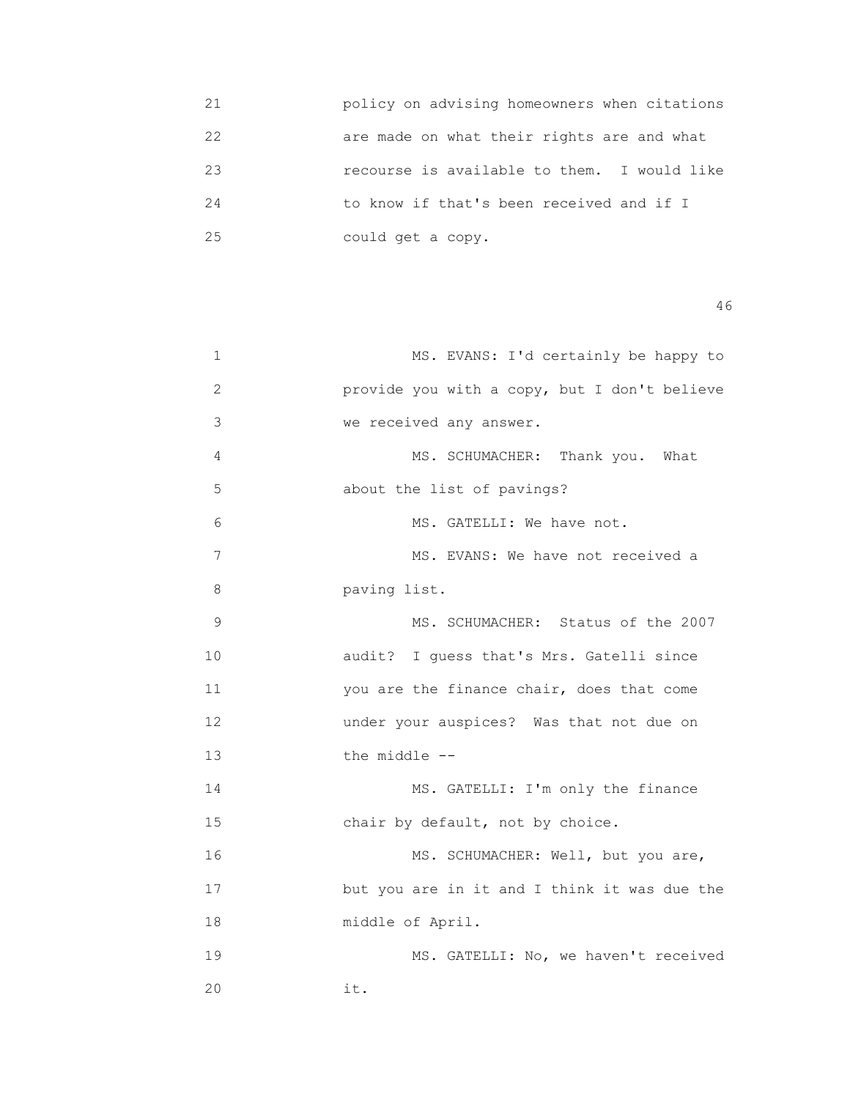21 policy on advising homeowners when citations 22 are made on what their rights are and what 23 recourse is available to them. I would like 24 to know if that's been received and if I 25 could get a copy.

| $\mathbf 1$ | MS. EVANS: I'd certainly be happy to         |
|-------------|----------------------------------------------|
| 2           | provide you with a copy, but I don't believe |
| 3           | we received any answer.                      |
| 4           | MS. SCHUMACHER: Thank you. What              |
| 5           | about the list of pavings?                   |
| 6           | MS. GATELLI: We have not.                    |
| 7           | MS. EVANS: We have not received a            |
| 8           | paving list.                                 |
| 9           | MS. SCHUMACHER: Status of the 2007           |
| 10          | audit? I guess that's Mrs. Gatelli since     |
| 11          | you are the finance chair, does that come    |
| 12          | under your auspices? Was that not due on     |
| 13          | the middle --                                |
| 14          | MS. GATELLI: I'm only the finance            |
| 15          | chair by default, not by choice.             |
| 16          | MS. SCHUMACHER: Well, but you are,           |
| 17          | but you are in it and I think it was due the |
| 18          | middle of April.                             |
| 19          | MS. GATELLI: No, we haven't received         |
| 20          | it.                                          |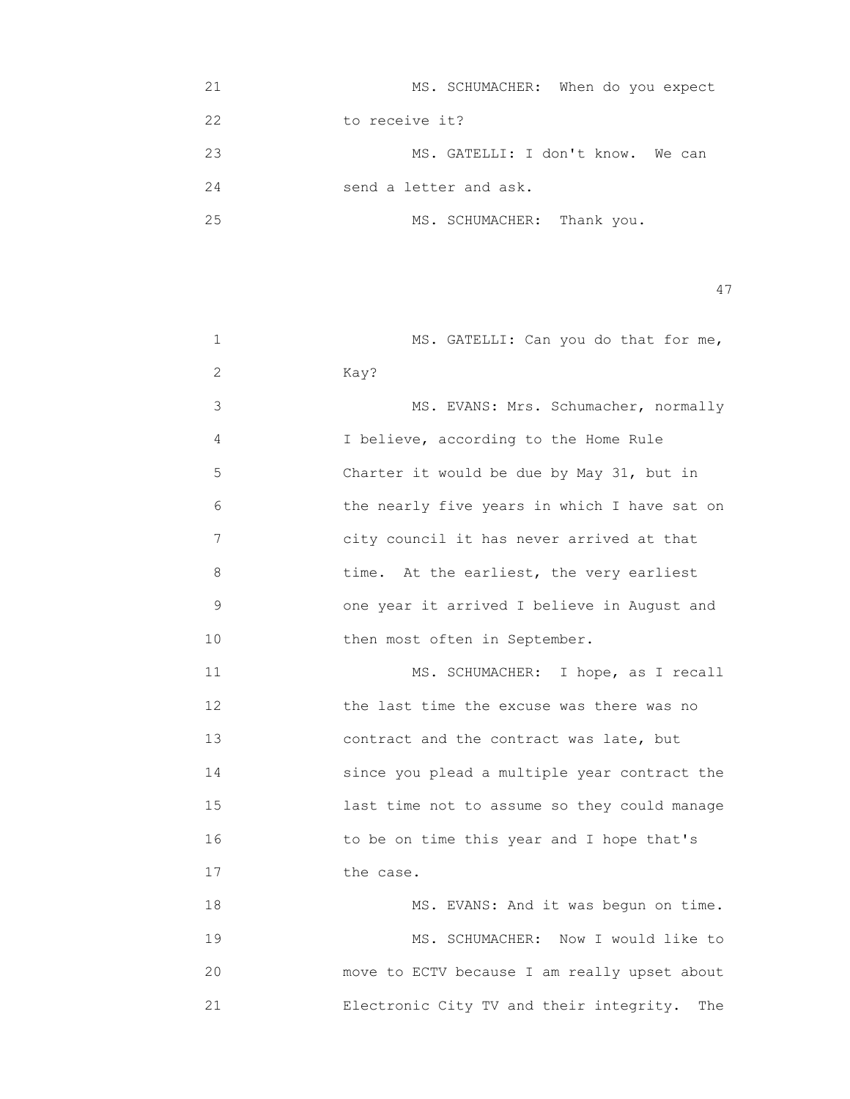| 21 | MS. SCHUMACHER: When do you expect |
|----|------------------------------------|
| 22 | to receive it?                     |
| 23 | MS. GATELLI: I don't know. We can  |
| 24 | send a letter and ask.             |
| 25 | MS. SCHUMACHER: Thank you.         |

| 1  | MS. GATELLI: Can you do that for me,           |
|----|------------------------------------------------|
| 2  | Kay?                                           |
| 3  | MS. EVANS: Mrs. Schumacher, normally           |
| 4  | I believe, according to the Home Rule          |
| 5  | Charter it would be due by May 31, but in      |
| 6  | the nearly five years in which I have sat on   |
| 7  | city council it has never arrived at that      |
| 8  | time. At the earliest, the very earliest       |
| 9  | one year it arrived I believe in August and    |
| 10 | then most often in September.                  |
| 11 | MS. SCHUMACHER: I hope, as I recall            |
| 12 | the last time the excuse was there was no      |
| 13 | contract and the contract was late, but        |
| 14 | since you plead a multiple year contract the   |
| 15 | last time not to assume so they could manage   |
| 16 | to be on time this year and I hope that's      |
| 17 | the case.                                      |
| 18 | MS. EVANS: And it was begun on time.           |
| 19 | MS. SCHUMACHER: Now I would like to            |
| 20 | move to ECTV because I am really upset about   |
| 21 | Electronic City TV and their integrity.<br>The |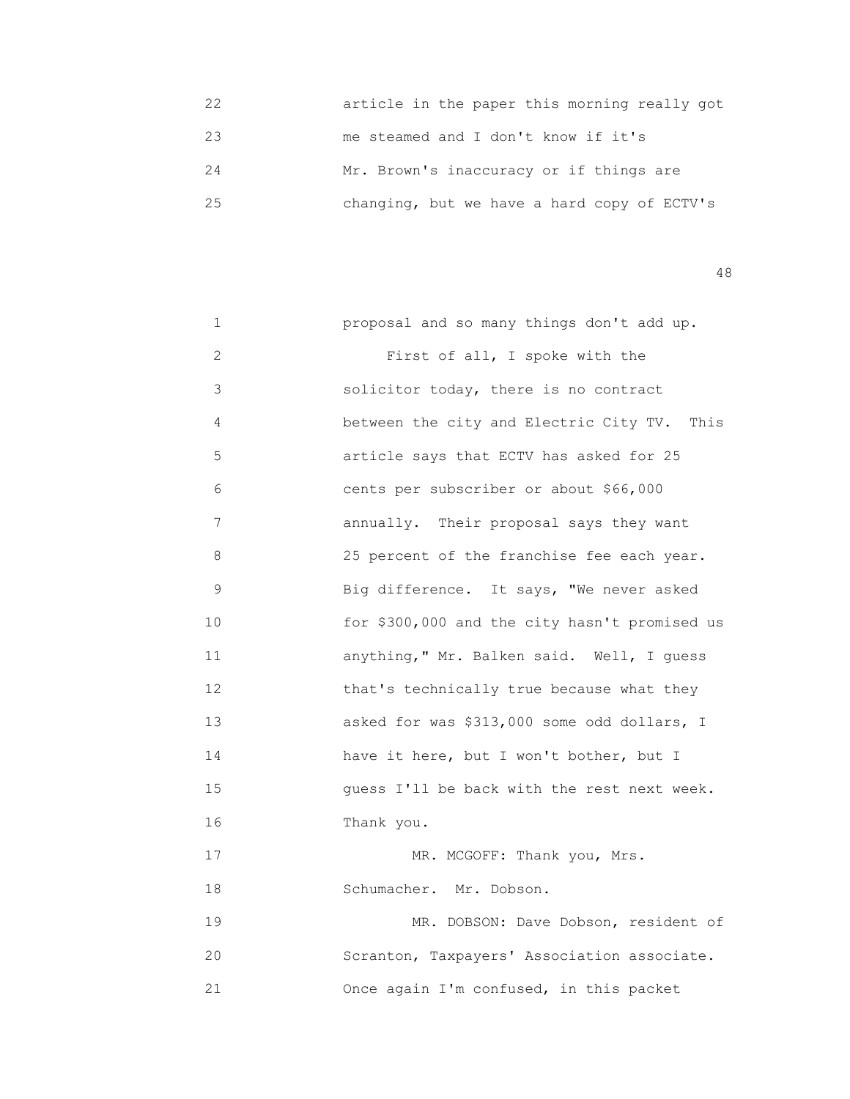22 article in the paper this morning really got 23 me steamed and I don't know if it's 24 Mr. Brown's inaccuracy or if things are 25 changing, but we have a hard copy of ECTV's

48

 1 proposal and so many things don't add up. 2 First of all, I spoke with the 3 solicitor today, there is no contract 4 between the city and Electric City TV. This 5 article says that ECTV has asked for 25 6 cents per subscriber or about \$66,000 7 annually. Their proposal says they want 8 25 percent of the franchise fee each year. 9 Big difference. It says, "We never asked 10 for \$300,000 and the city hasn't promised us 11 anything," Mr. Balken said. Well, I guess 12 that's technically true because what they 13 asked for was \$313,000 some odd dollars, I 14 have it here, but I won't bother, but I 15 quess I'll be back with the rest next week. 16 Thank you. 17 MR. MCGOFF: Thank you, Mrs. 18 Schumacher. Mr. Dobson. 19 MR. DOBSON: Dave Dobson, resident of 20 Scranton, Taxpayers' Association associate. 21 Once again I'm confused, in this packet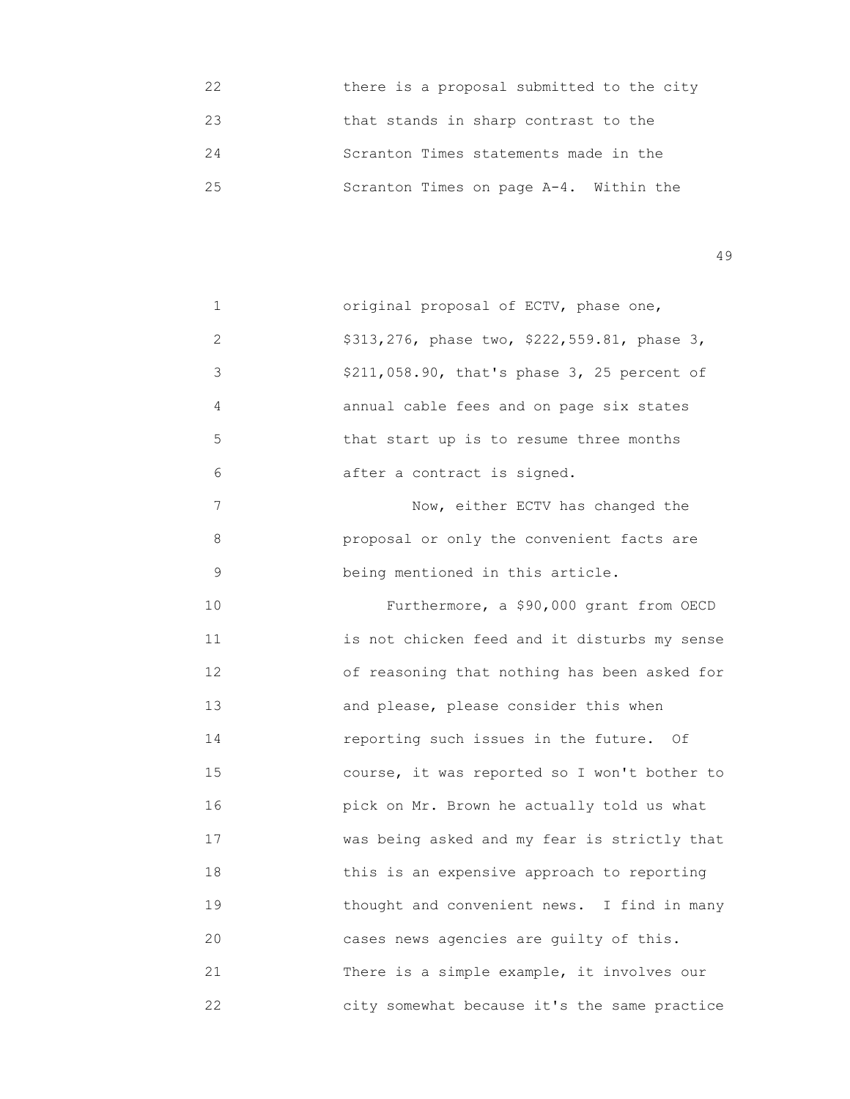| 22 | there is a proposal submitted to the city |
|----|-------------------------------------------|
| 23 | that stands in sharp contrast to the      |
| 24 | Scranton Times statements made in the     |
| 25 | Scranton Times on page A-4. Within the    |

| $\mathbf 1$ | original proposal of ECTV, phase one,        |
|-------------|----------------------------------------------|
| 2           | \$313,276, phase two, \$222,559.81, phase 3, |
| 3           | \$211,058.90, that's phase 3, 25 percent of  |
| 4           | annual cable fees and on page six states     |
| 5           | that start up is to resume three months      |
| 6           | after a contract is signed.                  |
| 7           | Now, either ECTV has changed the             |
| 8           | proposal or only the convenient facts are    |
| 9           | being mentioned in this article.             |
| 10          | Furthermore, a \$90,000 grant from OECD      |
| 11          | is not chicken feed and it disturbs my sense |
| 12          | of reasoning that nothing has been asked for |
| 13          | and please, please consider this when        |
| 14          | reporting such issues in the future. Of      |
| 15          | course, it was reported so I won't bother to |
| 16          | pick on Mr. Brown he actually told us what   |
| 17          | was being asked and my fear is strictly that |
| 18          | this is an expensive approach to reporting   |
| 19          | thought and convenient news. I find in many  |
| 20          | cases news agencies are guilty of this.      |
| 21          | There is a simple example, it involves our   |
| 22          | city somewhat because it's the same practice |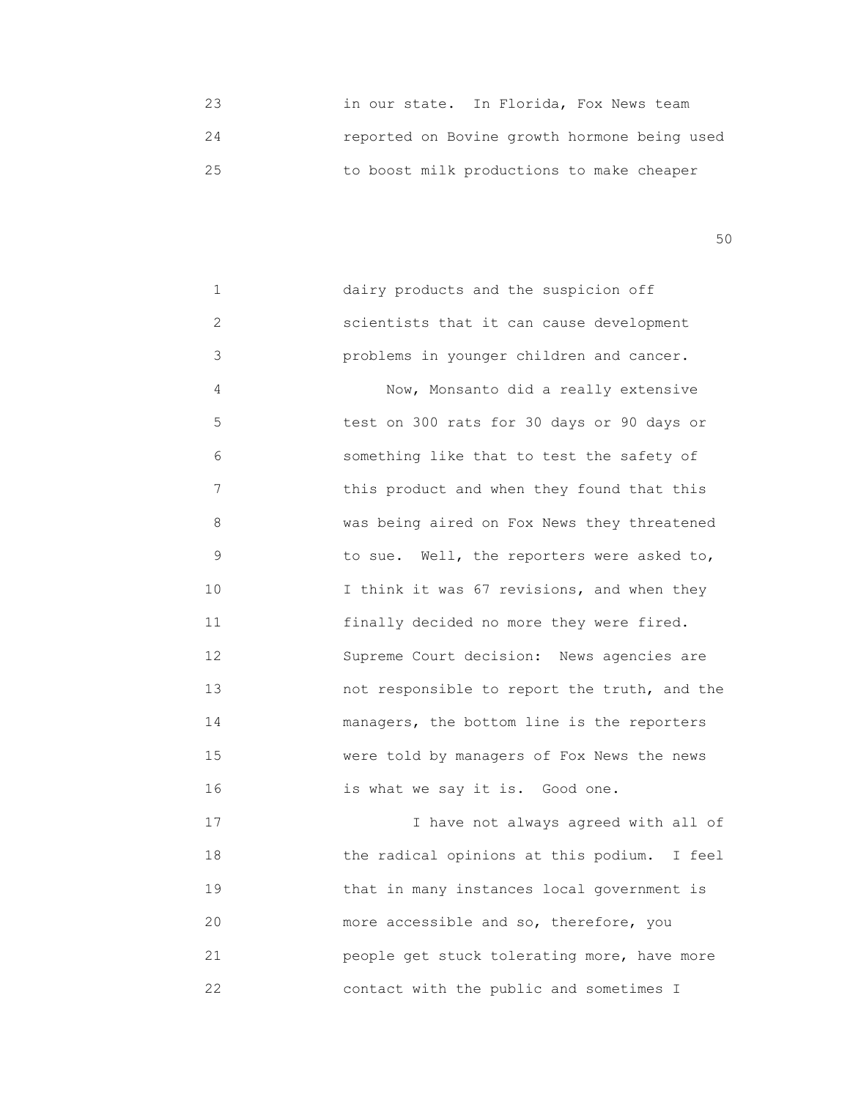23 in our state. In Florida, Fox News team 24 reported on Bovine growth hormone being used 25 to boost milk productions to make cheaper

 $50<sub>50</sub>$ 

 1 dairy products and the suspicion off 2 scientists that it can cause development 3 problems in younger children and cancer. 4 Now, Monsanto did a really extensive 5 test on 300 rats for 30 days or 90 days or 6 something like that to test the safety of 7 this product and when they found that this 8 **WAS being aired on Fox News they threatened**  9 to sue. Well, the reporters were asked to, 10 **I** think it was 67 revisions, and when they 11 **11 11 11 11 finally decided no more they were fired.**  12 Supreme Court decision: News agencies are 13 not responsible to report the truth, and the 14 **managers, the bottom line is the reporters**  15 were told by managers of Fox News the news 16 is what we say it is. Good one. 17 I have not always agreed with all of 18 the radical opinions at this podium. I feel 19 that in many instances local government is 20 more accessible and so, therefore, you 21 people get stuck tolerating more, have more 22 contact with the public and sometimes I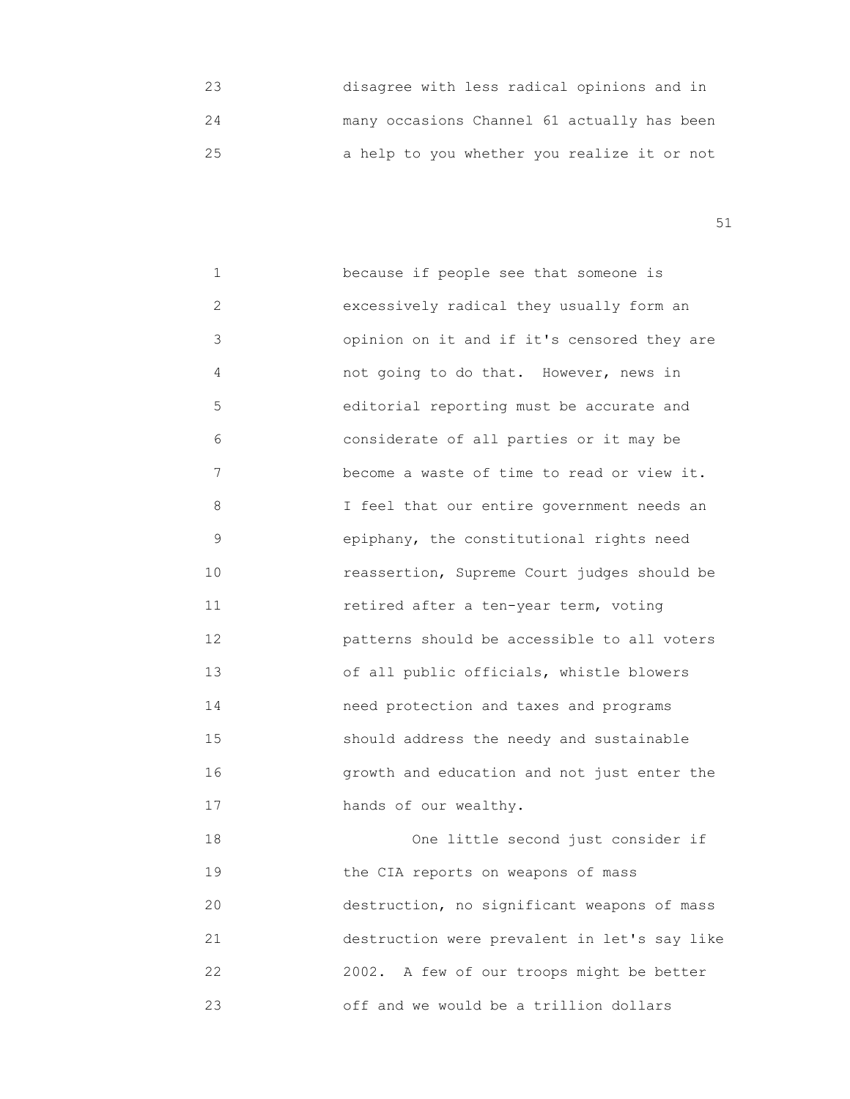23 disagree with less radical opinions and in 24 many occasions Channel 61 actually has been 25 a help to you whether you realize it or not

51

1 **because if people see that someone is**  2 excessively radical they usually form an 3 opinion on it and if it's censored they are 4 not going to do that. However, news in 5 editorial reporting must be accurate and 6 considerate of all parties or it may be 7 become a waste of time to read or view it. 8 I feel that our entire government needs an 9 epiphany, the constitutional rights need 10 reassertion, Supreme Court judges should be 11 retired after a ten-year term, voting 12 patterns should be accessible to all voters 13 of all public officials, whistle blowers 14 need protection and taxes and programs 15 should address the needy and sustainable 16 growth and education and not just enter the 17 hands of our wealthy. 18 One little second just consider if 19 the CIA reports on weapons of mass

 20 destruction, no significant weapons of mass 21 destruction were prevalent in let's say like 22 2002. A few of our troops might be better 23 off and we would be a trillion dollars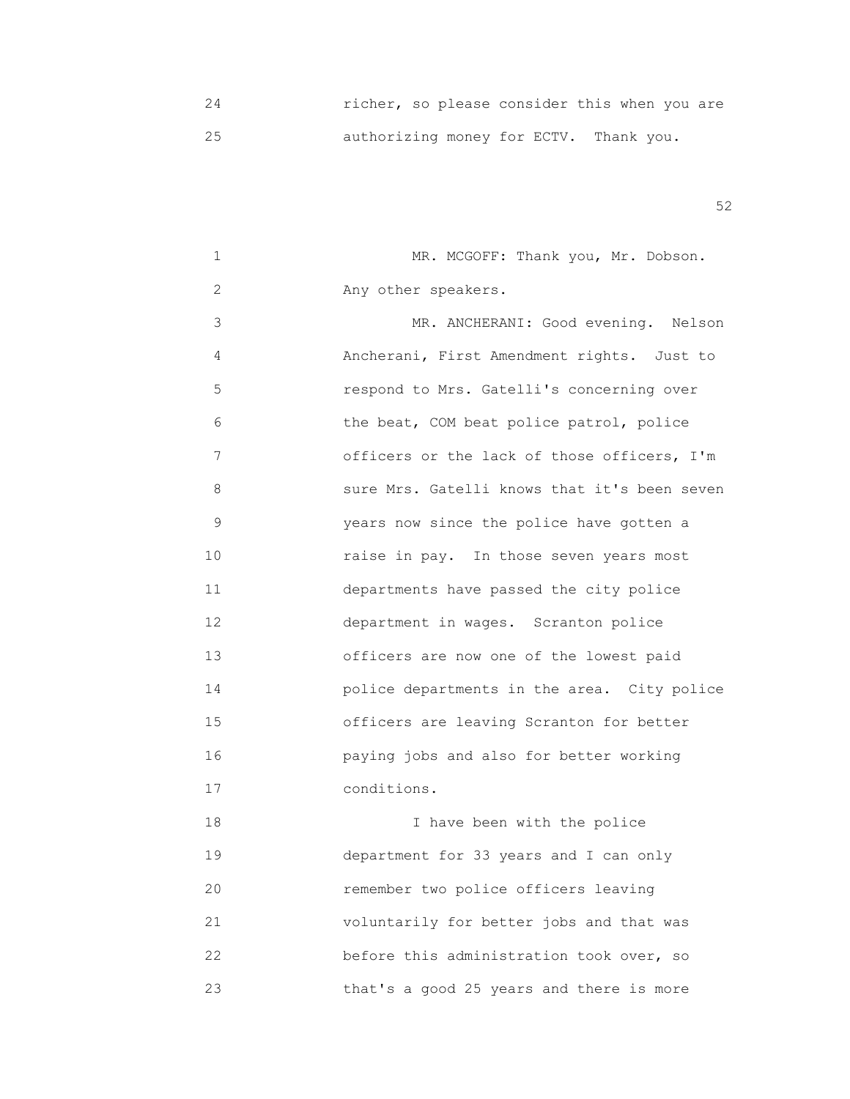24 richer, so please consider this when you are 25 authorizing money for ECTV. Thank you.

| $\mathbf 1$ | MR. MCGOFF: Thank you, Mr. Dobson.           |
|-------------|----------------------------------------------|
| 2           | Any other speakers.                          |
| 3           | MR. ANCHERANI: Good evening. Nelson          |
| 4           | Ancherani, First Amendment rights. Just to   |
| 5           | respond to Mrs. Gatelli's concerning over    |
| 6           | the beat, COM beat police patrol, police     |
| 7           | officers or the lack of those officers, I'm  |
| 8           | sure Mrs. Gatelli knows that it's been seven |
| 9           | years now since the police have gotten a     |
| 10          | raise in pay. In those seven years most      |
| 11          | departments have passed the city police      |
| 12          | department in wages. Scranton police         |
| 13          | officers are now one of the lowest paid      |
| 14          | police departments in the area. City police  |
| 15          | officers are leaving Scranton for better     |
| 16          | paying jobs and also for better working      |
| 17          | conditions.                                  |
| 18          | I have been with the police                  |
| 19          | department for 33 years and I can only       |
| 20          | remember two police officers leaving         |
| 21          | voluntarily for better jobs and that was     |
| 22          | before this administration took over, so     |
| 23          | that's a good 25 years and there is more     |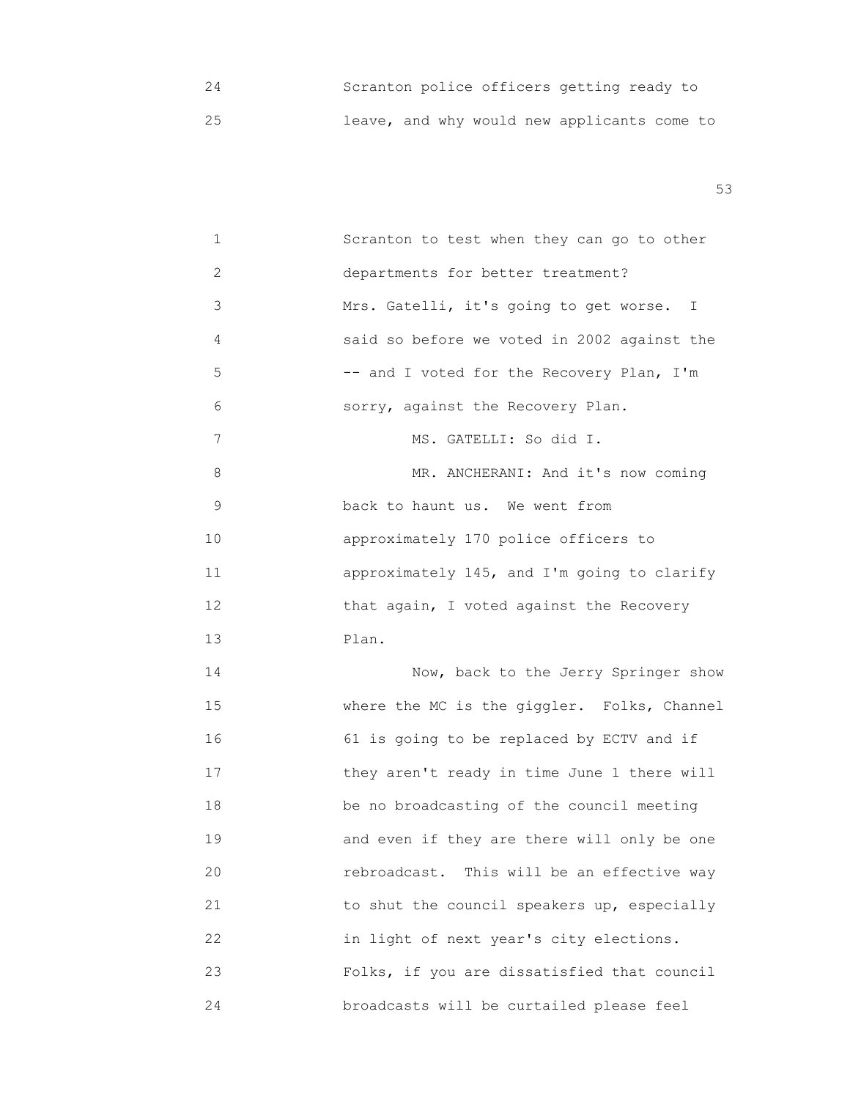24 Scranton police officers getting ready to 25 leave, and why would new applicants come to

| $\mathbf 1$    | Scranton to test when they can go to other  |
|----------------|---------------------------------------------|
| 2              | departments for better treatment?           |
| 3              | Mrs. Gatelli, it's going to get worse. I    |
| 4              | said so before we voted in 2002 against the |
| 5              | -- and I voted for the Recovery Plan, I'm   |
| 6              | sorry, against the Recovery Plan.           |
| $\overline{7}$ | MS. GATELLI: So did I.                      |
| 8              | MR. ANCHERANI: And it's now coming          |
| 9              | back to haunt us. We went from              |
| 10             | approximately 170 police officers to        |
| 11             | approximately 145, and I'm going to clarify |
| 12             | that again, I voted against the Recovery    |
| 13             | Plan.                                       |
| 14             | Now, back to the Jerry Springer show        |
| 15             | where the MC is the giggler. Folks, Channel |
| 16             | 61 is going to be replaced by ECTV and if   |
| 17             | they aren't ready in time June 1 there will |
| 18             | be no broadcasting of the council meeting   |
| 19             | and even if they are there will only be one |
| 20             | rebroadcast. This will be an effective way  |
| 21             | to shut the council speakers up, especially |
| 22             | in light of next year's city elections.     |
| 23             | Folks, if you are dissatisfied that council |
| 24             | broadcasts will be curtailed please feel    |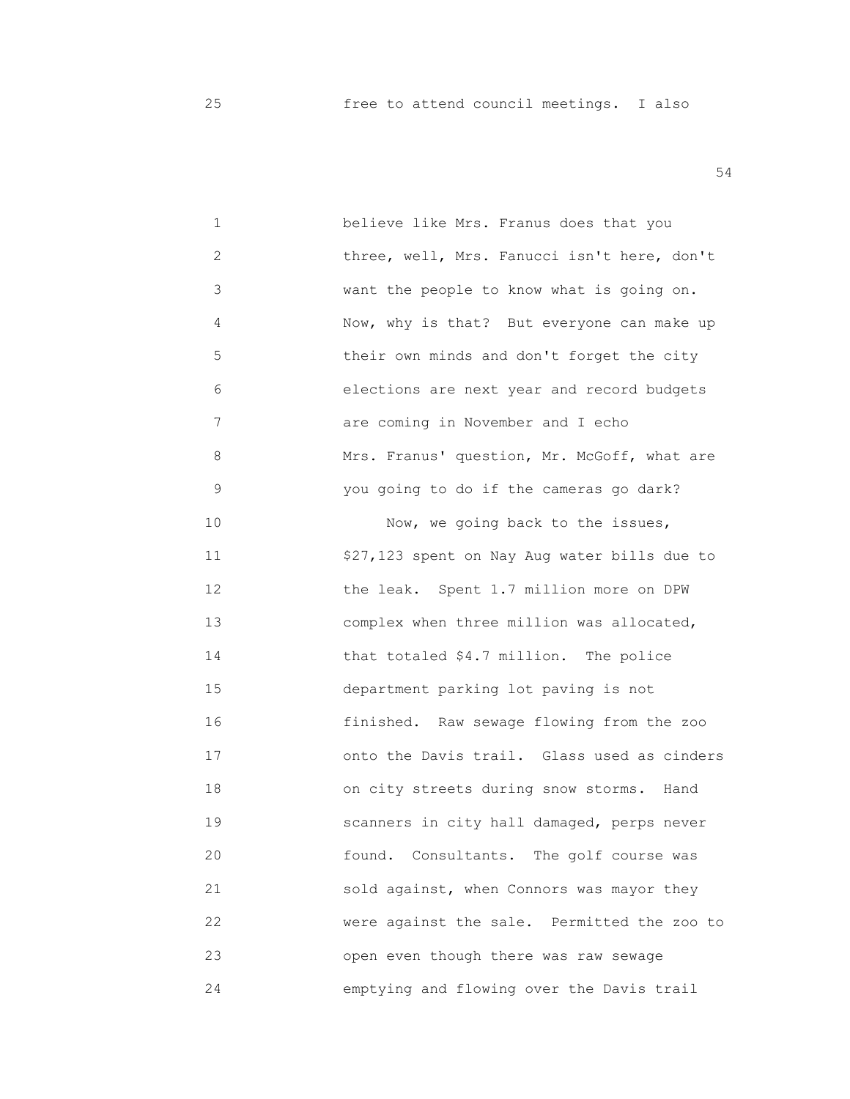25 free to attend council meetings. I also

| 1  | believe like Mrs. Franus does that you       |
|----|----------------------------------------------|
| 2  | three, well, Mrs. Fanucci isn't here, don't  |
| 3  | want the people to know what is going on.    |
| 4  | Now, why is that? But everyone can make up   |
| 5  | their own minds and don't forget the city    |
| 6  | elections are next year and record budgets   |
| 7  | are coming in November and I echo            |
| 8  | Mrs. Franus' question, Mr. McGoff, what are  |
| 9  | you going to do if the cameras go dark?      |
| 10 | Now, we going back to the issues,            |
| 11 | \$27,123 spent on Nay Aug water bills due to |
| 12 | the leak. Spent 1.7 million more on DPW      |
| 13 | complex when three million was allocated,    |
| 14 | that totaled \$4.7 million. The police       |
| 15 | department parking lot paving is not         |
| 16 | finished. Raw sewage flowing from the zoo    |
| 17 | onto the Davis trail. Glass used as cinders  |
| 18 | on city streets during snow storms. Hand     |
| 19 | scanners in city hall damaged, perps never   |
| 20 | found. Consultants. The golf course was      |
| 21 | sold against, when Connors was mayor they    |
| 22 | were against the sale. Permitted the zoo to  |
| 23 | open even though there was raw sewage        |
| 24 | emptying and flowing over the Davis trail    |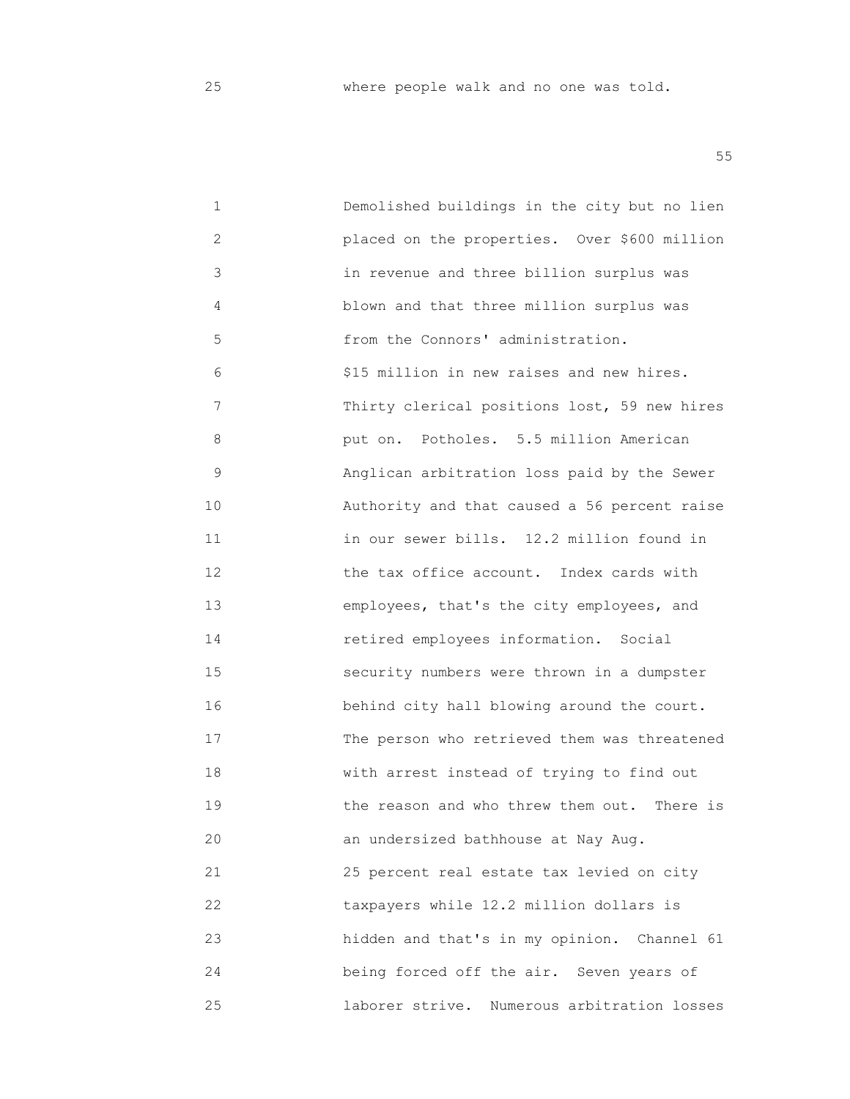25 where people walk and no one was told.

| 1  | Demolished buildings in the city but no lien   |
|----|------------------------------------------------|
| 2  | placed on the properties. Over \$600 million   |
| 3  | in revenue and three billion surplus was       |
| 4  | blown and that three million surplus was       |
| 5  | from the Connors' administration.              |
| 6  | \$15 million in new raises and new hires.      |
| 7  | Thirty clerical positions lost, 59 new hires   |
| 8  | put on. Potholes. 5.5 million American         |
| 9  | Anglican arbitration loss paid by the Sewer    |
| 10 | Authority and that caused a 56 percent raise   |
| 11 | in our sewer bills. 12.2 million found in      |
| 12 | the tax office account. Index cards with       |
| 13 | employees, that's the city employees, and      |
| 14 | retired employees information. Social          |
| 15 | security numbers were thrown in a dumpster     |
| 16 | behind city hall blowing around the court.     |
| 17 | The person who retrieved them was threatened   |
| 18 | with arrest instead of trying to find out      |
| 19 | the reason and who threw them out.<br>There is |
| 20 | an undersized bathhouse at Nay Aug.            |
| 21 | 25 percent real estate tax levied on city      |
| 22 | taxpayers while 12.2 million dollars is        |
| 23 | hidden and that's in my opinion. Channel 61    |
| 24 | being forced off the air. Seven years of       |
| 25 | laborer strive. Numerous arbitration losses    |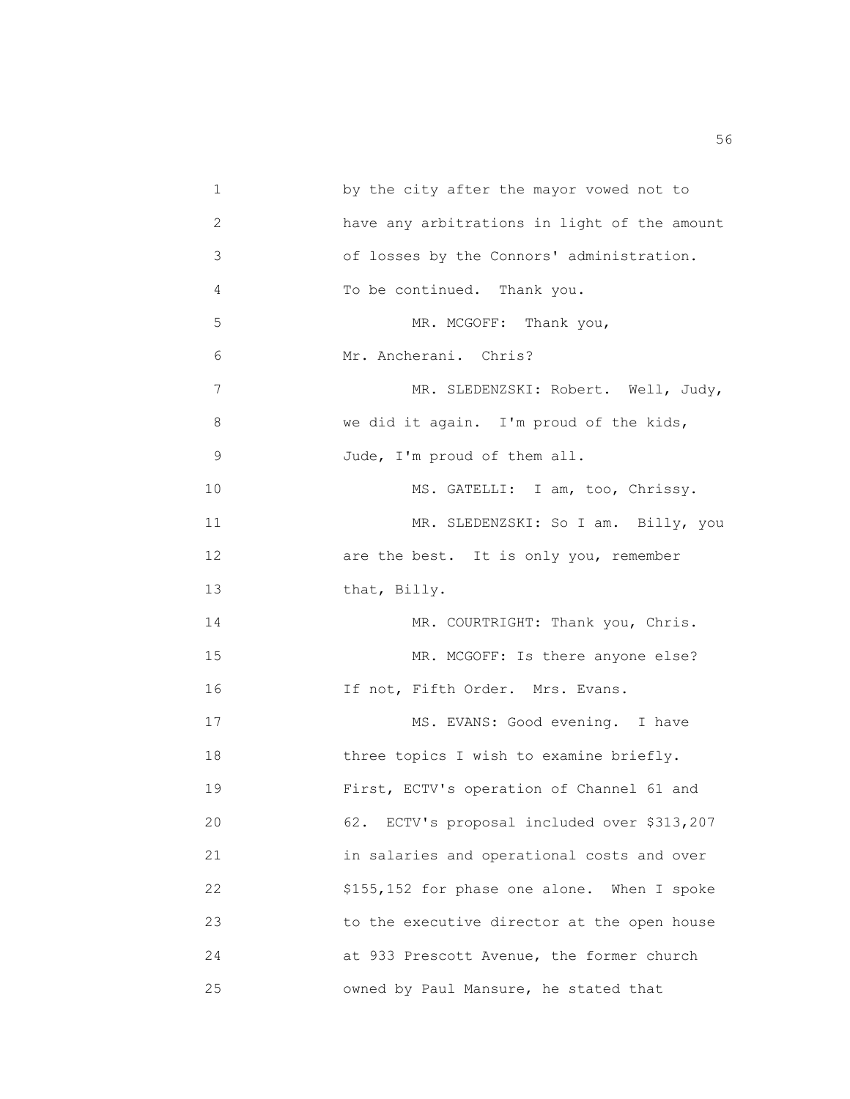| 1  | by the city after the mayor vowed not to     |
|----|----------------------------------------------|
| 2  | have any arbitrations in light of the amount |
| 3  | of losses by the Connors' administration.    |
| 4  | To be continued. Thank you.                  |
| 5  | MR. MCGOFF:<br>Thank you,                    |
| 6  | Mr. Ancherani. Chris?                        |
| 7  | MR. SLEDENZSKI: Robert. Well, Judy,          |
| 8  | we did it again. I'm proud of the kids,      |
| 9  | Jude, I'm proud of them all.                 |
| 10 | MS. GATELLI: I am, too, Chrissy.             |
| 11 | MR. SLEDENZSKI: So I am. Billy, you          |
| 12 | are the best. It is only you, remember       |
| 13 | that, Billy.                                 |
| 14 | MR. COURTRIGHT: Thank you, Chris.            |
| 15 | MR. MCGOFF: Is there anyone else?            |
| 16 | If not, Fifth Order. Mrs. Evans.             |
| 17 | MS. EVANS: Good evening. I have              |
| 18 | three topics I wish to examine briefly.      |
| 19 | First, ECTV's operation of Channel 61 and    |
| 20 | 62. ECTV's proposal included over \$313,207  |
| 21 | in salaries and operational costs and over   |
| 22 | \$155,152 for phase one alone. When I spoke  |
| 23 | to the executive director at the open house  |
| 24 | at 933 Prescott Avenue, the former church    |
| 25 | owned by Paul Mansure, he stated that        |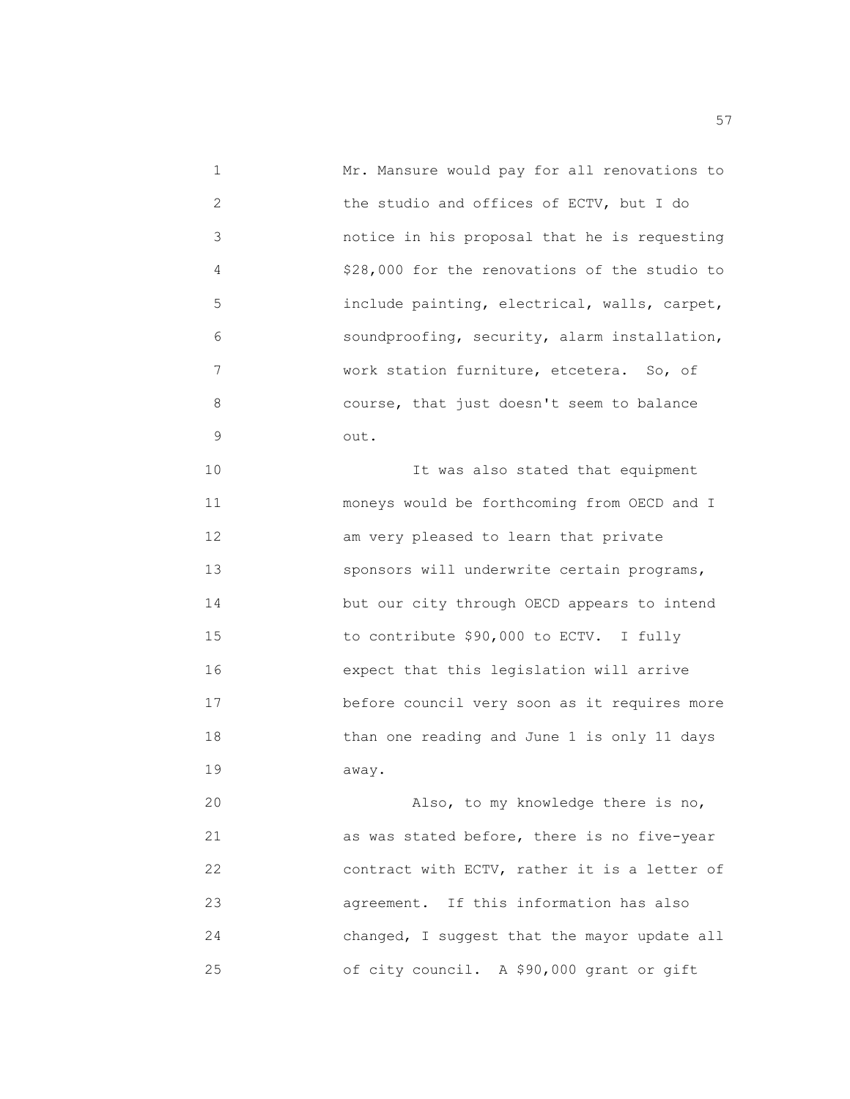1 Mr. Mansure would pay for all renovations to 2 the studio and offices of ECTV, but I do 3 notice in his proposal that he is requesting 4 \$28,000 for the renovations of the studio to 5 include painting, electrical, walls, carpet, 6 soundproofing, security, alarm installation, 7 **WARE WARE WARE WARE WARE WARE CONTENT CONTENT CONTENT CONTENT CONTENT CONTENT CONTENT CONTENT CONTENT CONTENT CONTENT CONTENT CONTENT CONTENT CONTENT CONTENT CONTENT CONTENT**  8 course, that just doesn't seem to balance 9 out. 10 **10 10 11 IL** was also stated that equipment 11 moneys would be forthcoming from OECD and I 12 **am very pleased to learn that private**  13 sponsors will underwrite certain programs, 14 **but our city through OECD appears to intend**  15 to contribute \$90,000 to ECTV. I fully 16 expect that this legislation will arrive 17 before council very soon as it requires more 18 than one reading and June 1 is only 11 days 19 away. 20 Also, to my knowledge there is no, 21 as was stated before, there is no five-year 22 contract with ECTV, rather it is a letter of 23 agreement. If this information has also

25 of city council. A \$90,000 grant or gift

24 changed, I suggest that the mayor update all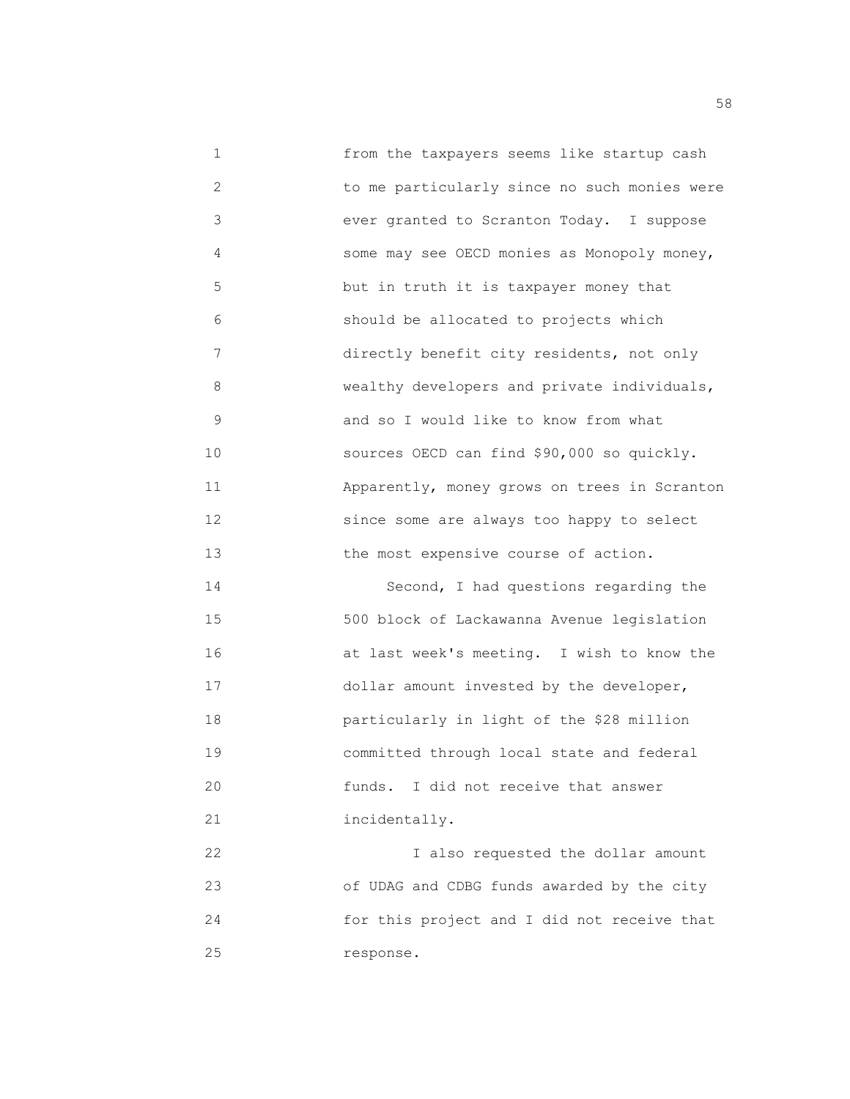1 from the taxpayers seems like startup cash 2 to me particularly since no such monies were 3 ever granted to Scranton Today. I suppose 4 some may see OECD monies as Monopoly money, 5 but in truth it is taxpayer money that 6 should be allocated to projects which 7 directly benefit city residents, not only 8 wealthy developers and private individuals, 9 and so I would like to know from what 10 sources OECD can find \$90,000 so quickly. 11 Apparently, money grows on trees in Scranton 12 since some are always too happy to select 13 the most expensive course of action. 14 Second, I had questions regarding the 15 500 block of Lackawanna Avenue legislation 16 at last week's meeting. I wish to know the 17 dollar amount invested by the developer, 18 particularly in light of the \$28 million 19 committed through local state and federal

 20 funds. I did not receive that answer 21 incidentally.

 22 I also requested the dollar amount 23 of UDAG and CDBG funds awarded by the city 24 for this project and I did not receive that 25 response.

the state of the state of the state of the state of the state of the state of the state of the state of the state of the state of the state of the state of the state of the state of the state of the state of the state of t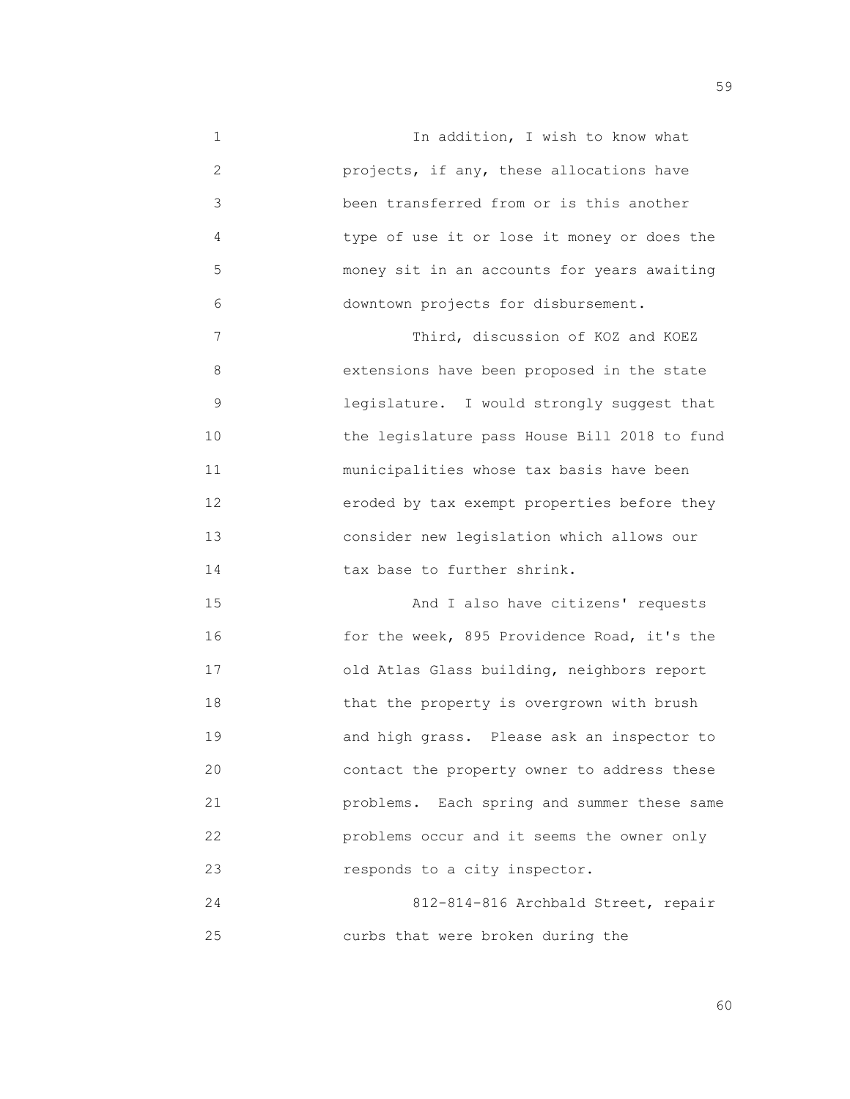1 In addition, I wish to know what 2 projects, if any, these allocations have 3 been transferred from or is this another 4 type of use it or lose it money or does the 5 money sit in an accounts for years awaiting 6 downtown projects for disbursement.

7 Third, discussion of KOZ and KOEZ 8 extensions have been proposed in the state 9 legislature. I would strongly suggest that 10 the legislature pass House Bill 2018 to fund 11 municipalities whose tax basis have been 12 eroded by tax exempt properties before they 13 consider new legislation which allows our 14 **tax base to further shrink.** 

 15 And I also have citizens' requests 16 for the week, 895 Providence Road, it's the 17 old Atlas Glass building, neighbors report 18 that the property is overgrown with brush 19 and high grass. Please ask an inspector to 20 contact the property owner to address these 21 problems. Each spring and summer these same 22 problems occur and it seems the owner only 23 responds to a city inspector.

 24 812-814-816 Archbald Street, repair 25 curbs that were broken during the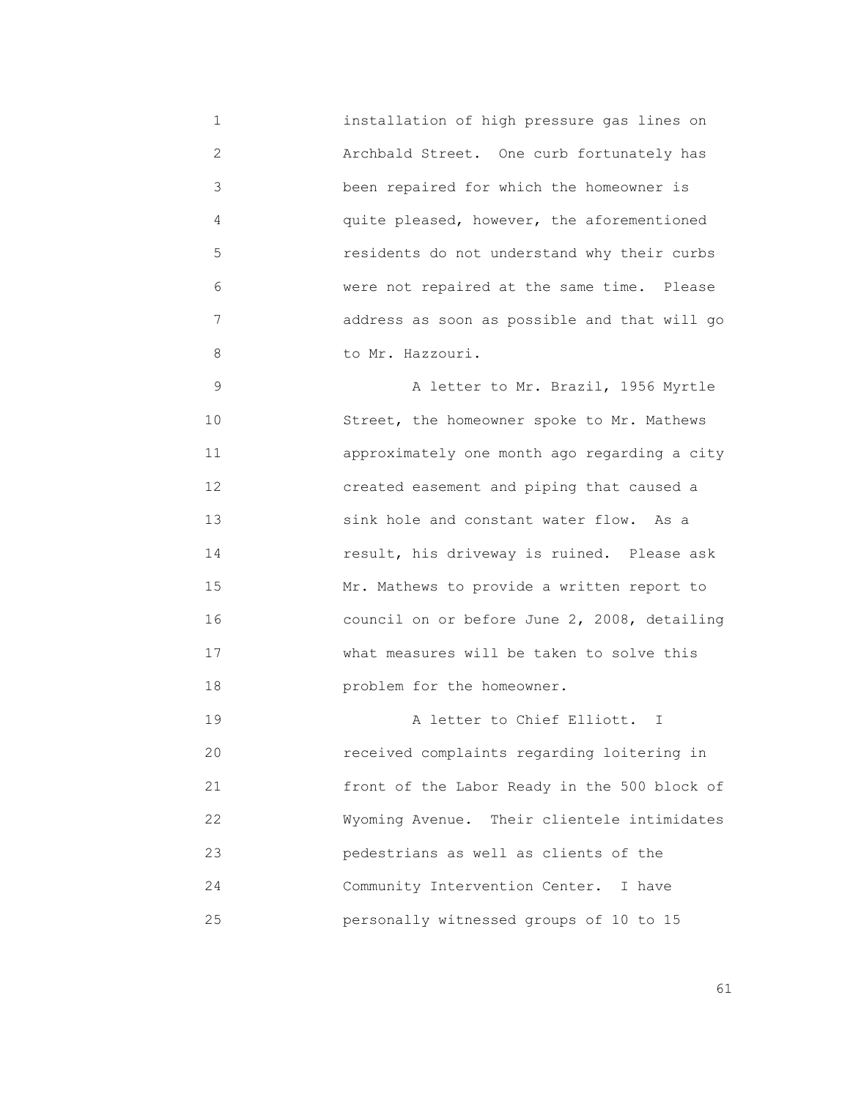1 installation of high pressure gas lines on 2 Archbald Street. One curb fortunately has 3 been repaired for which the homeowner is 4 quite pleased, however, the aforementioned 5 residents do not understand why their curbs 6 were not repaired at the same time. Please 7 address as soon as possible and that will go 8 to Mr. Hazzouri.

 9 A letter to Mr. Brazil, 1956 Myrtle 10 Street, the homeowner spoke to Mr. Mathews 11 approximately one month ago regarding a city 12 created easement and piping that caused a 13 sink hole and constant water flow. As a 14 result, his driveway is ruined. Please ask 15 Mr. Mathews to provide a written report to 16 council on or before June 2, 2008, detailing 17 what measures will be taken to solve this 18 problem for the homeowner.

 19 A letter to Chief Elliott. I 20 received complaints regarding loitering in 21 front of the Labor Ready in the 500 block of 22 Wyoming Avenue. Their clientele intimidates 23 pedestrians as well as clients of the 24 Community Intervention Center. I have 25 personally witnessed groups of 10 to 15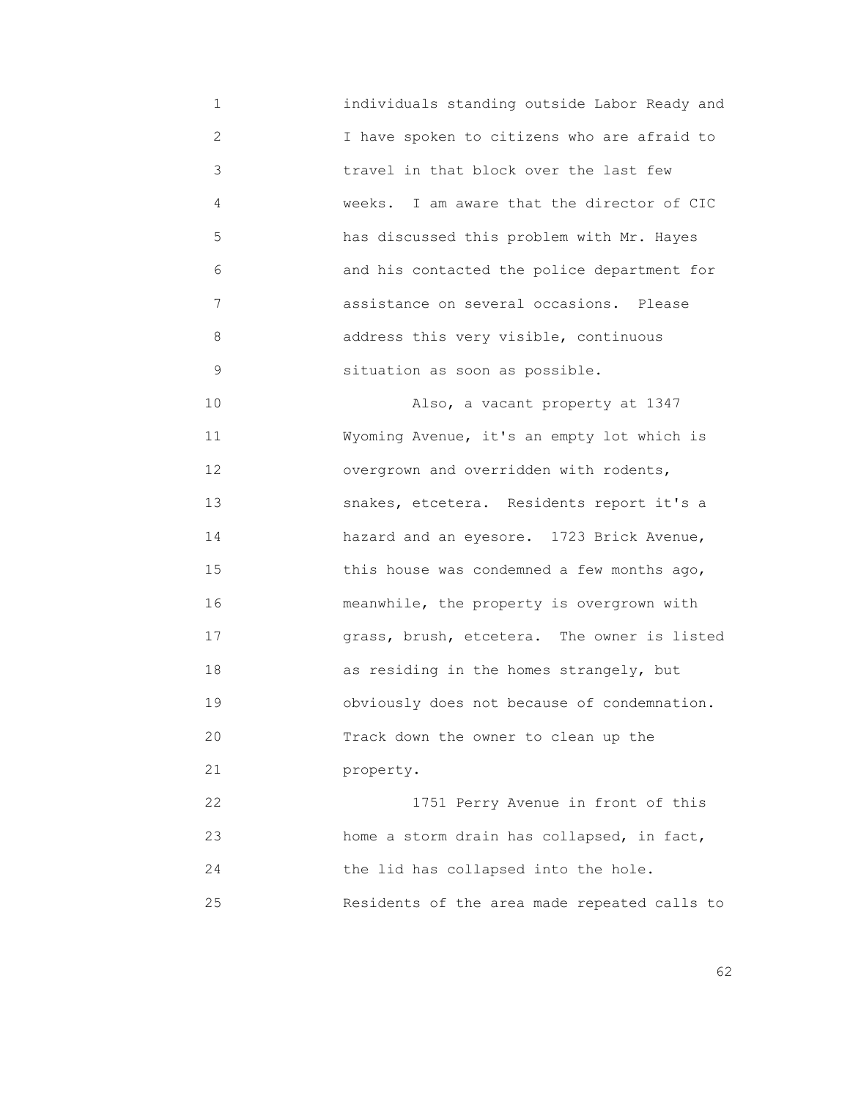1 individuals standing outside Labor Ready and 2 1 have spoken to citizens who are afraid to 3 travel in that block over the last few 4 weeks. I am aware that the director of CIC 5 has discussed this problem with Mr. Hayes 6 and his contacted the police department for 7 assistance on several occasions. Please 8 address this very visible, continuous 9 situation as soon as possible.

 10 Also, a vacant property at 1347 11 Wyoming Avenue, it's an empty lot which is 12 overgrown and overridden with rodents, 13 snakes, etcetera. Residents report it's a 14 hazard and an eyesore. 1723 Brick Avenue, 15 this house was condemned a few months ago, 16 meanwhile, the property is overgrown with 17 grass, brush, etcetera. The owner is listed 18 as residing in the homes strangely, but 19 obviously does not because of condemnation. 20 Track down the owner to clean up the 21 property.

 22 1751 Perry Avenue in front of this 23 home a storm drain has collapsed, in fact, 24 the lid has collapsed into the hole. 25 Residents of the area made repeated calls to

 $\sim$  62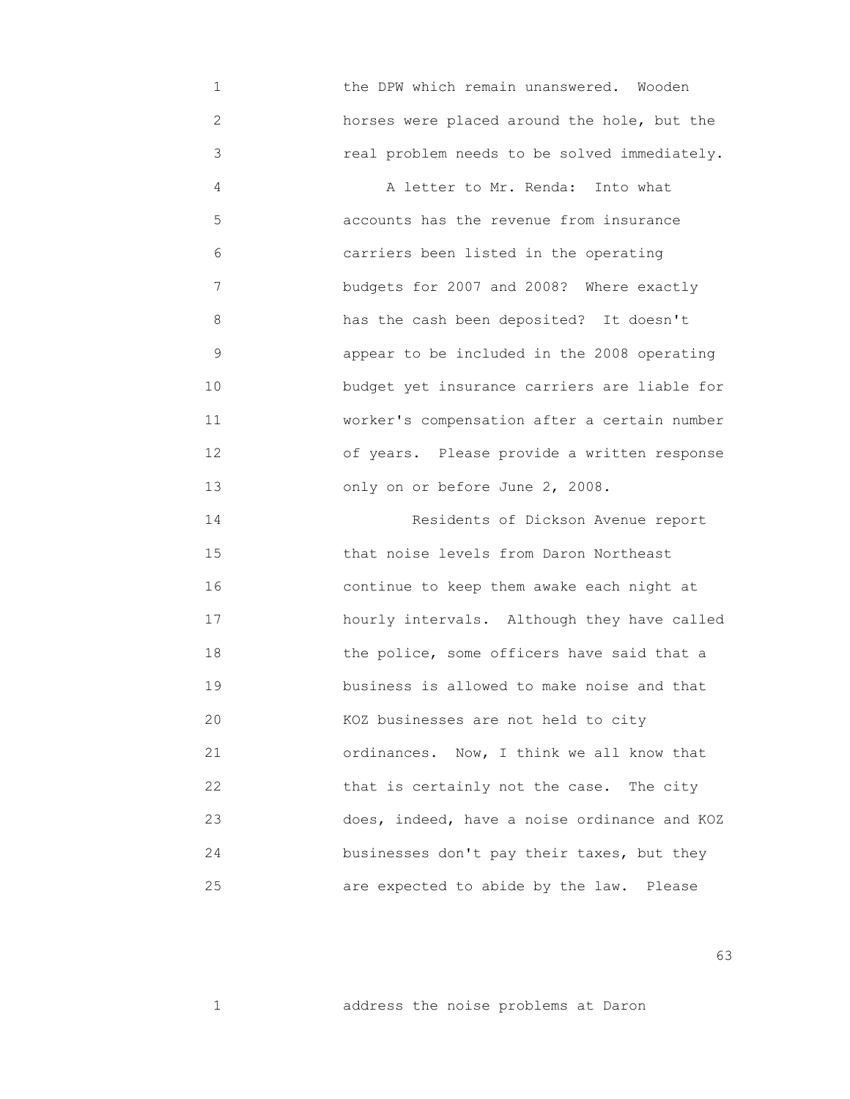1 the DPW which remain unanswered. Wooden 2 horses were placed around the hole, but the 3 real problem needs to be solved immediately. 4 A letter to Mr. Renda: Into what 5 accounts has the revenue from insurance 6 carriers been listed in the operating 7 budgets for 2007 and 2008? Where exactly 8 has the cash been deposited? It doesn't 9 appear to be included in the 2008 operating 10 budget yet insurance carriers are liable for 11 worker's compensation after a certain number 12 of years. Please provide a written response 13 only on or before June 2, 2008. 14 Residents of Dickson Avenue report 15 that noise levels from Daron Northeast 16 continue to keep them awake each night at 17 hourly intervals. Although they have called 18 the police, some officers have said that a 19 business is allowed to make noise and that 20 KOZ businesses are not held to city 21 ordinances. Now, I think we all know that 22 that is certainly not the case. The city 23 does, indeed, have a noise ordinance and KOZ 24 businesses don't pay their taxes, but they 25 are expected to abide by the law. Please

 $\sim$  63

1 address the noise problems at Daron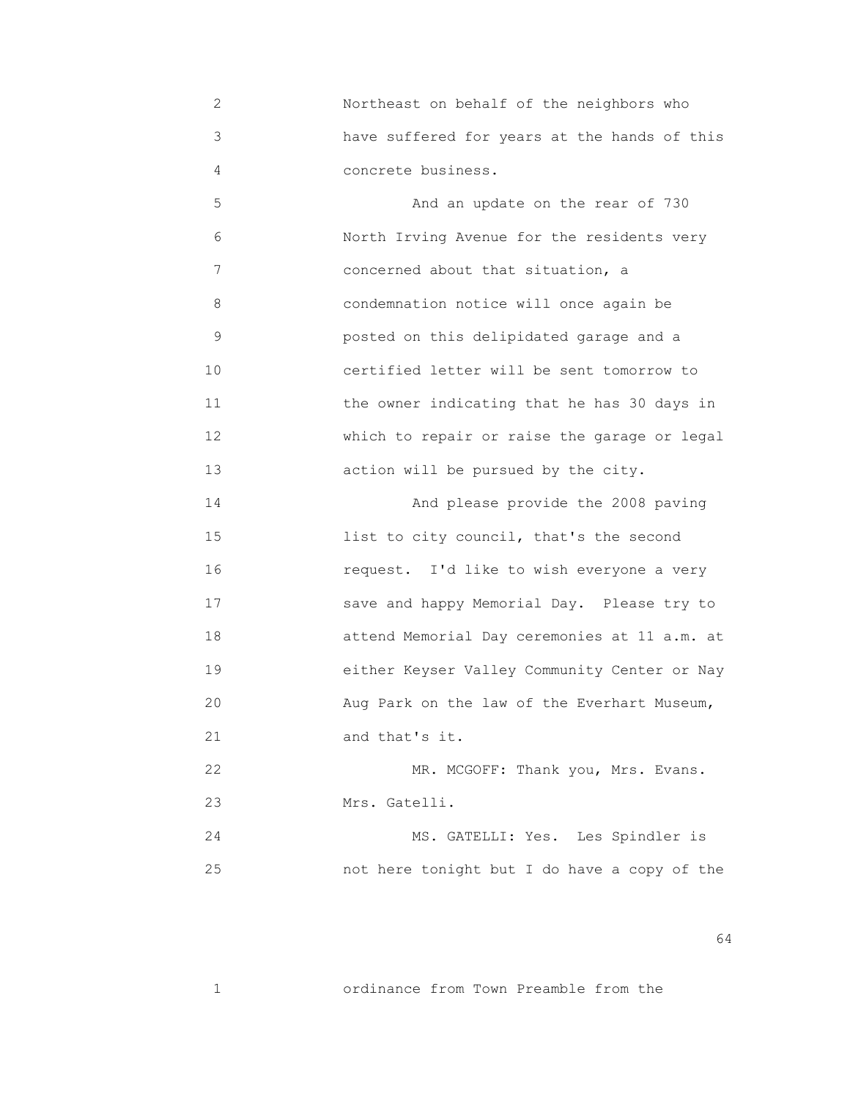2 Northeast on behalf of the neighbors who 3 have suffered for years at the hands of this 4 concrete business.

 5 And an update on the rear of 730 6 North Irving Avenue for the residents very 7 concerned about that situation, a 8 condemnation notice will once again be 9 posted on this delipidated garage and a 10 certified letter will be sent tomorrow to 11 the owner indicating that he has 30 days in 12 which to repair or raise the garage or legal 13 action will be pursued by the city.

 14 And please provide the 2008 paving 15 list to city council, that's the second 16 request. I'd like to wish everyone a very 17 save and happy Memorial Day. Please try to 18 attend Memorial Day ceremonies at 11 a.m. at 19 either Keyser Valley Community Center or Nay 20 Aug Park on the law of the Everhart Museum, 21 and that's it.

22 MR. MCGOFF: Thank you, Mrs. Evans. 23 Mrs. Gatelli.

 24 MS. GATELLI: Yes. Les Spindler is 25 not here tonight but I do have a copy of the

 $64$ 

1 ordinance from Town Preamble from the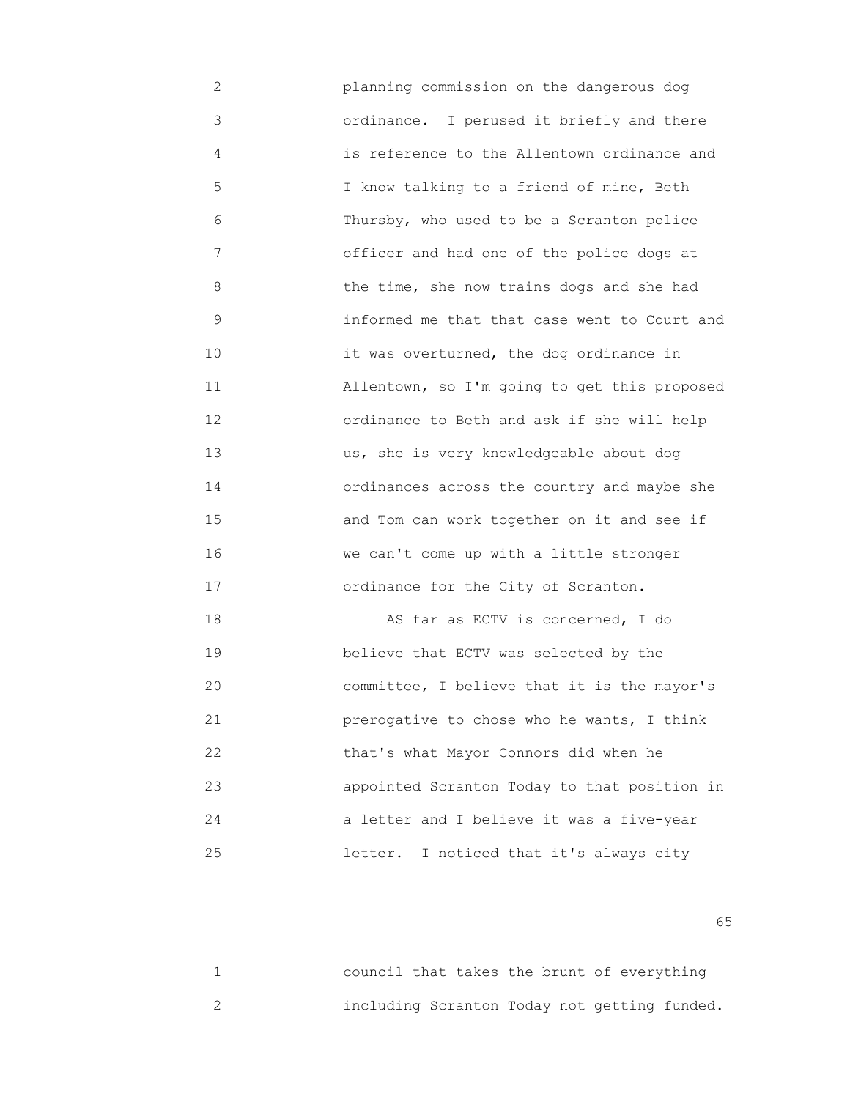2 planning commission on the dangerous dog 3 ordinance. I perused it briefly and there 4 is reference to the Allentown ordinance and 5 I know talking to a friend of mine, Beth 6 Thursby, who used to be a Scranton police 7 officer and had one of the police dogs at 8 the time, she now trains dogs and she had 9 informed me that that case went to Court and 10 **10** it was overturned, the dog ordinance in 11 Allentown, so I'm going to get this proposed 12 ordinance to Beth and ask if she will help 13 us, she is very knowledgeable about dog 14 ordinances across the country and maybe she 15 and Tom can work together on it and see if 16 we can't come up with a little stronger 17 ordinance for the City of Scranton. 18 AS far as ECTV is concerned, I do 19 believe that ECTV was selected by the 20 committee, I believe that it is the mayor's

 21 prerogative to chose who he wants, I think 22 that's what Mayor Connors did when he 23 appointed Scranton Today to that position in 24 a letter and I believe it was a five-year 25 letter. I noticed that it's always city

 $\sim$  65

| council that takes the brunt of everything   |  |  |  |  |
|----------------------------------------------|--|--|--|--|
| including Scranton Today not getting funded. |  |  |  |  |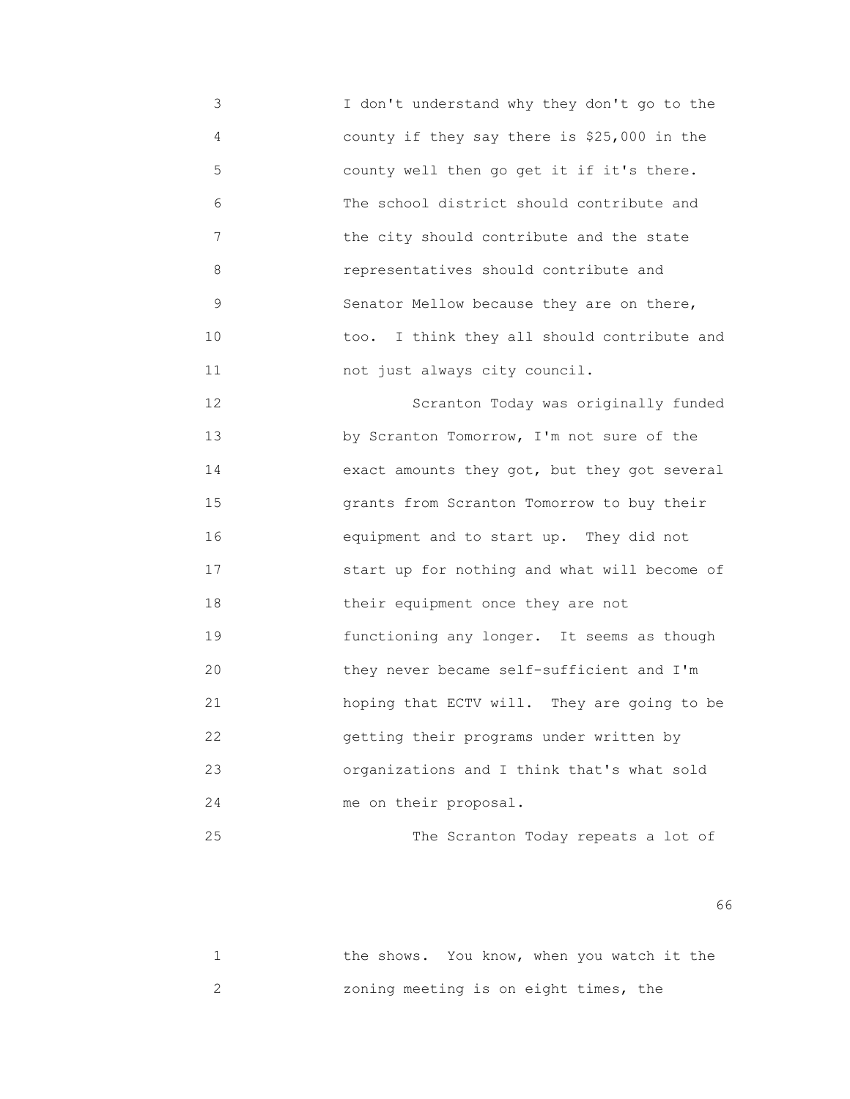3 I don't understand why they don't go to the 4 county if they say there is \$25,000 in the 5 county well then go get it if it's there. 6 The school district should contribute and 7 the city should contribute and the state 8 representatives should contribute and 9 Senator Mellow because they are on there, 10 too. I think they all should contribute and 11 not just always city council.

 12 Scranton Today was originally funded 13 by Scranton Tomorrow, I'm not sure of the 14 exact amounts they got, but they got several 15 grants from Scranton Tomorrow to buy their 16 equipment and to start up. They did not 17 start up for nothing and what will become of 18 **their equipment once they are not**  19 functioning any longer. It seems as though 20 they never became self-sufficient and I'm 21 hoping that ECTV will. They are going to be 22 getting their programs under written by 23 organizations and I think that's what sold 24 me on their proposal.

25 The Scranton Today repeats a lot of

 $\sim$  66

|  | the shows. You know, when you watch it the |  |  |  |  |
|--|--------------------------------------------|--|--|--|--|
|  | zoning meeting is on eight times, the      |  |  |  |  |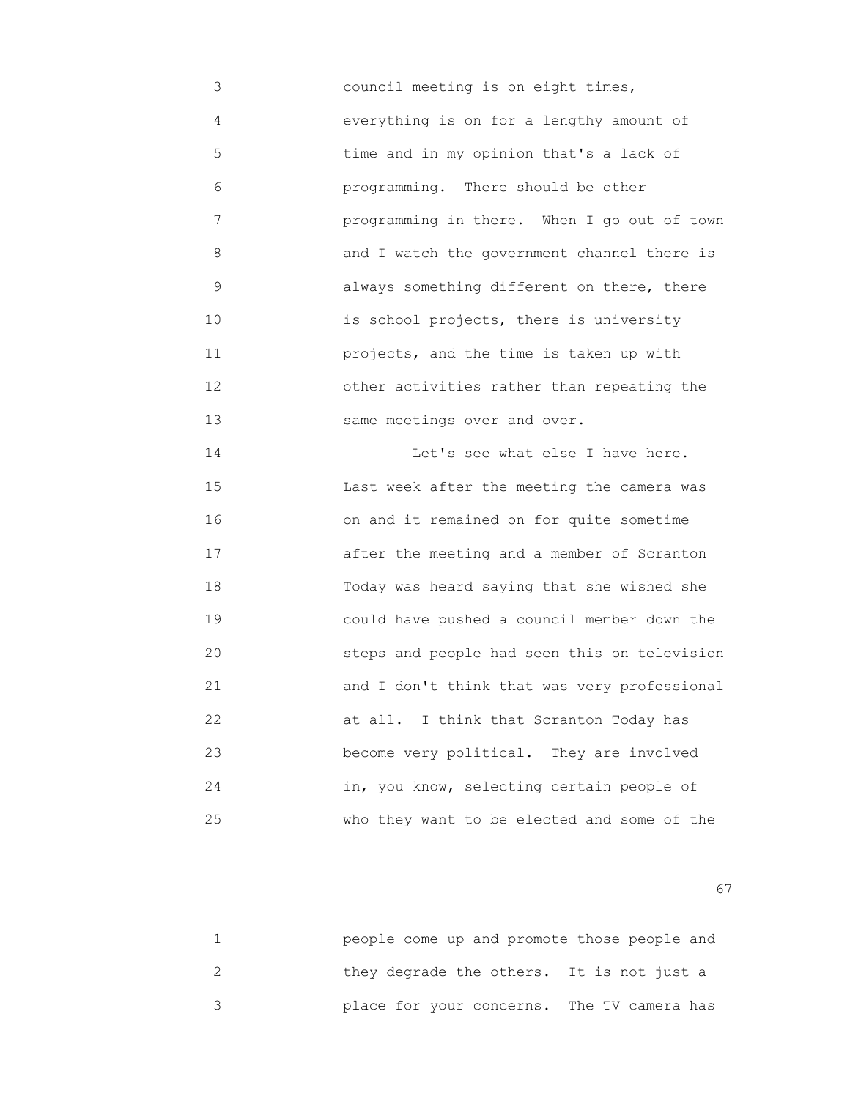3 council meeting is on eight times, 4 everything is on for a lengthy amount of 5 time and in my opinion that's a lack of 6 programming. There should be other 7 programming in there. When I go out of town 8 and I watch the government channel there is 9 always something different on there, there 10 is school projects, there is university 11 projects, and the time is taken up with 12 other activities rather than repeating the 13 same meetings over and over.

 14 Let's see what else I have here. 15 Last week after the meeting the camera was 16 on and it remained on for quite sometime 17 **and a meeting and a member of Scranton**  18 Today was heard saying that she wished she 19 could have pushed a council member down the 20 steps and people had seen this on television 21 and I don't think that was very professional 22 at all. I think that Scranton Today has 23 become very political. They are involved 24 in, you know, selecting certain people of 25 who they want to be elected and some of the

experience of the contract of the contract of the contract of the contract of the contract of the contract of the contract of the contract of the contract of the contract of the contract of the contract of the contract of

| people come up and promote those people and |  |
|---------------------------------------------|--|
| they degrade the others. It is not just a   |  |
| place for your concerns. The TV camera has  |  |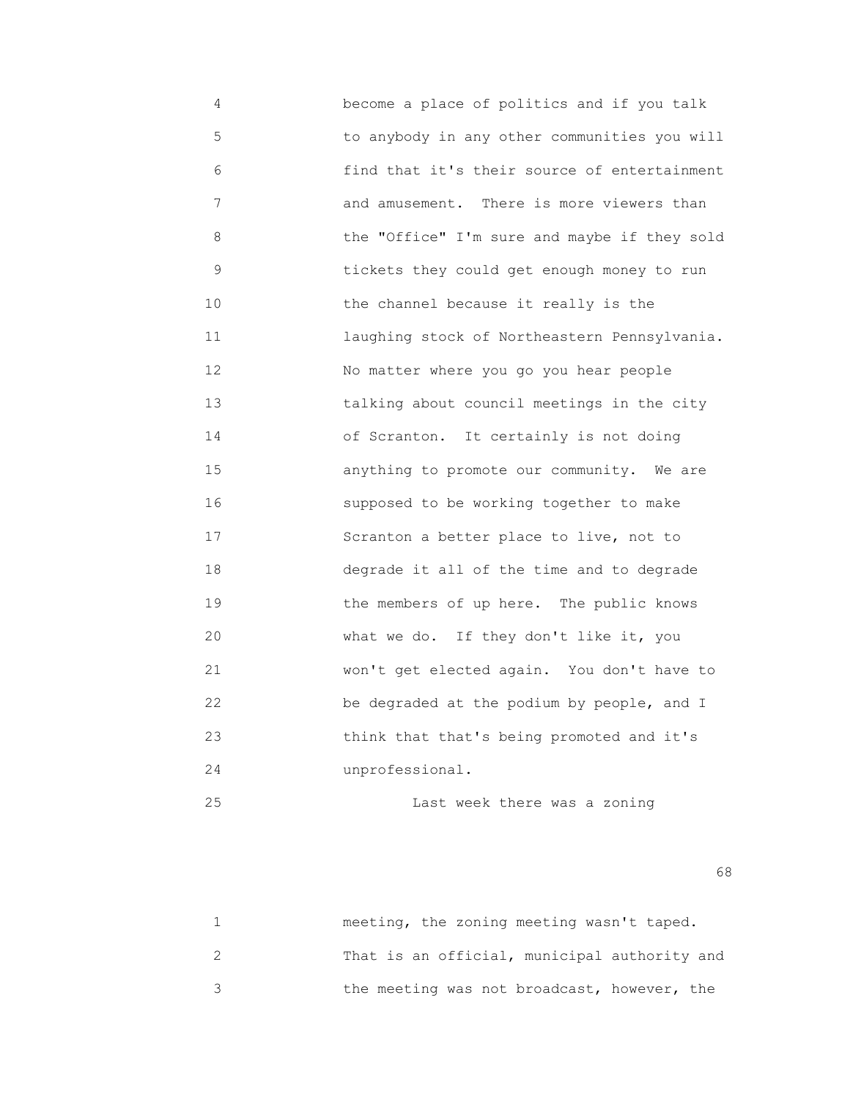4 become a place of politics and if you talk 5 to anybody in any other communities you will 6 find that it's their source of entertainment 7 and amusement. There is more viewers than 8 the "Office" I'm sure and maybe if they sold 9 tickets they could get enough money to run 10 the channel because it really is the 11 laughing stock of Northeastern Pennsylvania. 12 No matter where you go you hear people 13 talking about council meetings in the city 14 of Scranton. It certainly is not doing 15 anything to promote our community. We are 16 supposed to be working together to make 17 Scranton a better place to live, not to 18 degrade it all of the time and to degrade 19 **19** the members of up here. The public knows 20 What we do. If they don't like it, you 21 won't get elected again. You don't have to 22 be degraded at the podium by people, and I 23 think that that's being promoted and it's 24 unprofessional.

25 Last week there was a zoning

 $\sim$  68

| meeting, the zoning meeting wasn't taped.    |
|----------------------------------------------|
| That is an official, municipal authority and |
| the meeting was not broadcast, however, the  |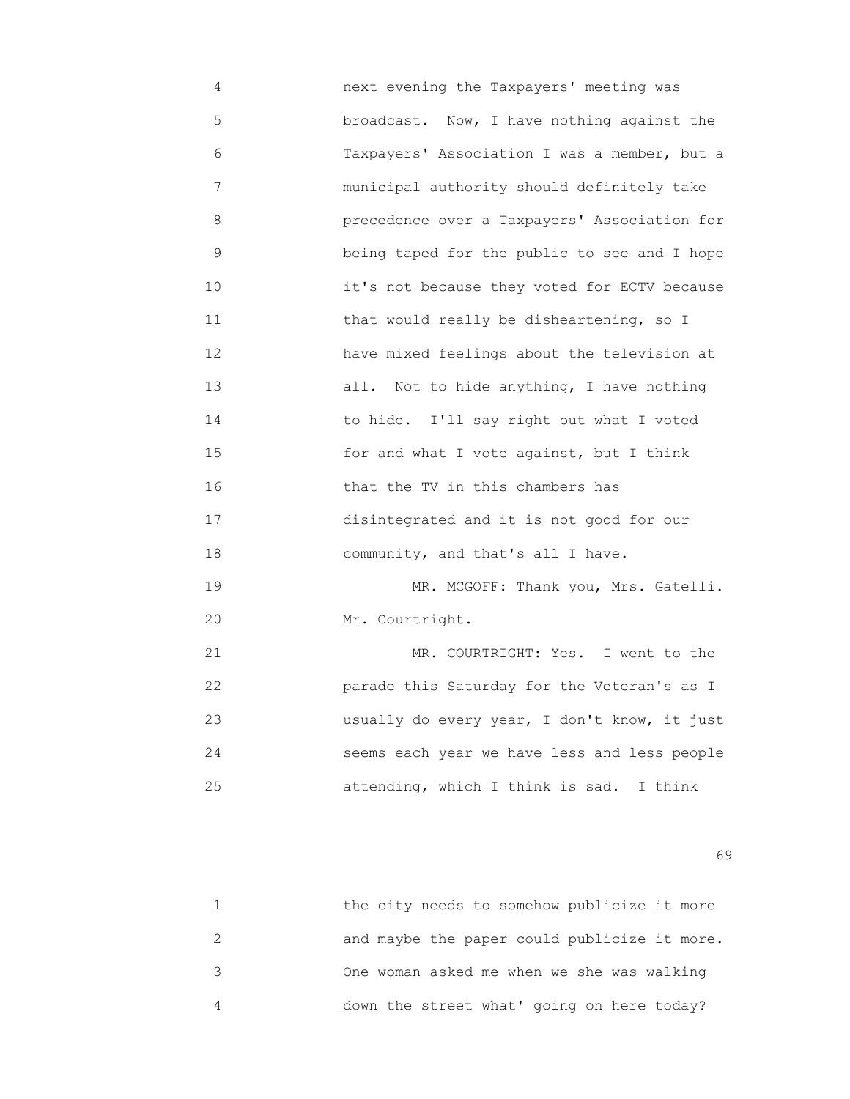4 next evening the Taxpayers' meeting was 5 broadcast. Now, I have nothing against the 6 Taxpayers' Association I was a member, but a 7 municipal authority should definitely take 8 precedence over a Taxpayers' Association for 9 being taped for the public to see and I hope 10 it's not because they voted for ECTV because 11 that would really be disheartening, so I 12 have mixed feelings about the television at 13 all. Not to hide anything, I have nothing 14 to hide. I'll say right out what I voted 15 for and what I vote against, but I think 16 that the TV in this chambers has 17 disintegrated and it is not good for our 18 community, and that's all I have. 19 MR. MCGOFF: Thank you, Mrs. Gatelli. 20 Mr. Courtright.

21 MR. COURTRIGHT: Yes. I went to the 22 parade this Saturday for the Veteran's as I 23 usually do every year, I don't know, it just 24 seems each year we have less and less people 25 attending, which I think is sad. I think

 $\sim$  69

| the city needs to somehow publicize it more  |
|----------------------------------------------|
| and maybe the paper could publicize it more. |
| One woman asked me when we she was walking   |
| down the street what' going on here today?   |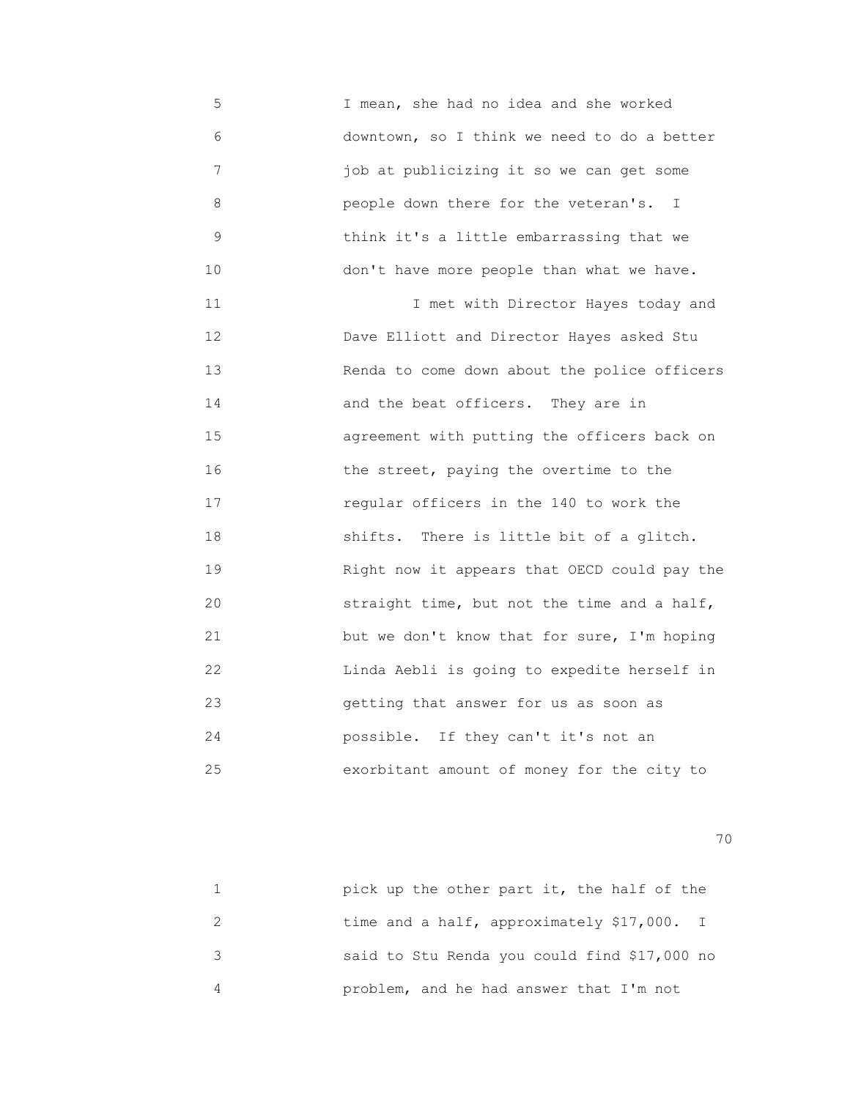5 I mean, she had no idea and she worked 6 downtown, so I think we need to do a better 7 job at publicizing it so we can get some 8 people down there for the veteran's. I 9 think it's a little embarrassing that we 10 don't have more people than what we have.

 11 I met with Director Hayes today and 12 Dave Elliott and Director Hayes asked Stu 13 Renda to come down about the police officers 14 and the beat officers. They are in 15 agreement with putting the officers back on 16 the street, paying the overtime to the 17 regular officers in the 140 to work the 18 shifts. There is little bit of a glitch. 19 Right now it appears that OECD could pay the 20 straight time, but not the time and a half, 21 but we don't know that for sure, I'm hoping 22 Linda Aebli is going to expedite herself in 23 getting that answer for us as soon as 24 possible. If they can't it's not an 25 exorbitant amount of money for the city to

| pick up the other part it, the half of the   |
|----------------------------------------------|
| time and a half, approximately \$17,000. I   |
| said to Stu Renda you could find \$17,000 no |
| problem, and he had answer that I'm not      |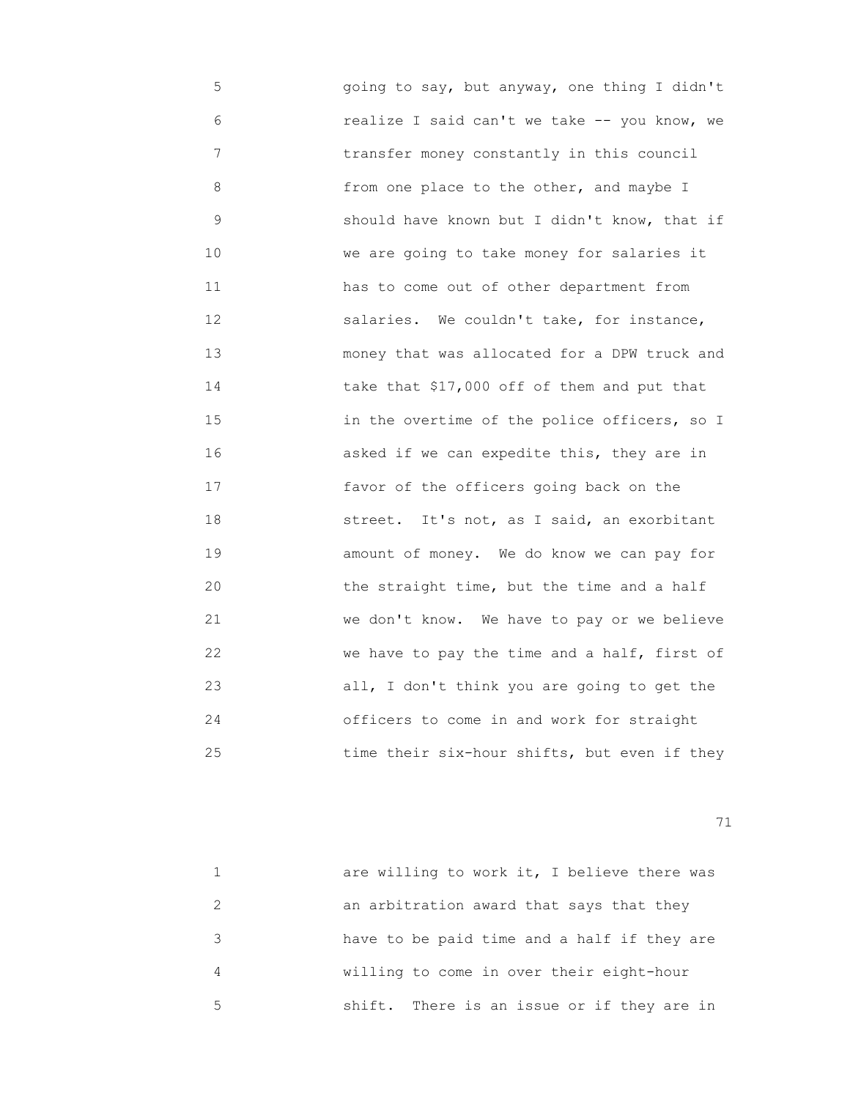5 going to say, but anyway, one thing I didn't 6 realize I said can't we take -- you know, we 7 transfer money constantly in this council 8 from one place to the other, and maybe I 9 should have known but I didn't know, that if 10 We are going to take money for salaries it 11 has to come out of other department from 12 salaries. We couldn't take, for instance, 13 money that was allocated for a DPW truck and 14 take that \$17,000 off of them and put that 15 **15 15 11 in the overtime of the police officers, so I**  16 asked if we can expedite this, they are in 17 favor of the officers going back on the 18 street. It's not, as I said, an exorbitant 19 amount of money. We do know we can pay for 20 the straight time, but the time and a half 21 we don't know. We have to pay or we believe 22 we have to pay the time and a half, first of 23 all, I don't think you are going to get the 24 officers to come in and work for straight 25 time their six-hour shifts, but even if they

|   | are willing to work it, I believe there was |
|---|---------------------------------------------|
|   | an arbitration award that says that they    |
| २ | have to be paid time and a half if they are |
| 4 | willing to come in over their eight-hour    |
| 5 | shift. There is an issue or if they are in  |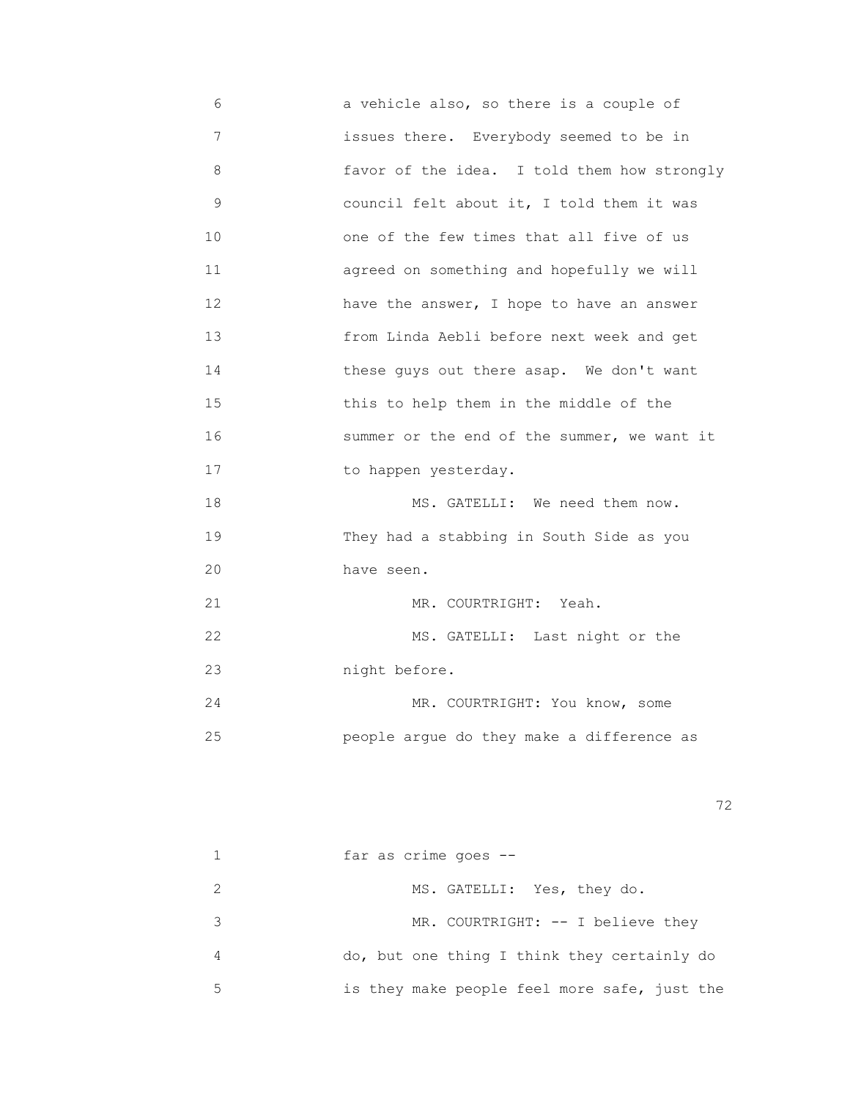6 a vehicle also, so there is a couple of 7 issues there. Everybody seemed to be in 8 favor of the idea. I told them how strongly 9 council felt about it, I told them it was 10 one of the few times that all five of us 11 agreed on something and hopefully we will 12 have the answer, I hope to have an answer 13 from Linda Aebli before next week and get 14 **these guys out there asap.** We don't want 15 this to help them in the middle of the 16 summer or the end of the summer, we want it 17 to happen yesterday. 18 MS. GATELLI: We need them now. 19 They had a stabbing in South Side as you 20 have seen. 21 MR. COURTRIGHT: Yeah. 22 MS. GATELLI: Last night or the 23 night before. 24 MR. COURTRIGHT: You know, some 25 people argue do they make a difference as

<u>72</u> — Политика и Станиција и Станиција и Станиција и Станиција и Станиција и Станиција и Станиција и Станиција<br>Во селото се постаниција и Станиција и Станиција и Станиција и Станиција и Станиција и Станиција и Станиција

|    |  | far as crime goes $--$                       |  |  |
|----|--|----------------------------------------------|--|--|
|    |  | MS. GATELLI: Yes, they do.                   |  |  |
|    |  | MR. COURTRIGHT: -- I believe they            |  |  |
| 4  |  | do, but one thing I think they certainly do  |  |  |
| -5 |  | is they make people feel more safe, just the |  |  |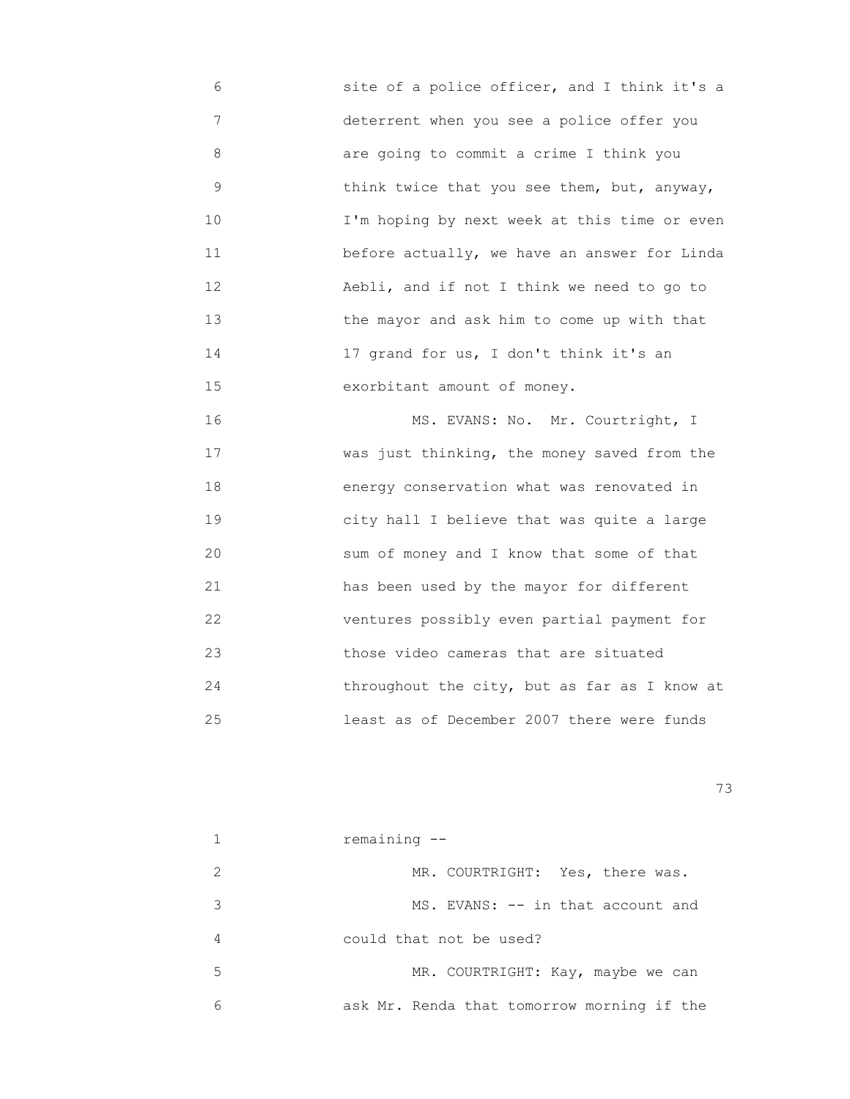6 site of a police officer, and I think it's a 7 deterrent when you see a police offer you 8 are going to commit a crime I think you 9 think twice that you see them, but, anyway, 10 I'm hoping by next week at this time or even 11 before actually, we have an answer for Linda 12 Aebli, and if not I think we need to go to 13 the mayor and ask him to come up with that 14 17 grand for us, I don't think it's an 15 exorbitant amount of money.

16 MS. EVANS: No. Mr. Courtright, I 17 **WAS** was just thinking, the money saved from the 18 energy conservation what was renovated in 19 city hall I believe that was quite a large 20 sum of money and I know that some of that 21 has been used by the mayor for different 22 ventures possibly even partial payment for 23 those video cameras that are situated 24 throughout the city, but as far as I know at 25 least as of December 2007 there were funds

|                             | remaining --                               |
|-----------------------------|--------------------------------------------|
| $\mathcal{D}_{\mathcal{A}}$ | MR. COURTRIGHT: Yes, there was.            |
| 3                           | MS. EVANS: -- in that account and          |
| 4                           | could that not be used?                    |
| 5                           | MR. COURTRIGHT: Kay, maybe we can          |
| 6                           | ask Mr. Renda that tomorrow morning if the |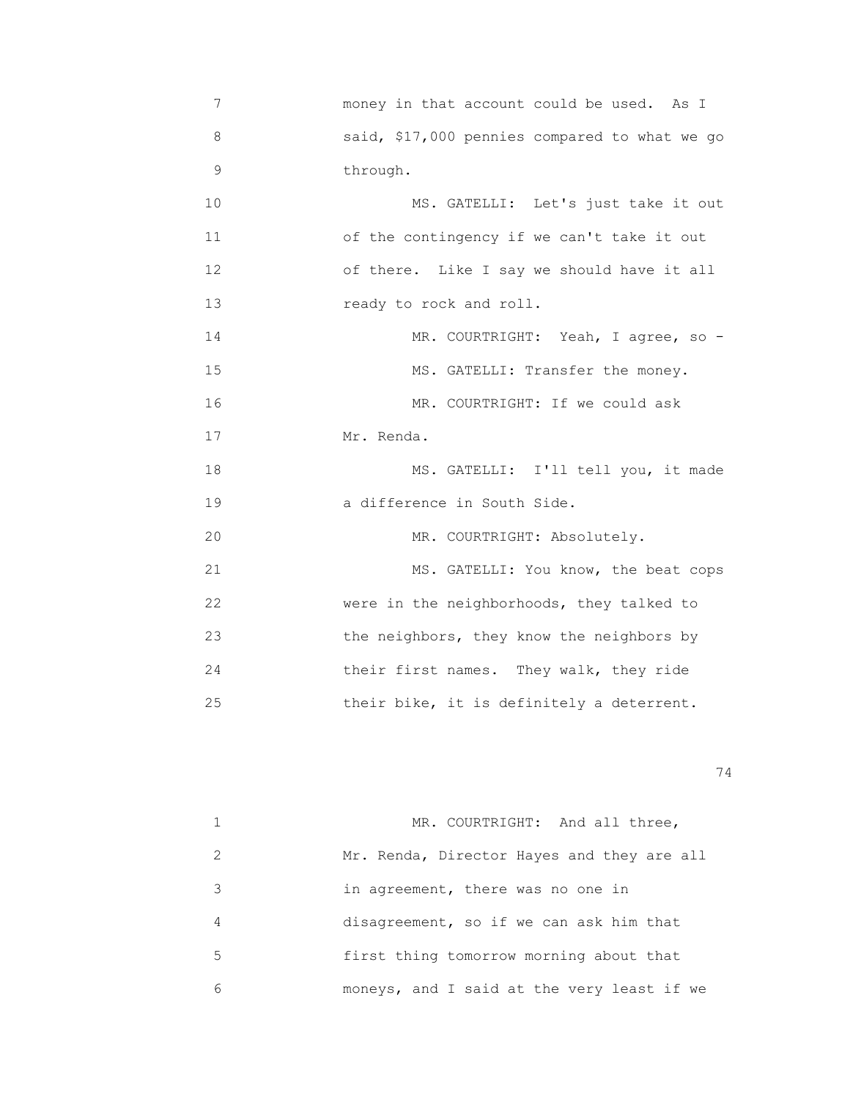7 money in that account could be used. As I 8 said, \$17,000 pennies compared to what we go 9 through. 10 MS. GATELLI: Let's just take it out 11 of the contingency if we can't take it out 12 of there. Like I say we should have it all 13 ready to rock and roll. 14 MR. COURTRIGHT: Yeah, I agree, so -15 MS. GATELLI: Transfer the money. 16 MR. COURTRIGHT: If we could ask 17 Mr. Renda. 18 MS. GATELLI: I'll tell you, it made 19 a difference in South Side. 20 MR. COURTRIGHT: Absolutely. 21 MS. GATELLI: You know, the beat cops 22 were in the neighborhoods, they talked to 23 the neighbors, they know the neighbors by 24 their first names. They walk, they ride 25 their bike, it is definitely a deterrent.

|   | MR. COURTRIGHT: And all three,             |
|---|--------------------------------------------|
| 2 | Mr. Renda, Director Hayes and they are all |
| 3 | in agreement, there was no one in          |
| 4 | disagreement, so if we can ask him that    |
| 5 | first thing tomorrow morning about that    |
| 6 | moneys, and I said at the very least if we |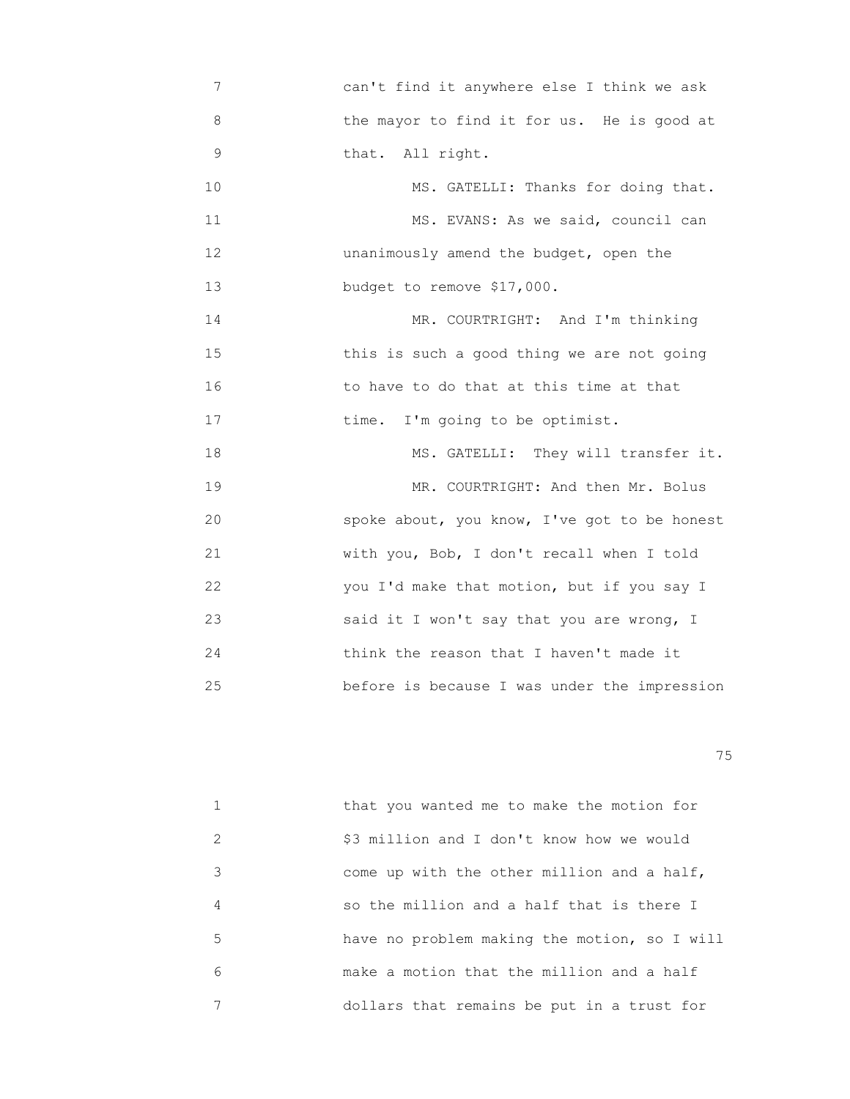7 can't find it anywhere else I think we ask 8 the mayor to find it for us. He is good at 9 that. All right. 10 MS. GATELLI: Thanks for doing that. 11 MS. EVANS: As we said, council can 12 unanimously amend the budget, open the 13 budget to remove \$17,000. 14 MR. COURTRIGHT: And I'm thinking 15 this is such a good thing we are not going 16 to have to do that at this time at that 17 **time.** I'm going to be optimist. 18 MS. GATELLI: They will transfer it. 19 MR. COURTRIGHT: And then Mr. Bolus 20 spoke about, you know, I've got to be honest 21 with you, Bob, I don't recall when I told 22 you I'd make that motion, but if you say I 23 said it I won't say that you are wrong, I 24 **think the reason that I haven't made it** 25 before is because I was under the impression

na matsay na katalog as na katalog as na katalog as na katalog as na katalog as na katalog as na katalog as na<br>Tagairta

|   | that you wanted me to make the motion for    |
|---|----------------------------------------------|
| 2 | \$3 million and I don't know how we would    |
| 3 | come up with the other million and a half,   |
| 4 | so the million and a half that is there I    |
| 5 | have no problem making the motion, so I will |
| 6 | make a motion that the million and a half    |
|   | dollars that remains be put in a trust for   |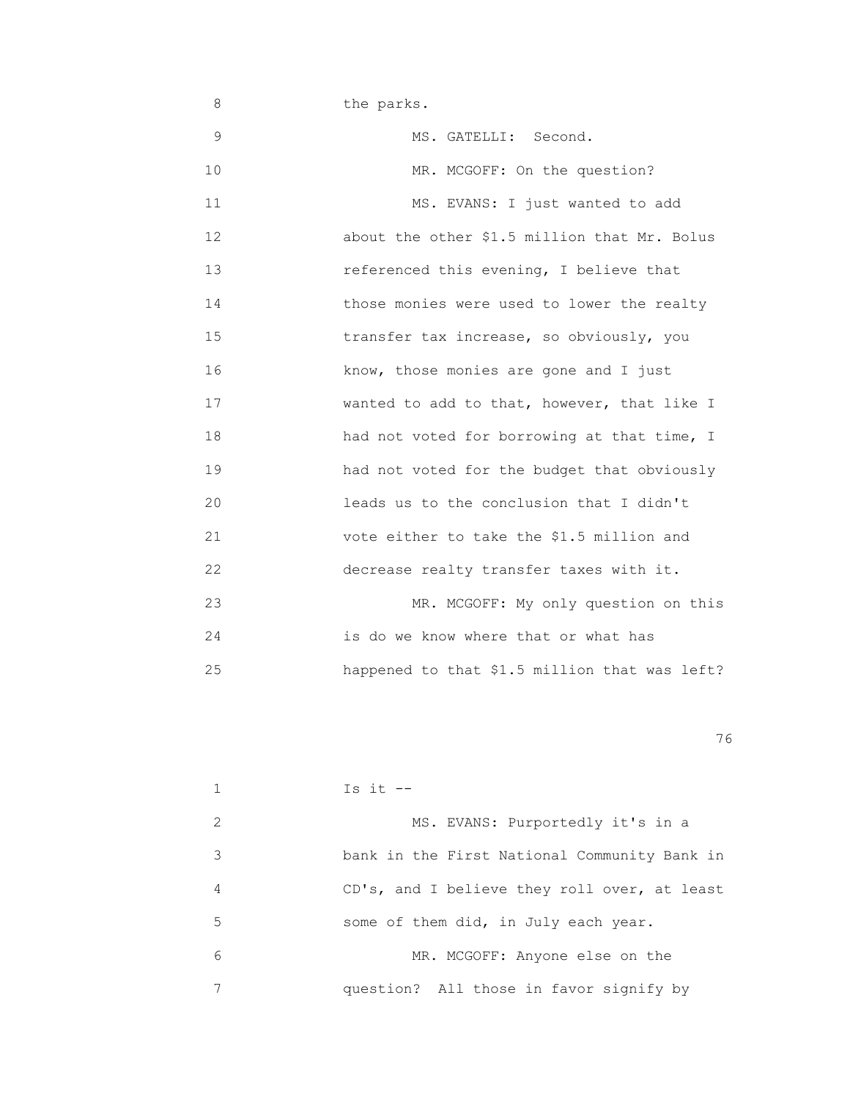8 the parks. 9 MS. GATELLI: Second. 10 MR. MCGOFF: On the question? 11 MS. EVANS: I just wanted to add 12 about the other \$1.5 million that Mr. Bolus 13 referenced this evening, I believe that 14 those monies were used to lower the realty 15 **15 transfer tax increase, so obviously, you**  16 know, those monies are gone and I just 17 **Wanted to add to that, however, that like I** 18 had not voted for borrowing at that time, I 19 had not voted for the budget that obviously 20 leads us to the conclusion that I didn't 21 vote either to take the \$1.5 million and 22 decrease realty transfer taxes with it. 23 MR. MCGOFF: My only question on this 24 is do we know where that or what has 25 happened to that \$1.5 million that was left?

<u>76 and 2001 and 2002 and 2003 and 2003 and 2003 and 2003 and 2003 and 2003 and 2003 and 2003 and 2003 and 200</u>

|               | Is it $-$                                    |
|---------------|----------------------------------------------|
| $\mathcal{L}$ | MS. EVANS: Purportedly it's in a             |
| 3             | bank in the First National Community Bank in |
| 4             | CD's, and I believe they roll over, at least |
| 5             | some of them did, in July each year.         |
| 6             | MR. MCGOFF: Anyone else on the               |
|               | question? All those in favor signify by      |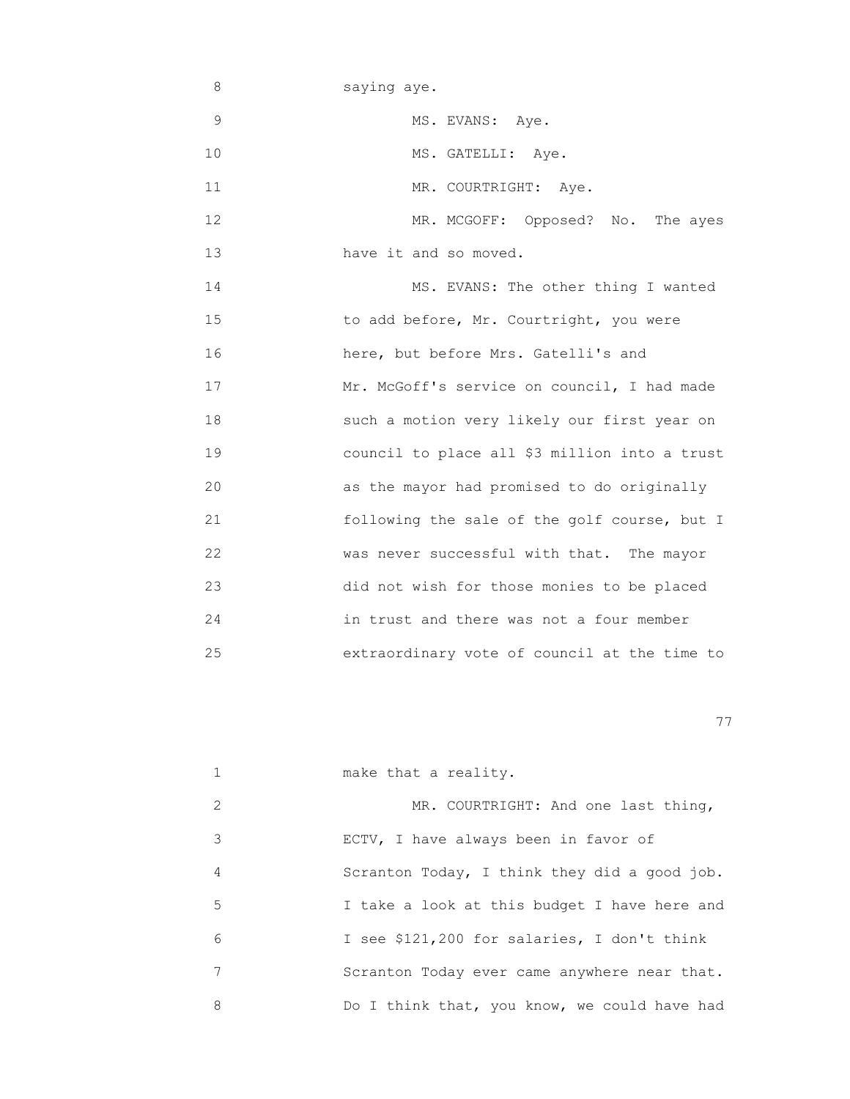- 8 saying aye. 9 MS. EVANS: Aye. 10 MS. GATELLI: Aye. 11 MR. COURTRIGHT: Aye. 12 MR. MCGOFF: Opposed? No. The ayes 13 have it and so moved. 14 MS. EVANS: The other thing I wanted 15 **15** to add before, Mr. Courtright, you were 16 here, but before Mrs. Gatelli's and 17 Mr. McGoff's service on council, I had made 18 such a motion very likely our first year on 19 council to place all \$3 million into a trust 20 as the mayor had promised to do originally 21 following the sale of the golf course, but I
- 23 did not wish for those monies to be placed 24 in trust and there was not a four member 25 extraordinary vote of council at the time to

22 was never successful with that. The mayor

|   | make that a reality.                         |
|---|----------------------------------------------|
| 2 | MR. COURTRIGHT: And one last thing,          |
| 3 | ECTV, I have always been in favor of         |
| 4 | Scranton Today, I think they did a good job. |
| 5 | I take a look at this budget I have here and |
| 6 | I see \$121,200 for salaries, I don't think  |
| 7 | Scranton Today ever came anywhere near that. |
| 8 | Do I think that, you know, we could have had |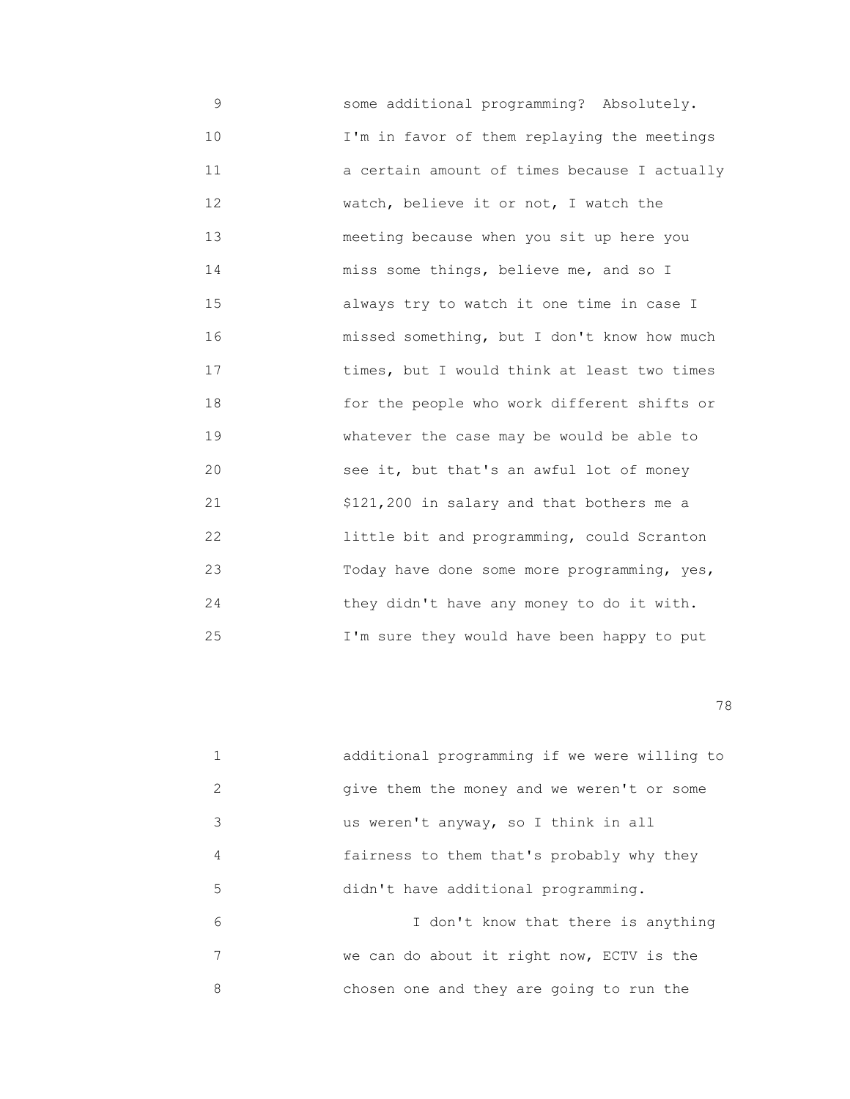9 some additional programming? Absolutely. 10 I'm in favor of them replaying the meetings 11 a certain amount of times because I actually 12 watch, believe it or not, I watch the 13 meeting because when you sit up here you 14 miss some things, believe me, and so I 15 always try to watch it one time in case I 16 missed something, but I don't know how much 17 **times, but I would think at least two times**  18 for the people who work different shifts or 19 whatever the case may be would be able to 20 see it, but that's an awful lot of money 21 \$121,200 in salary and that bothers me a 22 little bit and programming, could Scranton 23 Today have done some more programming, yes, 24 they didn't have any money to do it with. 25 I'm sure they would have been happy to put

|   | additional programming if we were willing to |
|---|----------------------------------------------|
| 2 | give them the money and we weren't or some   |
| 3 | us weren't anyway, so I think in all         |
| 4 | fairness to them that's probably why they    |
| 5 | didn't have additional programming.          |
| 6 | I don't know that there is anything          |
| 7 | we can do about it right now, ECTV is the    |
| 8 | chosen one and they are going to run the     |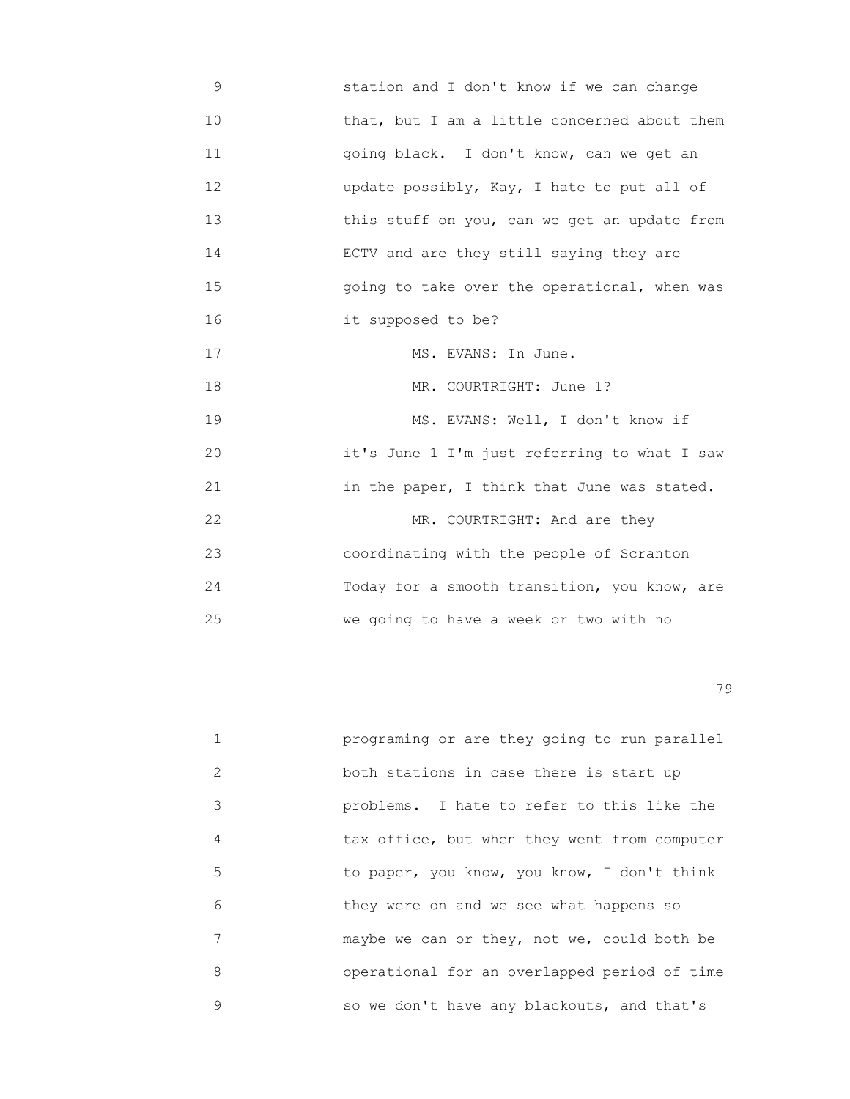9 station and I don't know if we can change 10 **10** that, but I am a little concerned about them 11 going black. I don't know, can we get an 12 update possibly, Kay, I hate to put all of 13 **13** this stuff on you, can we get an update from 14 ECTV and are they still saying they are 15 going to take over the operational, when was 16 **it supposed to be?** 17 MS. EVANS: In June. 18 MR. COURTRIGHT: June 1? 19 MS. EVANS: Well, I don't know if 20 it's June 1 I'm just referring to what I saw 21 in the paper, I think that June was stated. 22 MR. COURTRIGHT: And are they 23 coordinating with the people of Scranton 24 Today for a smooth transition, you know, are 25 we going to have a week or two with no

|               | programing or are they going to run parallel |
|---------------|----------------------------------------------|
| $\mathcal{L}$ | both stations in case there is start up      |
| 3             | problems. I hate to refer to this like the   |
| 4             | tax office, but when they went from computer |
| 5             | to paper, you know, you know, I don't think  |
| 6             | they were on and we see what happens so      |
| 7             | maybe we can or they, not we, could both be  |
| 8             | operational for an overlapped period of time |
| 9             | so we don't have any blackouts, and that's   |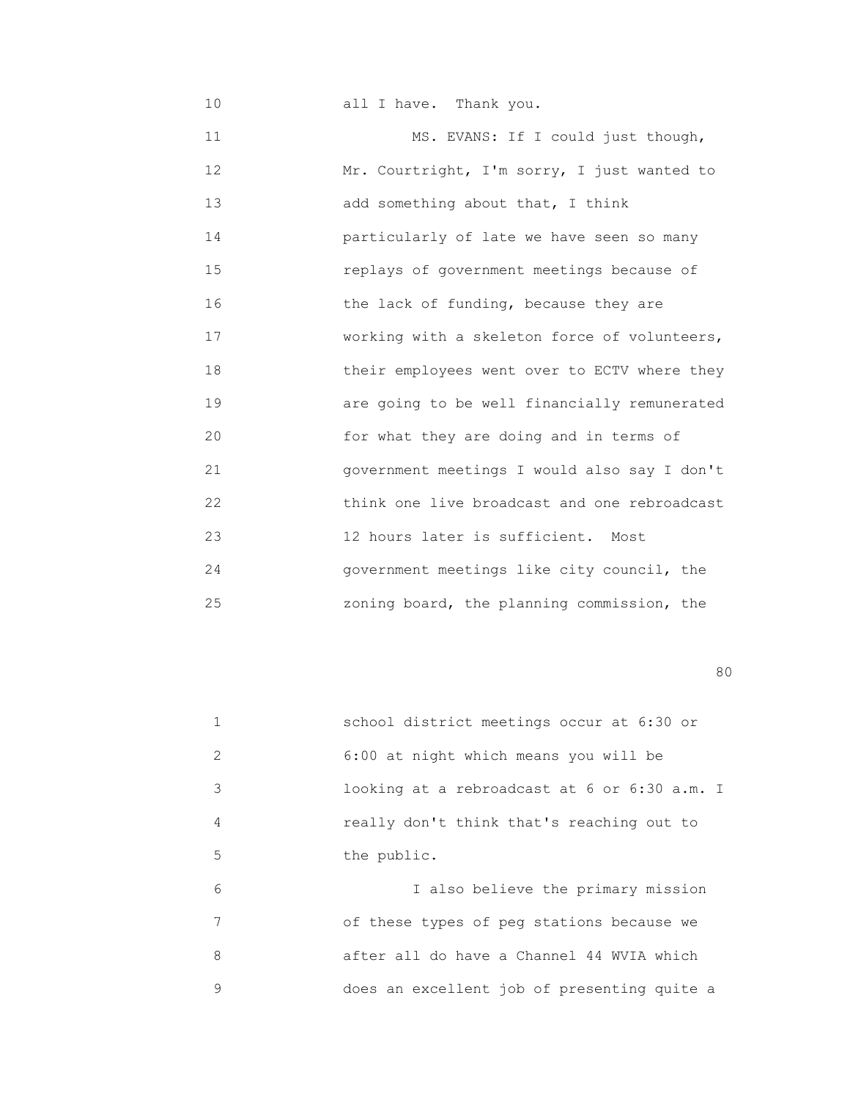10 all I have. Thank you. 11 MS. EVANS: If I could just though, 12 Mr. Courtright, I'm sorry, I just wanted to 13 add something about that, I think 14 particularly of late we have seen so many 15 replays of government meetings because of 16 the lack of funding, because they are 17 working with a skeleton force of volunteers, 18 their employees went over to ECTV where they 19 are going to be well financially remunerated 20 for what they are doing and in terms of 21 government meetings I would also say I don't 22 think one live broadcast and one rebroadcast 23 12 hours later is sufficient. Most 24 government meetings like city council, the 25 zoning board, the planning commission, the

en de la construction de la construction de la construction de la construction de la construction de la constr<br>1800 : le construction de la construction de la construction de la construction de la construction de la const

|               | school district meetings occur at 6:30 or    |
|---------------|----------------------------------------------|
| $\mathcal{L}$ | 6:00 at night which means you will be        |
| 3             | looking at a rebroadcast at 6 or 6:30 a.m. I |
| 4             | really don't think that's reaching out to    |
| 5             | the public.                                  |
| 6             | I also believe the primary mission           |
| 7             | of these types of peg stations because we    |
| 8             | after all do have a Channel 44 WVIA which    |
| 9             | does an excellent job of presenting quite a  |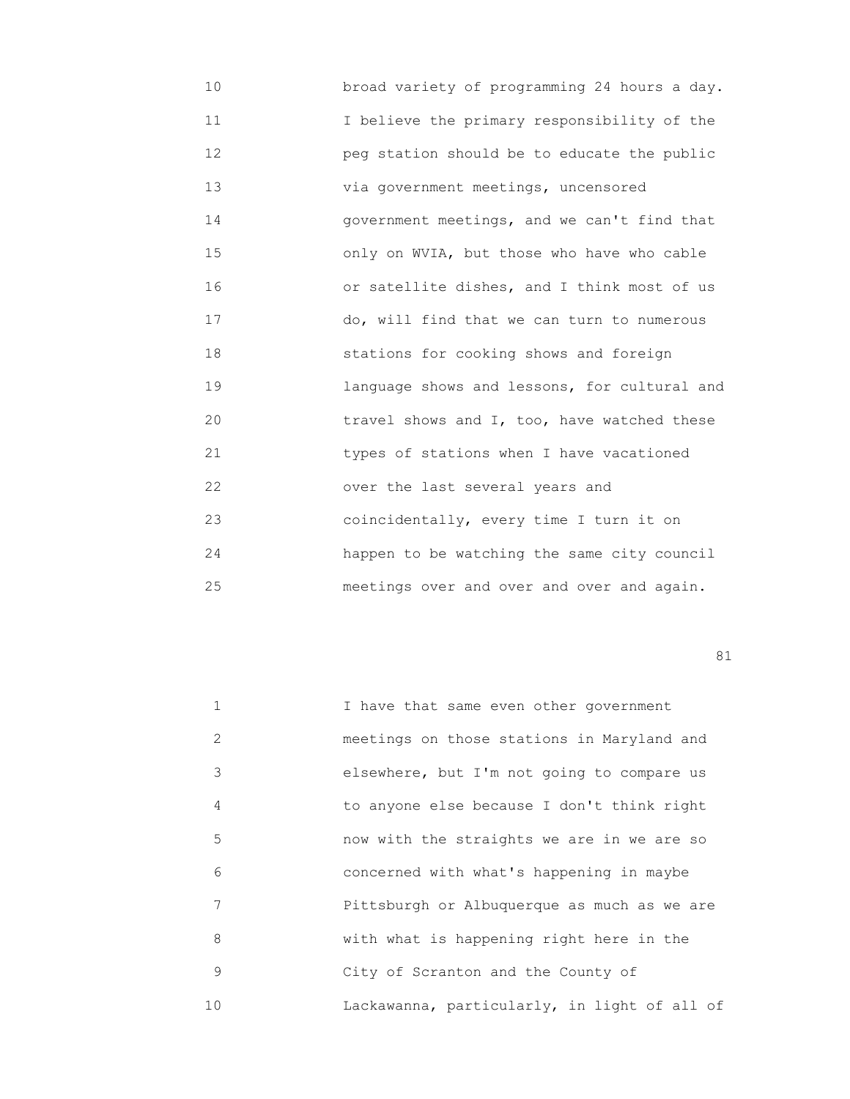10 broad variety of programming 24 hours a day. 11 I believe the primary responsibility of the 12 peg station should be to educate the public 13 via government meetings, uncensored 14 government meetings, and we can't find that 15 only on WVIA, but those who have who cable 16 or satellite dishes, and I think most of us 17 do, will find that we can turn to numerous 18 stations for cooking shows and foreign 19 language shows and lessons, for cultural and 20 travel shows and I, too, have watched these 21 types of stations when I have vacationed 22 over the last several years and 23 coincidentally, every time I turn it on 24 happen to be watching the same city council 25 meetings over and over and over and again.

|               | I have that same even other government       |
|---------------|----------------------------------------------|
| $\mathcal{L}$ | meetings on those stations in Maryland and   |
| 3             | elsewhere, but I'm not going to compare us   |
| 4             | to anyone else because I don't think right   |
| 5             | now with the straights we are in we are so   |
| 6             | concerned with what's happening in maybe     |
| 7             | Pittsburgh or Albuquerque as much as we are  |
| 8             | with what is happening right here in the     |
| 9             | City of Scranton and the County of           |
| 10            | Lackawanna, particularly, in light of all of |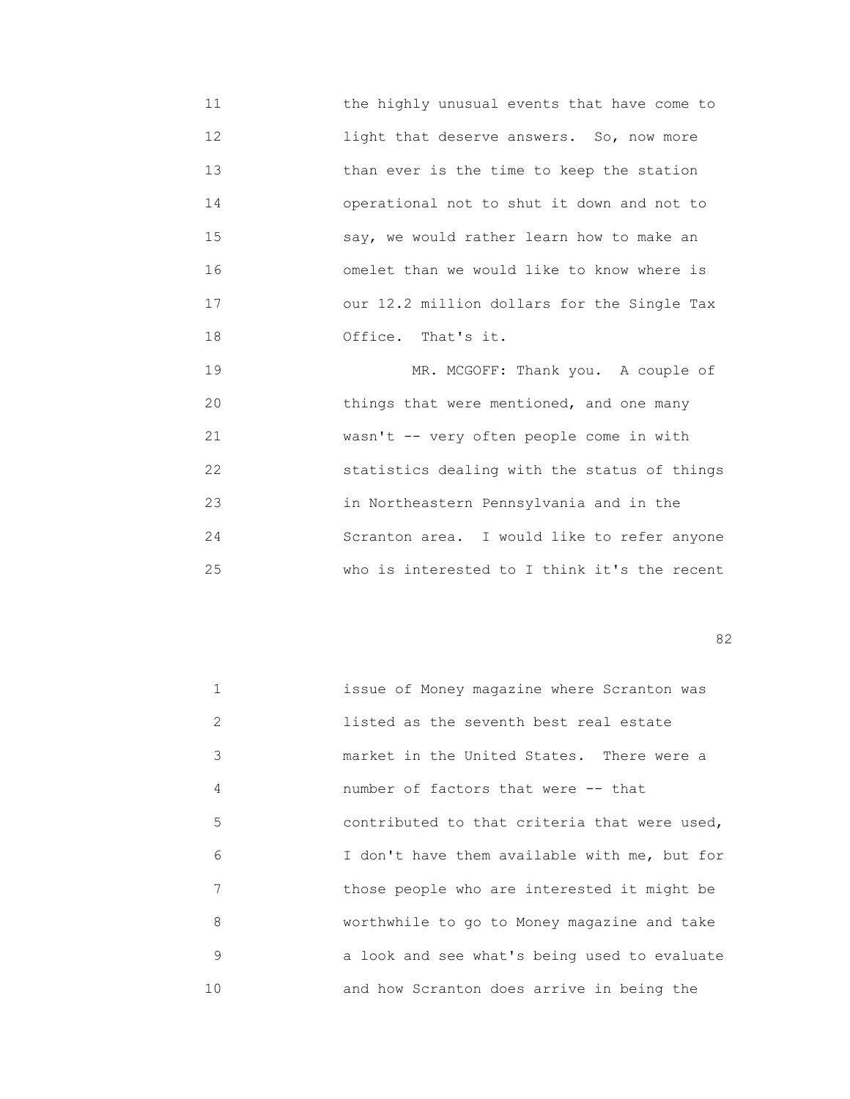11 the highly unusual events that have come to 12 light that deserve answers. So, now more 13 than ever is the time to keep the station 14 operational not to shut it down and not to 15 say, we would rather learn how to make an 16 omelet than we would like to know where is 17 our 12.2 million dollars for the Single Tax 18 Office. That's it.

19 MR. MCGOFF: Thank you. A couple of 20 things that were mentioned, and one many 21 wasn't -- very often people come in with 22 statistics dealing with the status of things 23 in Northeastern Pennsylvania and in the 24 Scranton area. I would like to refer anyone 25 who is interested to I think it's the recent

experience of the state of the state of the state of the state of the state of the state of the state of the s

| 1  | issue of Money magazine where Scranton was   |
|----|----------------------------------------------|
| 2  | listed as the seventh best real estate       |
| 3  | market in the United States. There were a    |
| 4  | number of factors that were -- that          |
| 5  | contributed to that criteria that were used, |
| 6  | I don't have them available with me, but for |
| 7  | those people who are interested it might be  |
| 8  | worthwhile to go to Money magazine and take  |
| 9  | a look and see what's being used to evaluate |
| 10 | and how Scranton does arrive in being the    |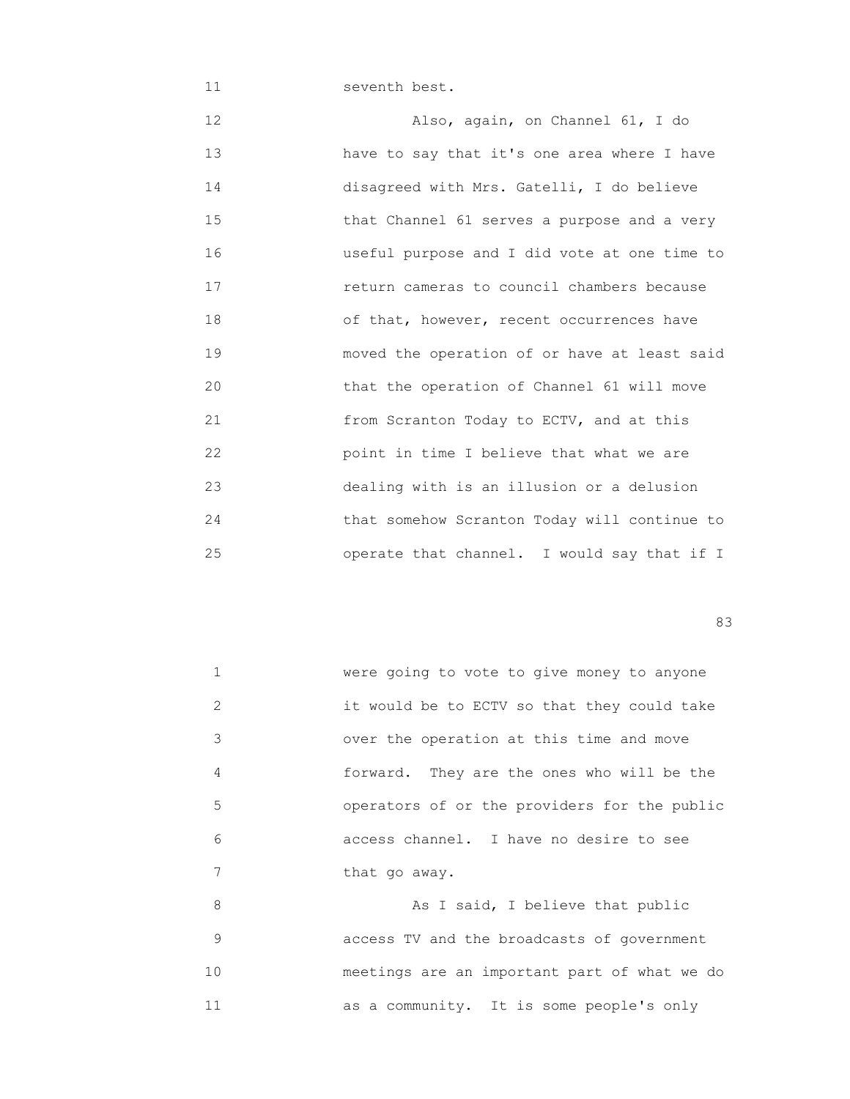11 seventh best.

 12 Also, again, on Channel 61, I do 13 have to say that it's one area where I have 14 disagreed with Mrs. Gatelli, I do believe 15 that Channel 61 serves a purpose and a very 16 useful purpose and I did vote at one time to 17 return cameras to council chambers because 18 of that, however, recent occurrences have 19 moved the operation of or have at least said 20 that the operation of Channel 61 will move 21 from Scranton Today to ECTV, and at this 22 point in time I believe that what we are 23 dealing with is an illusion or a delusion 24 that somehow Scranton Today will continue to 25 operate that channel. I would say that if I

experience of the contract of the contract of the contract of the contract of the contract of the contract of the contract of the contract of the contract of the contract of the contract of the contract of the contract of

|   | were going to vote to give money to anyone   |
|---|----------------------------------------------|
| 2 | it would be to ECTV so that they could take  |
| 3 | over the operation at this time and move     |
| 4 | forward. They are the ones who will be the   |
| 5 | operators of or the providers for the public |
| 6 | access channel. I have no desire to see      |
|   | that go away.                                |
| 8 | As I said, I believe that public             |
|   |                                              |

 9 access TV and the broadcasts of government 10 meetings are an important part of what we do 11 as a community. It is some people's only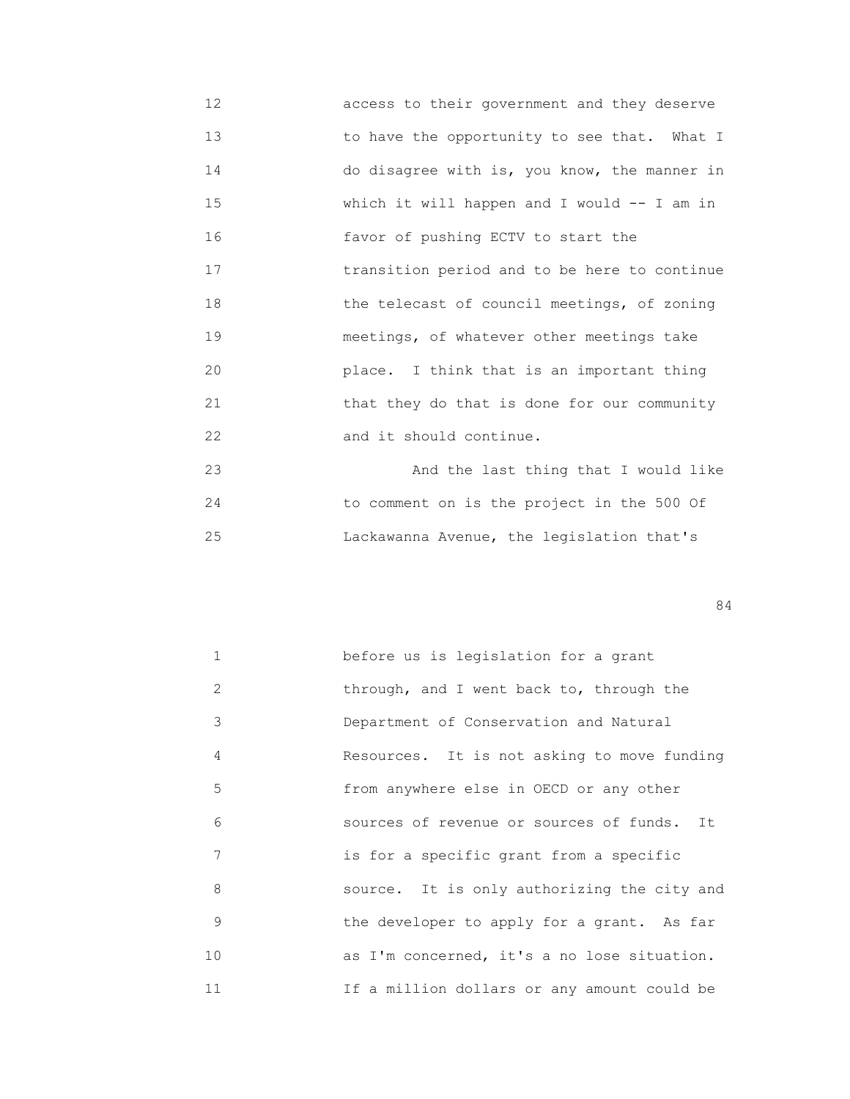12 access to their government and they deserve 13 to have the opportunity to see that. What I 14 do disagree with is, you know, the manner in 15 which it will happen and I would -- I am in 16 favor of pushing ECTV to start the 17 transition period and to be here to continue 18 the telecast of council meetings, of zoning 19 meetings, of whatever other meetings take 20 place. I think that is an important thing 21 that they do that is done for our community 22 and it should continue.

 23 And the last thing that I would like 24 to comment on is the project in the 500 Of 25 Lackawanna Avenue, the legislation that's

| $\mathbf{1}$ | before us is legislation for a grant        |
|--------------|---------------------------------------------|
| 2            | through, and I went back to, through the    |
| 3            | Department of Conservation and Natural      |
| 4            | Resources. It is not asking to move funding |
| 5            | from anywhere else in OECD or any other     |
| 6            | sources of revenue or sources of funds. It  |
| 7            | is for a specific grant from a specific     |
| 8            | source. It is only authorizing the city and |
| 9            | the developer to apply for a grant. As far  |
| 10           | as I'm concerned, it's a no lose situation. |
| 11           | If a million dollars or any amount could be |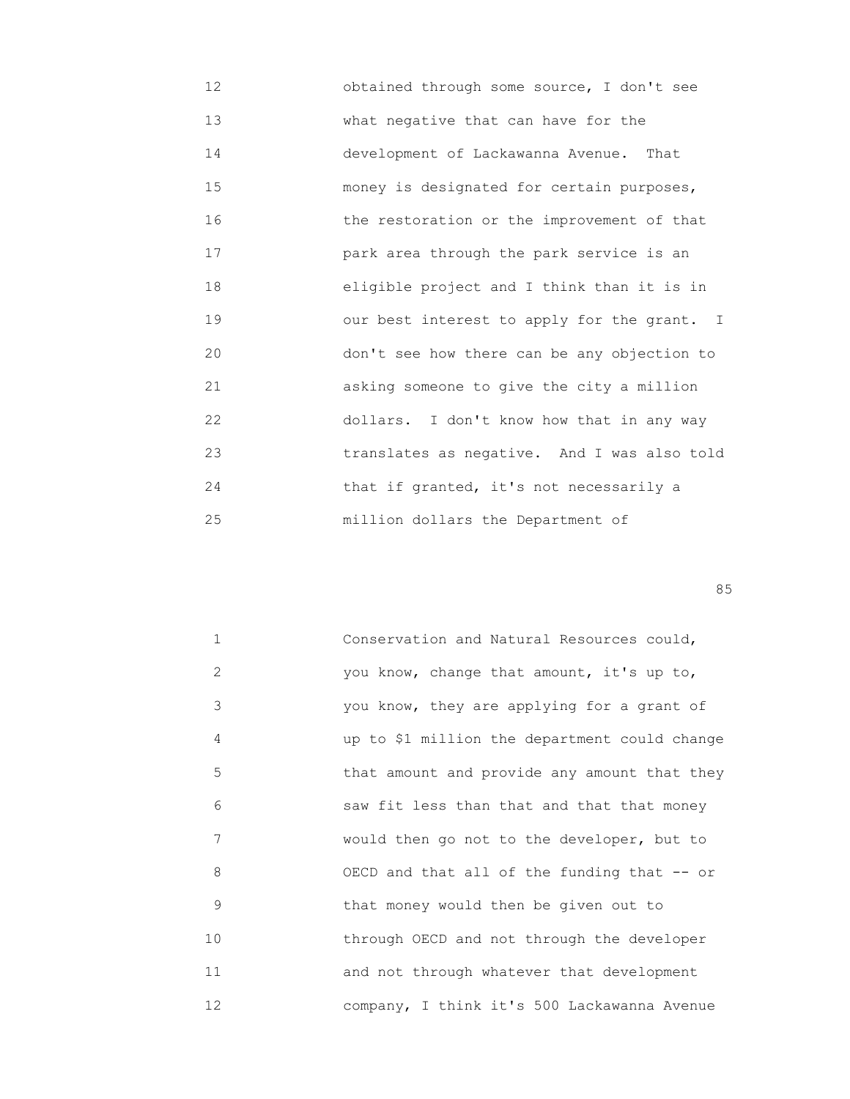12 obtained through some source, I don't see 13 what negative that can have for the 14 development of Lackawanna Avenue. That 15 money is designated for certain purposes, 16 the restoration or the improvement of that 17 park area through the park service is an 18 eligible project and I think than it is in 19 our best interest to apply for the grant. I 20 don't see how there can be any objection to 21 asking someone to give the city a million 22 dollars. I don't know how that in any way 23 translates as negative. And I was also told 24 **that if granted, it's not necessarily a** 25 million dollars the Department of

<u>85 September 2006 September 2006 September 2006 September 2006 September 2006 September 2006 September 2006 S</u>

| $\mathbf{1}$ | Conservation and Natural Resources could,     |
|--------------|-----------------------------------------------|
| 2            | you know, change that amount, it's up to,     |
| 3            | you know, they are applying for a grant of    |
| 4            | up to \$1 million the department could change |
| 5            | that amount and provide any amount that they  |
| 6            | saw fit less than that and that that money    |
| 7            | would then go not to the developer, but to    |
| 8            | OECD and that all of the funding that -- or   |
| 9            | that money would then be given out to         |
| 10           | through OECD and not through the developer    |
| 11           | and not through whatever that development     |
| 12           | company, I think it's 500 Lackawanna Avenue   |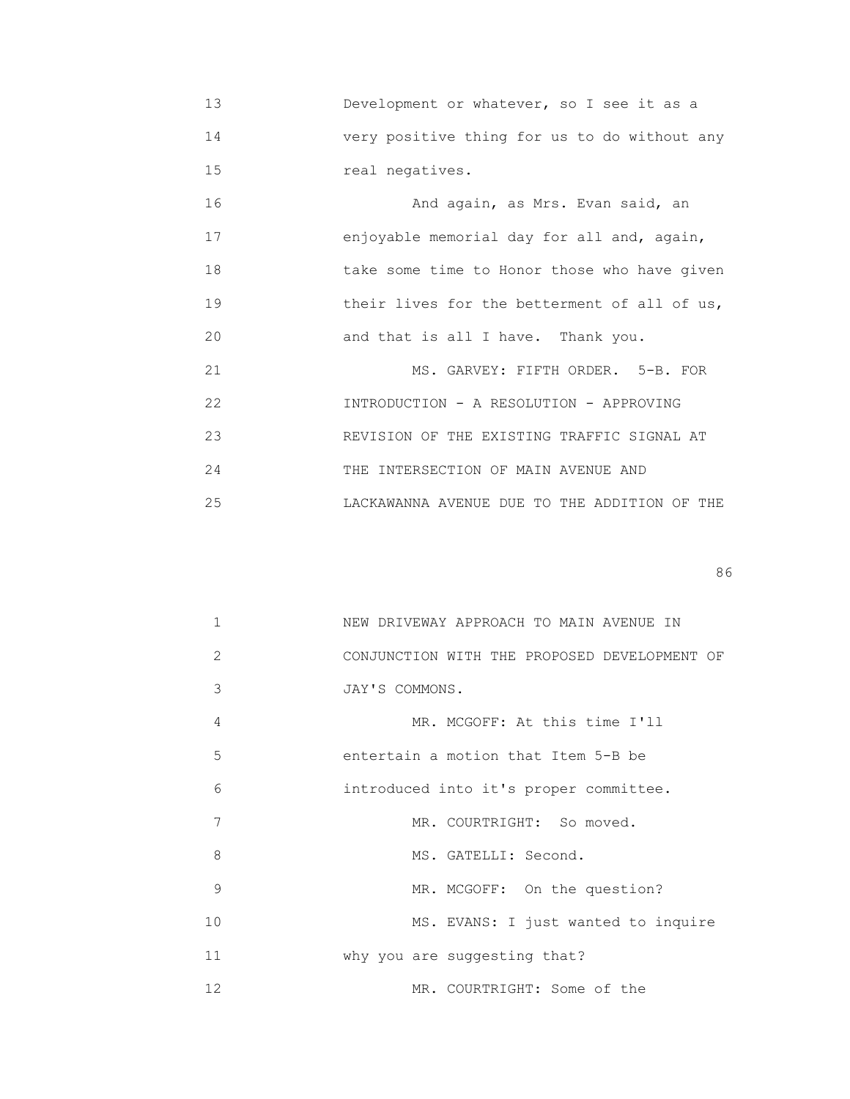13 Development or whatever, so I see it as a 14 very positive thing for us to do without any 15 real negatives.

 16 And again, as Mrs. Evan said, an 17 enjoyable memorial day for all and, again, 18 take some time to Honor those who have given 19 **their lives for the betterment of all of us,** 20 and that is all I have. Thank you.

21 MS. GARVEY: FIFTH ORDER. 5-B. FOR 22 INTRODUCTION - A RESOLUTION - APPROVING 23 REVISION OF THE EXISTING TRAFFIC SIGNAL AT 24 THE INTERSECTION OF MAIN AVENUE AND 25 LACKAWANNA AVENUE DUE TO THE ADDITION OF THE

en de la construction de la construction de la construction de la construction de la construction de la construction de la construction de la construction de la construction de la construction de la construction de la cons

| $\mathbf{1}$ | NEW DRIVEWAY APPROACH TO MAIN AVENUE IN      |
|--------------|----------------------------------------------|
| 2            | CONJUNCTION WITH THE PROPOSED DEVELOPMENT OF |
| 3            | JAY'S COMMONS.                               |
| 4            | MR. MCGOFF: At this time I'll                |
| 5            | entertain a motion that Item 5-B be          |
| 6            | introduced into it's proper committee.       |
| 7            | MR. COURTRIGHT: So moved.                    |
| 8            | MS. GATELLI: Second.                         |
| 9            | MR. MCGOFF: On the question?                 |
| 10           | MS. EVANS: I just wanted to inquire          |
| 11           | why you are suggesting that?                 |
| 12           | MR. COURTRIGHT: Some of the                  |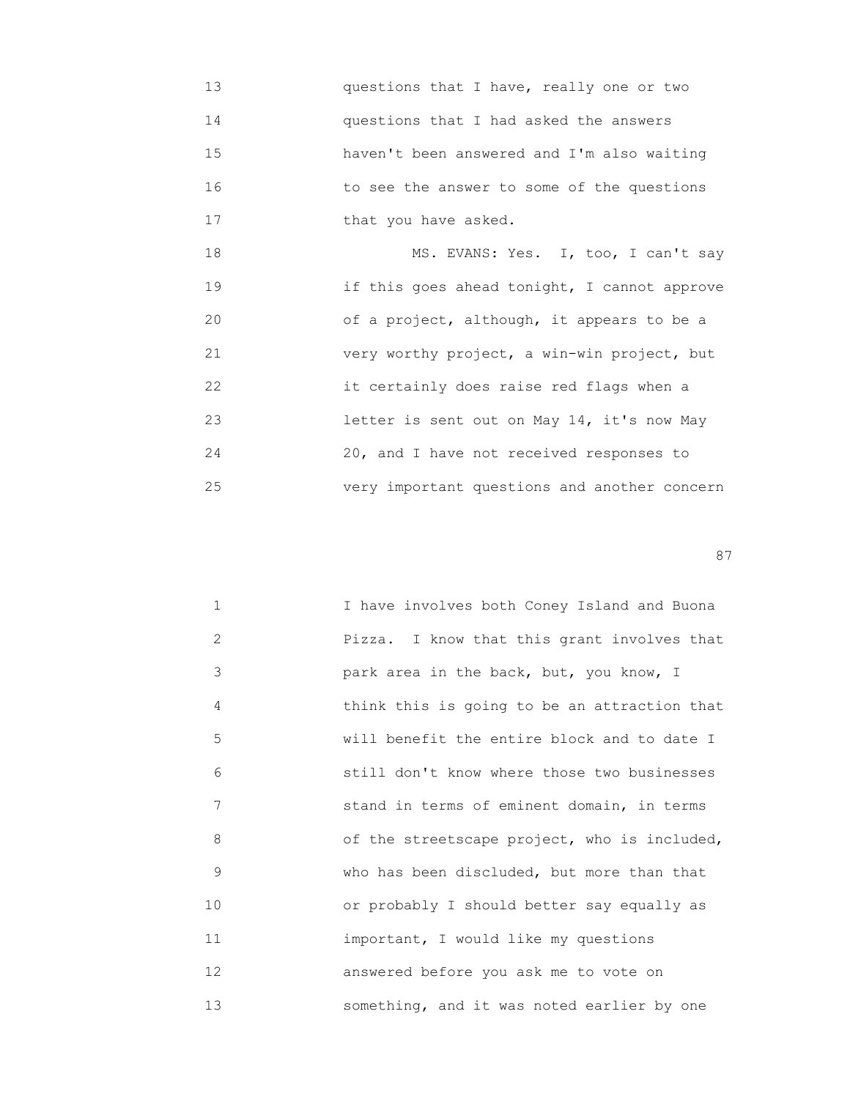13 questions that I have, really one or two 14 questions that I had asked the answers 15 haven't been answered and I'm also waiting 16 to see the answer to some of the questions 17 that you have asked.

 18 MS. EVANS: Yes. I, too, I can't say 19 if this goes ahead tonight, I cannot approve 20 of a project, although, it appears to be a 21 very worthy project, a win-win project, but 22 it certainly does raise red flags when a 23 letter is sent out on May 14, it's now May 24 20, and I have not received responses to 25 very important questions and another concern

experience of the state of the state of the state of the state of the state of the state of the state of the state of the state of the state of the state of the state of the state of the state of the state of the state of

| $\mathbf{1}$ | I have involves both Coney Island and Buona  |
|--------------|----------------------------------------------|
| 2            | Pizza. I know that this grant involves that  |
| 3            | park area in the back, but, you know, I      |
| 4            | think this is going to be an attraction that |
| 5            | will benefit the entire block and to date I  |
| 6            | still don't know where those two businesses  |
| 7            | stand in terms of eminent domain, in terms   |
| 8            | of the streetscape project, who is included, |
| 9            | who has been discluded, but more than that   |
| 10           | or probably I should better say equally as   |
| 11           | important, I would like my questions         |
| 12           | answered before you ask me to vote on        |
| 13           | something, and it was noted earlier by one   |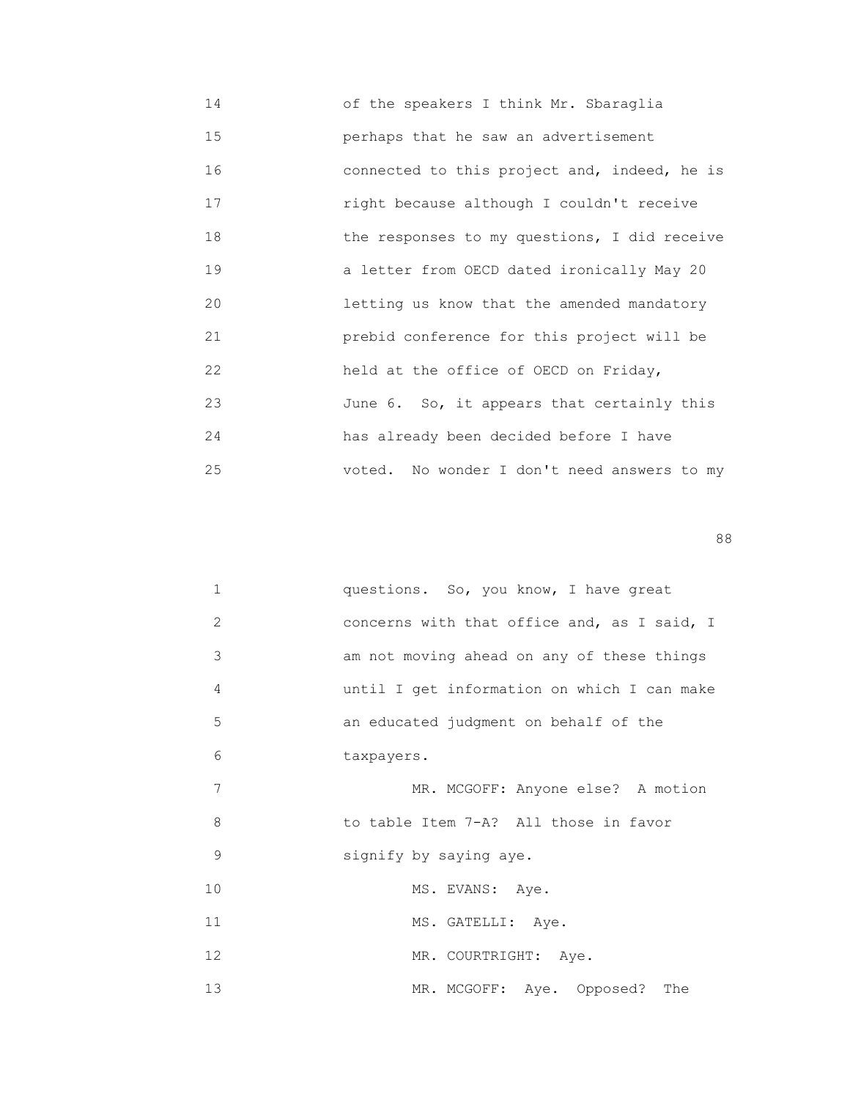14 of the speakers I think Mr. Sbaraglia 15 perhaps that he saw an advertisement 16 connected to this project and, indeed, he is 17 right because although I couldn't receive 18 the responses to my questions, I did receive 19 a letter from OECD dated ironically May 20 20 letting us know that the amended mandatory 21 prebid conference for this project will be 22 held at the office of OECD on Friday, 23 June 6. So, it appears that certainly this 24 has already been decided before I have 25 voted. No wonder I don't need answers to my

en de la construction de la construction de la construction de la construction de la construction de la constr<br>1888 : le construction de la construction de la construction de la construction de la construction de la const

| $\mathbf 1$    | questions. So, you know, I have great       |
|----------------|---------------------------------------------|
| $\overline{2}$ | concerns with that office and, as I said, I |
| 3              | am not moving ahead on any of these things  |
| 4              | until I get information on which I can make |
| 5              | an educated judgment on behalf of the       |
| 6              | taxpayers.                                  |
| 7              | MR. MCGOFF: Anyone else? A motion           |
| 8              | to table Item 7-A? All those in favor       |
| 9              | signify by saying aye.                      |
| 10             | MS. EVANS: Aye.                             |
| 11             | MS. GATELLI: Aye.                           |
| 12             | MR. COURTRIGHT: Aye.                        |
| 13             | MR. MCGOFF: Aye. Opposed? The               |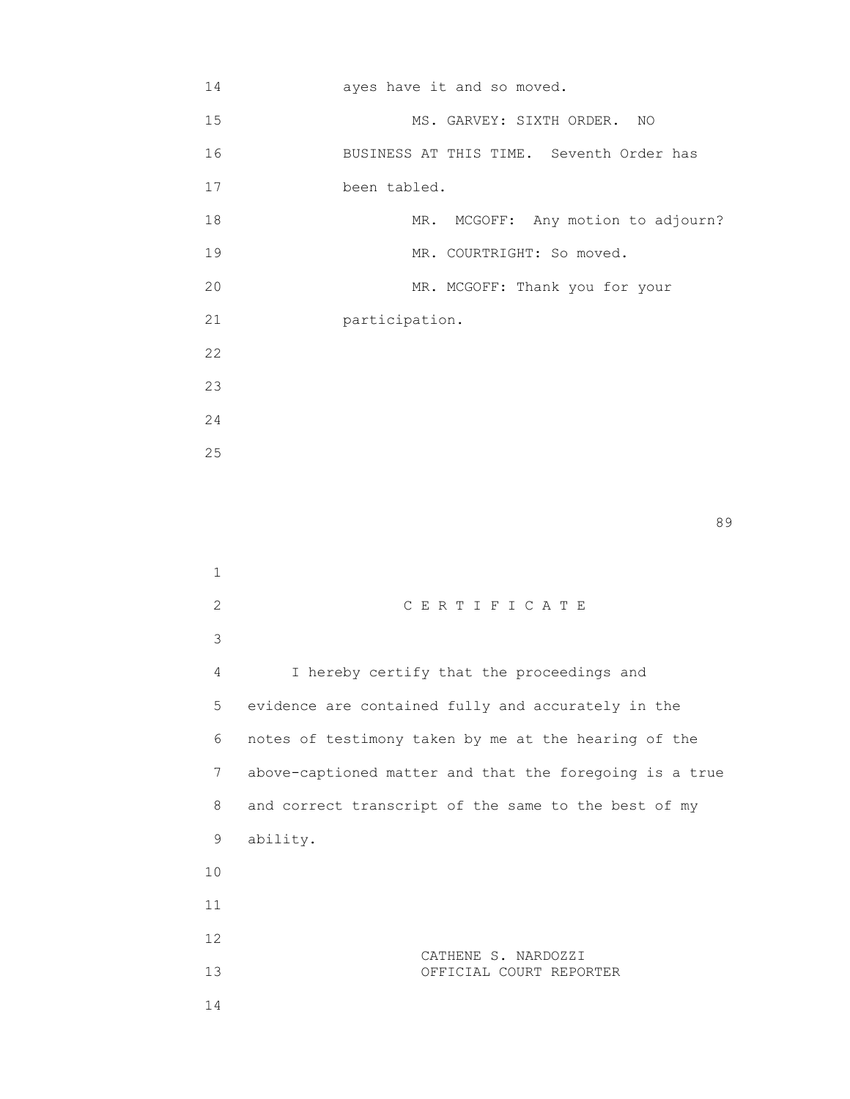| 14 | ayes have it and so moved.               |                                |                                    |
|----|------------------------------------------|--------------------------------|------------------------------------|
| 15 |                                          | MS. GARVEY: SIXTH ORDER. NO    |                                    |
| 16 | BUSINESS AT THIS TIME. Seventh Order has |                                |                                    |
| 17 | been tabled.                             |                                |                                    |
| 18 |                                          |                                | MR. MCGOFF: Any motion to adjourn? |
| 19 |                                          | MR. COURTRIGHT: So moved.      |                                    |
| 20 |                                          | MR. MCGOFF: Thank you for your |                                    |
| 21 | participation.                           |                                |                                    |
| 22 |                                          |                                |                                    |
| 23 |                                          |                                |                                    |
| 24 |                                          |                                |                                    |
| 25 |                                          |                                |                                    |
|    |                                          |                                |                                    |

en de la construction de la construction de la construction de la construction de la construction de la constr<br>1990 : la construction de la construction de la construction de la construction de la construction de la const

| 1  |                                                         |
|----|---------------------------------------------------------|
| 2  | CERTIFICATE                                             |
| 3  |                                                         |
| 4  | I hereby certify that the proceedings and               |
| 5  | evidence are contained fully and accurately in the      |
| 6  | notes of testimony taken by me at the hearing of the    |
| 7  | above-captioned matter and that the foregoing is a true |
| 8  | and correct transcript of the same to the best of my    |
| 9  | ability.                                                |
| 10 |                                                         |
| 11 |                                                         |
| 12 | CATHENE S. NARDOZZI                                     |
| 13 | OFFICIAL COURT REPORTER                                 |
| 14 |                                                         |